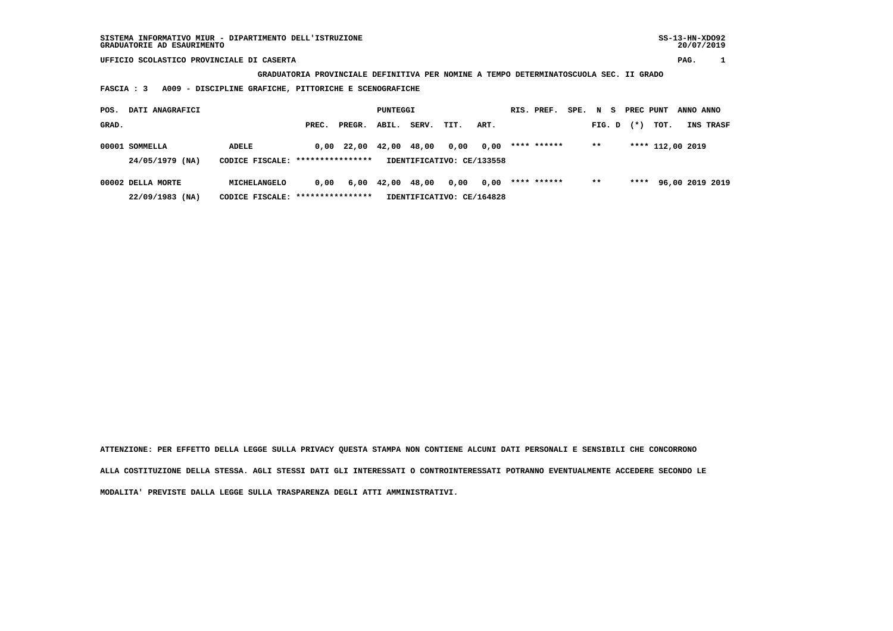**GRADUATORIA PROVINCIALE DEFINITIVA PER NOMINE A TEMPO DETERMINATOSCUOLA SEC. II GRADO**

 **FASCIA : 3 A009 - DISCIPLINE GRAFICHE, PITTORICHE E SCENOGRAFICHE**

| POS.  | DATI ANAGRAFICI                                                                       |                                  |                           |            |       | PUNTEGGI |      |      |  | RIS. PREF.  | SPE. | N S    | PREC PUNT |                  | ANNO ANNO |                 |
|-------|---------------------------------------------------------------------------------------|----------------------------------|---------------------------|------------|-------|----------|------|------|--|-------------|------|--------|-----------|------------------|-----------|-----------------|
| GRAD. |                                                                                       |                                  | PREC.                     | PREGR.     | ABIL. | SERV.    | TIT. | ART. |  |             |      | FIG. D | $(*)$     | TOT.             |           | INS TRASF       |
|       | 00001 SOMMELLA                                                                        | <b>ADELE</b>                     |                           | 0,00 22,00 | 42,00 | 48,00    | 0,00 | 0,00 |  | **** ****** |      | $***$  |           | **** 112,00 2019 |           |                 |
|       | 24/05/1979 (NA)                                                                       | CODICE FISCALE: **************** | IDENTIFICATIVO: CE/133558 |            |       |          |      |      |  |             |      |        |           |                  |           |                 |
|       | 00002 DELLA MORTE                                                                     | MICHELANGELO                     | 0.00                      | 6,00       | 42,00 | 48,00    | 0,00 | 0.00 |  | **** ****** |      | $***$  | ****      |                  |           | 96,00 2019 2019 |
|       | ****************<br>$22/09/1983$ (NA)<br>IDENTIFICATIVO: CE/164828<br>CODICE FISCALE: |                                  |                           |            |       |          |      |      |  |             |      |        |           |                  |           |                 |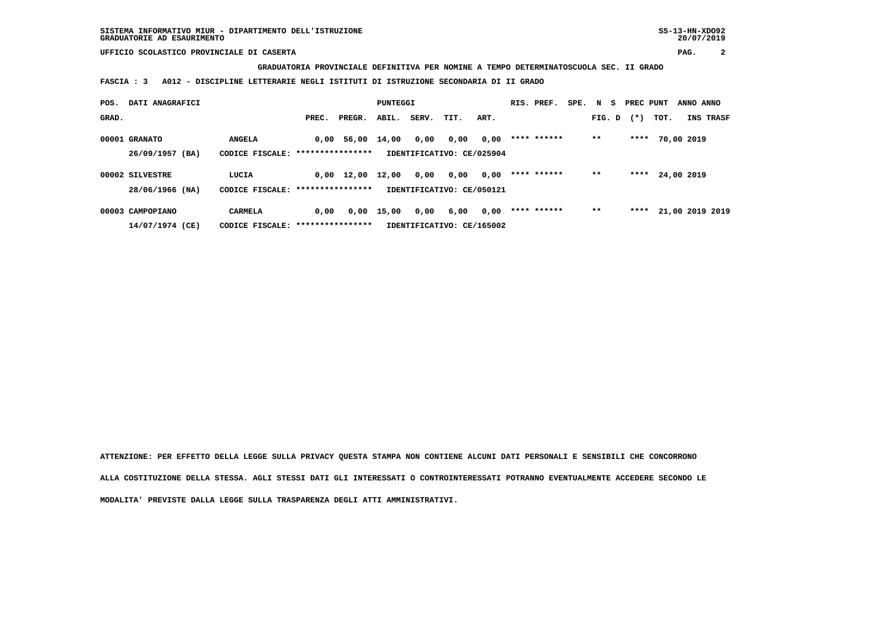**GRADUATORIA PROVINCIALE DEFINITIVA PER NOMINE A TEMPO DETERMINATOSCUOLA SEC. II GRADO**

 **FASCIA : 3 A012 - DISCIPLINE LETTERARIE NEGLI ISTITUTI DI ISTRUZIONE SECONDARIA DI II GRADO**

| POS.  | DATI ANAGRAFICI  |                                   | <b>PUNTEGGI</b>  |                    |       |       | RIS. PREF.                | SPE. | N S         | PREC PUNT |        | ANNO ANNO |      |            |                 |
|-------|------------------|-----------------------------------|------------------|--------------------|-------|-------|---------------------------|------|-------------|-----------|--------|-----------|------|------------|-----------------|
| GRAD. |                  |                                   | PREC.            | PREGR.             | ABIL. | SERV. | TIT.                      | ART. |             |           | FIG. D | $(*)$     | TOT. |            | INS TRASF       |
|       | 00001 GRANATO    | <b>ANGELA</b>                     |                  | 0,00 56,00         | 14,00 | 0,00  | 0,00                      | 0,00 | **** ****** |           | $* *$  | ****      |      | 70,00 2019 |                 |
|       | 26/09/1957 (BA)  | CODICE FISCALE: ***************** |                  |                    |       |       | IDENTIFICATIVO: CE/025904 |      |             |           |        |           |      |            |                 |
|       | 00002 SILVESTRE  | LUCIA                             |                  | $0,00 \quad 12,00$ | 12,00 | 0,00  | 0,00                      | 0,00 | **** ****** |           | $* *$  | ****      |      | 24,00 2019 |                 |
|       | 28/06/1966 (NA)  | CODICE FISCALE:                   | **************** |                    |       |       | IDENTIFICATIVO: CE/050121 |      |             |           |        |           |      |            |                 |
|       | 00003 CAMPOPIANO | <b>CARMELA</b>                    | 0,00             | 0,00               | 15,00 | 0,00  | 6,00                      | 0,00 | **** ****** |           | $* *$  | ****      |      |            | 21,00 2019 2019 |
|       | 14/07/1974 (CE)  | CODICE FISCALE: ****************  |                  |                    |       |       | IDENTIFICATIVO: CE/165002 |      |             |           |        |           |      |            |                 |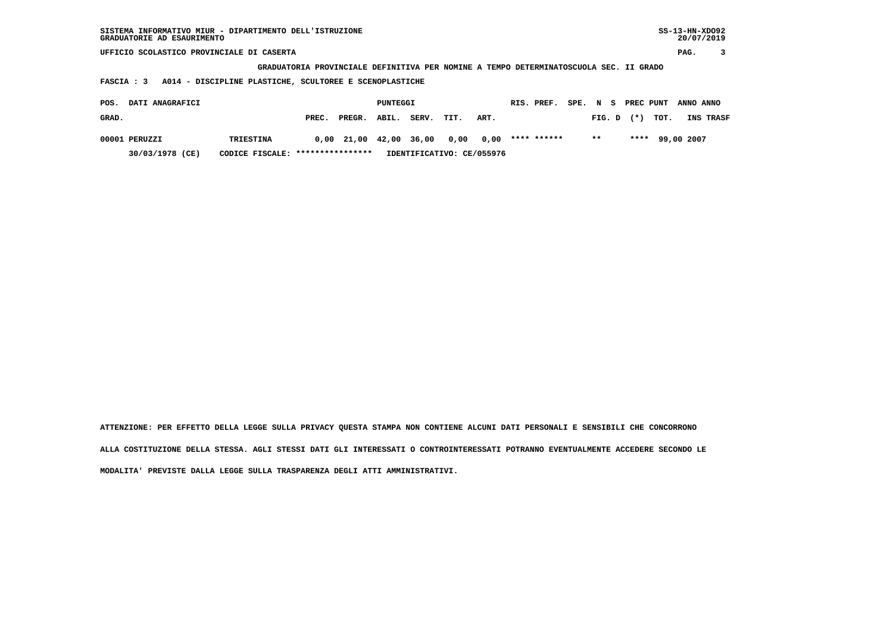| SISTEMA INFORMATIVO MIUR - DIPARTIMENTO DELL'ISTRUZIONE<br>GRADUATORIE AD ESAURIMENTO |                  |       |        |          |       |      |      |  |             |      |        |  |           |      | $SS-13-HN-XDO92$<br>20/07/2019 |           |
|---------------------------------------------------------------------------------------|------------------|-------|--------|----------|-------|------|------|--|-------------|------|--------|--|-----------|------|--------------------------------|-----------|
| UFFICIO SCOLASTICO PROVINCIALE DI CASERTA                                             |                  |       |        |          |       |      |      |  |             |      |        |  |           |      | PAG.                           |           |
| GRADUATORIA PROVINCIALE DEFINITIVA PER NOMINE A TEMPO DETERMINATOSCUOLA SEC. II GRADO |                  |       |        |          |       |      |      |  |             |      |        |  |           |      |                                |           |
| A014 - DISCIPLINE PLASTICHE, SCULTOREE E SCENOPLASTICHE<br>FASCIA : 3                 |                  |       |        |          |       |      |      |  |             |      |        |  |           |      |                                |           |
| DATI ANAGRAFICI<br>POS.                                                               |                  |       |        | PUNTEGGI |       |      |      |  | RIS. PREF.  | SPE. | N S    |  | PREC PUNT |      | ANNO ANNO                      |           |
| GRAD.                                                                                 |                  | PREC. | PREGR. | ABIL.    | SERV. | TIT. | ART. |  |             |      | FIG. D |  | $(*)$     | TOT. |                                | INS TRASF |
| 00001 PERUZZI                                                                         | <b>TRIESTINA</b> | 0.00  | 21,00  | 42,00    | 36,00 | 0,00 | 0,00 |  | **** ****** |      | $***$  |  | ****      |      | 99,00 2007                     |           |

 **30/03/1978 (CE) CODICE FISCALE: \*\*\*\*\*\*\*\*\*\*\*\*\*\*\*\* IDENTIFICATIVO: CE/055976**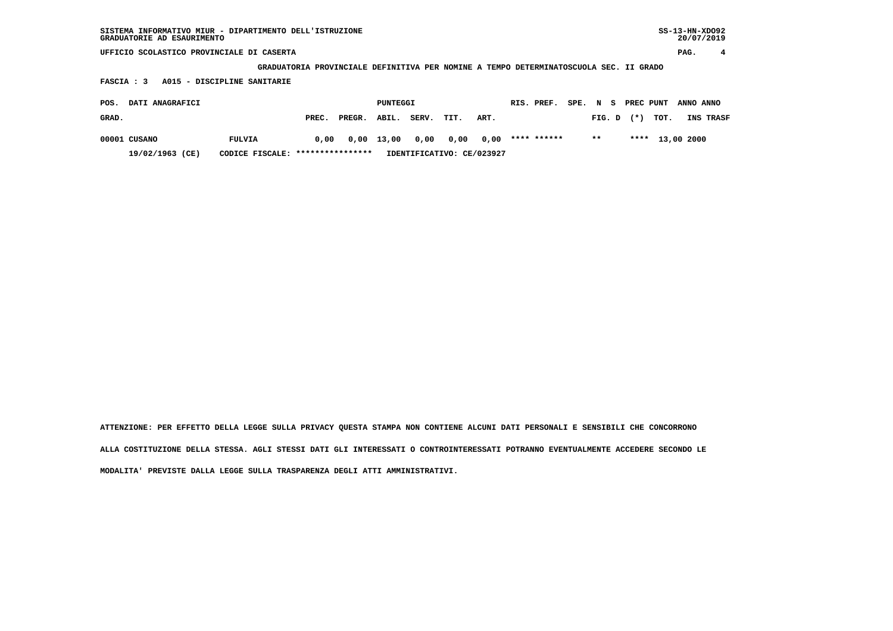| SISTEMA INFORMATIVO MIUR - DIPARTIMENTO DELL'ISTRUZIONE | SS-13-HN-XD092 |
|---------------------------------------------------------|----------------|
| GRADUATORIE AD ESAURIMENTO                              | 20/07/2019     |

 **GRADUATORIA PROVINCIALE DEFINITIVA PER NOMINE A TEMPO DETERMINATOSCUOLA SEC. II GRADO**

 **FASCIA : 3 A015 - DISCIPLINE SANITARIE**

| POS.  | <b>DATI ANAGRAFICI</b> |                                  | PUNTEGGI |                           |            |       | RIS. PREF. | SPE. N S |             |  | PREC PUNT ANNO ANNO |                |                 |           |
|-------|------------------------|----------------------------------|----------|---------------------------|------------|-------|------------|----------|-------------|--|---------------------|----------------|-----------------|-----------|
| GRAD. |                        |                                  | PREC.    | PREGR.                    | ABIL.      | SERV. | TIT.       | ART.     |             |  |                     | $FIG. D$ $(*)$ | тот.            | INS TRASF |
|       | 00001 CUSANO           | FULVIA                           | 0,00     |                           | 0,00 13,00 | 0,00  | 0,00 0,00  |          | **** ****** |  | $***$               |                | **** 13,00 2000 |           |
|       | 19/02/1963 (CE)        | CODICE FISCALE: **************** |          | IDENTIFICATIVO: CE/023927 |            |       |            |          |             |  |                     |                |                 |           |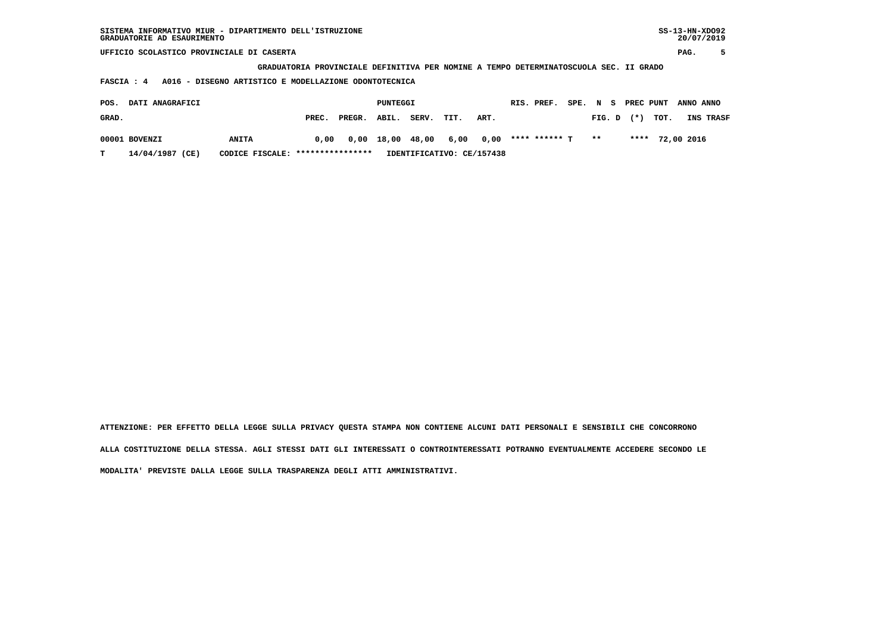| SISTEMA INFORMATIVO MIUR - DIPARTIMENTO DELL'ISTRUZIONE<br>GRADUATORIE AD ESAURIMENTO |              |       |        |          |       |      |      |  |               |        |        |    |           |      |            | $SS-13-HN-XDO92$<br>20/07/2019 |
|---------------------------------------------------------------------------------------|--------------|-------|--------|----------|-------|------|------|--|---------------|--------|--------|----|-----------|------|------------|--------------------------------|
| UFFICIO SCOLASTICO PROVINCIALE DI CASERTA                                             |              |       |        |          |       |      |      |  |               |        |        |    |           |      | PAG.       |                                |
| GRADUATORIA PROVINCIALE DEFINITIVA PER NOMINE A TEMPO DETERMINATOSCUOLA SEC. II GRADO |              |       |        |          |       |      |      |  |               |        |        |    |           |      |            |                                |
| A016 - DISEGNO ARTISTICO E MODELLAZIONE ODONTOTECNICA<br>FASCIA : 4                   |              |       |        |          |       |      |      |  |               |        |        |    |           |      |            |                                |
| DATI ANAGRAFICI<br>POS.                                                               |              |       |        | PUNTEGGI |       |      |      |  | RIS. PREF.    | SPE. N |        | s. | PREC PUNT |      | ANNO ANNO  |                                |
| GRAD.                                                                                 |              | PREC. | PREGR. | ABIL.    | SERV. | TIT. | ART. |  |               |        | FIG. D |    | $(*)$     | TOT. |            | INS TRASF                      |
| 00001 BOVENZI                                                                         | <b>ANITA</b> | 0.00  | 0,00   | 18,00    | 48,00 | 6,00 | 0,00 |  | **** ****** T |        | $* *$  |    | ****      |      | 72,00 2016 |                                |

 **T 14/04/1987 (CE) CODICE FISCALE: \*\*\*\*\*\*\*\*\*\*\*\*\*\*\*\* IDENTIFICATIVO: CE/157438**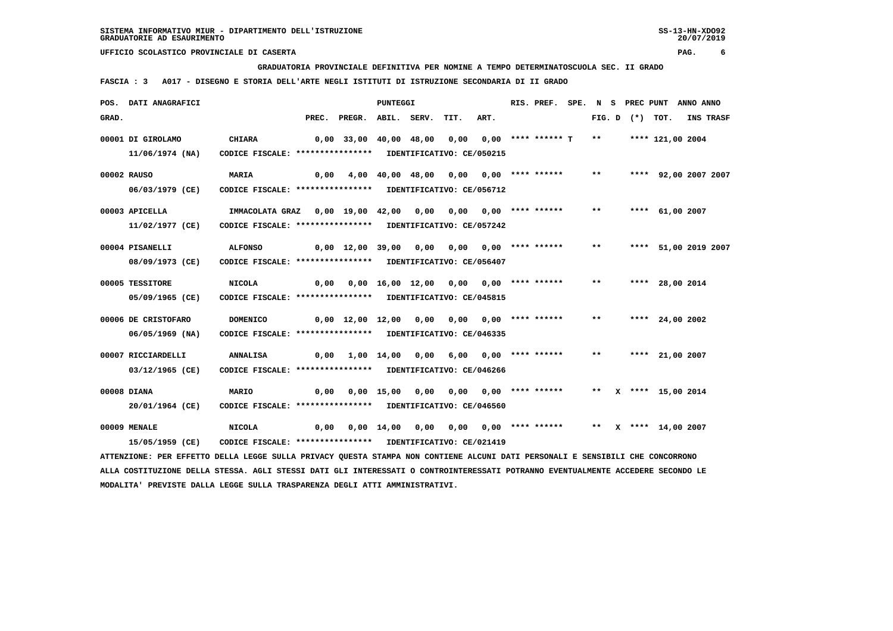**GRADUATORIA PROVINCIALE DEFINITIVA PER NOMINE A TEMPO DETERMINATOSCUOLA SEC. II GRADO**

 **FASCIA : 3 A017 - DISEGNO E STORIA DELL'ARTE NEGLI ISTITUTI DI ISTRUZIONE SECONDARIA DI II GRADO**

|       | POS. DATI ANAGRAFICI                                                                                                          |                                                             |      |                                                   | PUNTEGGI |                                        |      | RIS. PREF. |       |  | SPE. N S PREC PUNT ANNO ANNO |                  |
|-------|-------------------------------------------------------------------------------------------------------------------------------|-------------------------------------------------------------|------|---------------------------------------------------|----------|----------------------------------------|------|------------|-------|--|------------------------------|------------------|
| GRAD. |                                                                                                                               |                                                             |      | PREC. PREGR. ABIL. SERV.                          |          | TIT.                                   | ART. |            |       |  | FIG. D $(*)$ TOT.            | <b>INS TRASF</b> |
|       | 00001 DI GIROLAMO                                                                                                             | <b>CHIARA</b>                                               |      | 0,00 33,00 40,00 48,00 0,00 0,00 **** ****** T ** |          |                                        |      |            |       |  | **** 121,00 2004             |                  |
|       | 11/06/1974 (NA)                                                                                                               | CODICE FISCALE: **************** IDENTIFICATIVO: CE/050215  |      |                                                   |          |                                        |      |            |       |  |                              |                  |
|       | 00002 RAUSO                                                                                                                   | MARIA                                                       | 0,00 |                                                   |          | 4,00 40,00 48,00 0,00 0,00 **** ****** |      |            | $***$ |  | **** 92,00 2007 2007         |                  |
|       | 06/03/1979 (CE)                                                                                                               | CODICE FISCALE: **************** IDENTIFICATIVO: CE/056712  |      |                                                   |          |                                        |      |            |       |  |                              |                  |
|       | 00003 APICELLA                                                                                                                | IMMACOLATA GRAZ 0,00 19,00 42,00 0,00 0,00 0,00 **** ****** |      |                                                   |          |                                        |      |            | $***$ |  | **** $61,00$ 2007            |                  |
|       | 11/02/1977 (CE)                                                                                                               | CODICE FISCALE: **************** IDENTIFICATIVO: CE/057242  |      |                                                   |          |                                        |      |            |       |  |                              |                  |
|       | 00004 PISANELLI                                                                                                               | <b>ALFONSO</b>                                              |      | 0,00 12,00 39,00 0,00 0,00 0,00 **** ******       |          |                                        |      |            | $***$ |  | **** 51,00 2019 2007         |                  |
|       | 08/09/1973 (CE)                                                                                                               | CODICE FISCALE: **************** IDENTIFICATIVO: CE/056407  |      |                                                   |          |                                        |      |            |       |  |                              |                  |
|       | 00005 TESSITORE                                                                                                               | <b>NICOLA</b>                                               |      |                                                   |          |                                        |      |            | $***$ |  | **** 28,00 2014              |                  |
|       | 05/09/1965 (CE)                                                                                                               | CODICE FISCALE: **************** IDENTIFICATIVO: CE/045815  |      |                                                   |          |                                        |      |            |       |  |                              |                  |
|       | 00006 DE CRISTOFARO                                                                                                           | <b>DOMENICO</b>                                             |      | 0,00 12,00 12,00 0,00 0,00 0,00 **** ******       |          |                                        |      |            | $***$ |  | **** 24,00 2002              |                  |
|       | $06/05/1969$ (NA)                                                                                                             | CODICE FISCALE: **************** IDENTIFICATIVO: CE/046335  |      |                                                   |          |                                        |      |            |       |  |                              |                  |
|       | 00007 RICCIARDELLI                                                                                                            | ANNALISA                                                    |      | $0,00$ 1,00 14,00 0,00 6,00 0,00 **** ******      |          |                                        |      |            | $***$ |  | **** 21,00 2007              |                  |
|       | 03/12/1965 (CE)                                                                                                               | CODICE FISCALE: **************** IDENTIFICATIVO: CE/046266  |      |                                                   |          |                                        |      |            |       |  |                              |                  |
|       | 00008 DIANA                                                                                                                   | MARIO                                                       |      | 0,00  0,00  15,00  0,00  0,00  0,00  ****  ****** |          |                                        |      |            |       |  | ** X **** 15,00 2014         |                  |
|       | 20/01/1964 (CE)                                                                                                               | CODICE FISCALE: **************** IDENTIFICATIVO: CE/046560  |      |                                                   |          |                                        |      |            |       |  |                              |                  |
|       | 00009 MENALE                                                                                                                  | <b>NICOLA</b>                                               |      |                                                   |          |                                        |      |            |       |  |                              |                  |
|       | 15/05/1959 (CE)                                                                                                               | CODICE FISCALE: **************** IDENTIFICATIVO: CE/021419  |      |                                                   |          |                                        |      |            |       |  |                              |                  |
|       | ATTENZIONE: PER EFFETTO DELLA LEGGE SULLA PRIVACY QUESTA STAMPA NON CONTIENE ALCUNI DATI PERSONALI E SENSIBILI CHE CONCORRONO |                                                             |      |                                                   |          |                                        |      |            |       |  |                              |                  |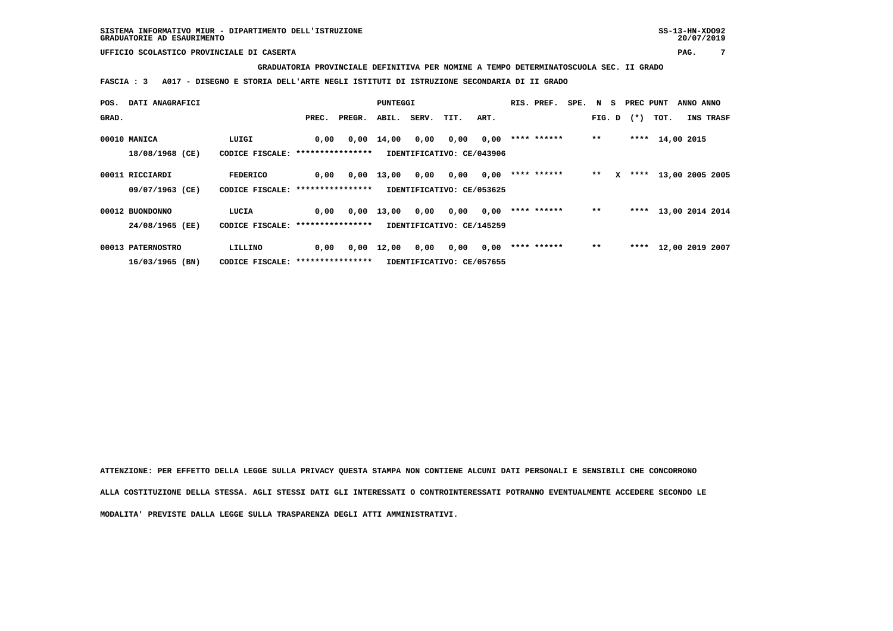**GRADUATORIA PROVINCIALE DEFINITIVA PER NOMINE A TEMPO DETERMINATOSCUOLA SEC. II GRADO**

 **FASCIA : 3 A017 - DISEGNO E STORIA DELL'ARTE NEGLI ISTITUTI DI ISTRUZIONE SECONDARIA DI II GRADO**

| POS.  | DATI ANAGRAFICI   |                                   |                  |        | PUNTEGGI |       |                           |      | RIS. PREF.  | SPE. N S |        |   | PREC PUNT |                 | ANNO ANNO |                 |
|-------|-------------------|-----------------------------------|------------------|--------|----------|-------|---------------------------|------|-------------|----------|--------|---|-----------|-----------------|-----------|-----------------|
| GRAD. |                   |                                   | PREC.            | PREGR. | ABIL.    | SERV. | TIT.                      | ART. |             |          | FIG. D |   | $(*)$     | TOT.            |           | INS TRASF       |
|       |                   |                                   |                  |        |          |       |                           |      |             |          |        |   |           |                 |           |                 |
|       | 00010 MANICA      | LUIGI                             | 0,00             | 0,00   | 14,00    | 0,00  | 0,00                      | 0,00 | **** ****** |          | $***$  |   |           | **** 14,00 2015 |           |                 |
|       | 18/08/1968 (CE)   | CODICE FISCALE:                   | **************** |        |          |       | IDENTIFICATIVO: CE/043906 |      |             |          |        |   |           |                 |           |                 |
|       |                   |                                   |                  |        |          |       |                           |      |             |          |        |   |           |                 |           |                 |
|       | 00011 RICCIARDI   | <b>FEDERICO</b>                   | 0,00             | 0,00   | 13,00    | 0,00  | 0,00                      | 0,00 | **** ****** |          | $* *$  | x | ****      |                 |           | 13,00 2005 2005 |
|       | 09/07/1963 (CE)   | CODICE FISCALE: ***************** |                  |        |          |       | IDENTIFICATIVO: CE/053625 |      |             |          |        |   |           |                 |           |                 |
|       |                   |                                   |                  |        |          |       |                           |      |             |          |        |   |           |                 |           |                 |
|       | 00012 BUONDONNO   | LUCIA                             | 0,00             | 0,00   | 13,00    | 0,00  | 0,00                      | 0,00 | **** ****** |          | $***$  |   | ****      |                 |           | 13,00 2014 2014 |
|       | 24/08/1965 (EE)   | CODICE FISCALE: ****************  |                  |        |          |       | IDENTIFICATIVO: CE/145259 |      |             |          |        |   |           |                 |           |                 |
|       |                   |                                   |                  |        |          |       |                           |      |             |          |        |   |           |                 |           |                 |
|       | 00013 PATERNOSTRO | LILLINO                           | 0,00             | 0,00   | 12,00    | 0,00  | 0,00                      | 0,00 | **** ****** |          | $***$  |   | ****      |                 |           | 12,00 2019 2007 |
|       | 16/03/1965 (BN)   | CODICE FISCALE: ***************** |                  |        |          |       | IDENTIFICATIVO: CE/057655 |      |             |          |        |   |           |                 |           |                 |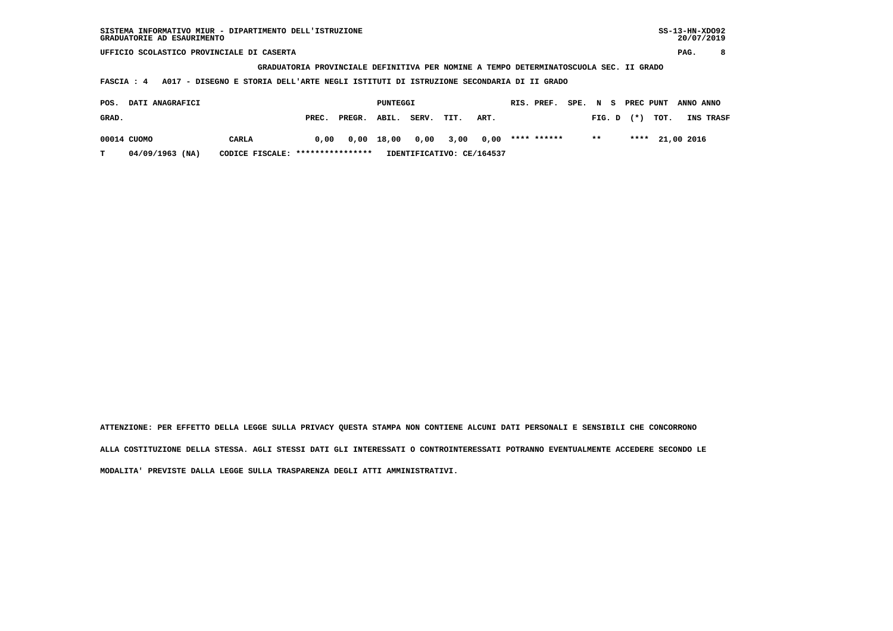**GRADUATORIA PROVINCIALE DEFINITIVA PER NOMINE A TEMPO DETERMINATOSCUOLA SEC. II GRADO**

 **FASCIA : 4 A017 - DISEGNO E STORIA DELL'ARTE NEGLI ISTITUTI DI ISTRUZIONE SECONDARIA DI II GRADO**

| POS.  | DATI ANAGRAFICI |                                  | PUNTEGGI |        |            |                            | RIS. PREF. | SPE. N S |  |  | PREC PUNT ANNO ANNO |                |                 |           |
|-------|-----------------|----------------------------------|----------|--------|------------|----------------------------|------------|----------|--|--|---------------------|----------------|-----------------|-----------|
| GRAD. |                 |                                  | PREC.    | PREGR. | ABIL.      | SERV.                      | TIT.       | ART.     |  |  |                     | $FIG. D$ $(*)$ | тот.            | INS TRASF |
|       | 00014 CUOMO     | CARLA                            | 0,00     |        | 0,00 18,00 | 0,00 3,00 0,00 **** ****** |            |          |  |  | $***$               |                | **** 21,00 2016 |           |
| T.    | 04/09/1963 (NA) | CODICE FISCALE: **************** |          |        |            | IDENTIFICATIVO: CE/164537  |            |          |  |  |                     |                |                 |           |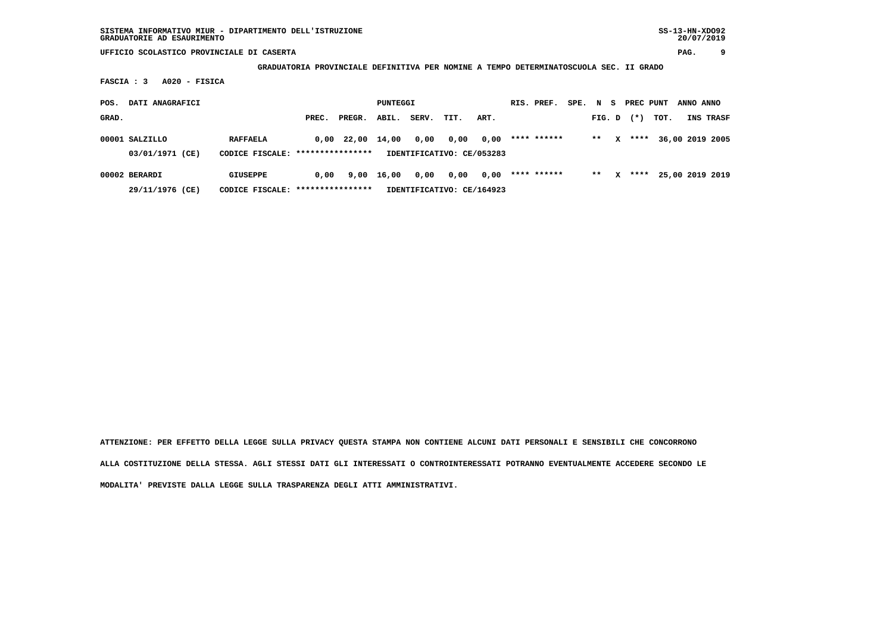**GRADUATORIA PROVINCIALE DEFINITIVA PER NOMINE A TEMPO DETERMINATOSCUOLA SEC. II GRADO**

 **FASCIA : 3 A020 - FISICA**

| POS.  | DATI ANAGRAFICI                   |                                    | PUNTEGGI         |              |                           |                                   |      | RIS. PREF. | SPE. | N S         |  | PREC PUNT |   | ANNO ANNO |      |  |                 |
|-------|-----------------------------------|------------------------------------|------------------|--------------|---------------------------|-----------------------------------|------|------------|------|-------------|--|-----------|---|-----------|------|--|-----------------|
| GRAD. |                                   |                                    | PREC.            | PREGR.       | ABIL.                     | SERV.                             | TIT. | ART.       |      |             |  | FIG. D    |   | $(*)$     | TOT. |  | INS TRASF       |
|       | 00001 SALZILLO<br>03/01/1971 (CE) | <b>RAFFAELA</b><br>CODICE FISCALE: | **************** | $0.00$ 22.00 | 14,00                     | 0,00<br>IDENTIFICATIVO: CE/053283 | 0,00 | 0,00       |      | **** ****** |  | $* *$     | x | ****      |      |  | 36,00 2019 2005 |
|       | 00002 BERARDI                     | <b>GIUSEPPE</b>                    | 0.00             | 9,00         | 16,00                     | 0,00                              | 0,00 | 0,00       |      | **** ****** |  | $***$     | x | ****      |      |  | 25,00 2019 2019 |
|       | 29/11/1976 (CE)                   | CODICE FISCALE: *****************  |                  |              | IDENTIFICATIVO: CE/164923 |                                   |      |            |      |             |  |           |   |           |      |  |                 |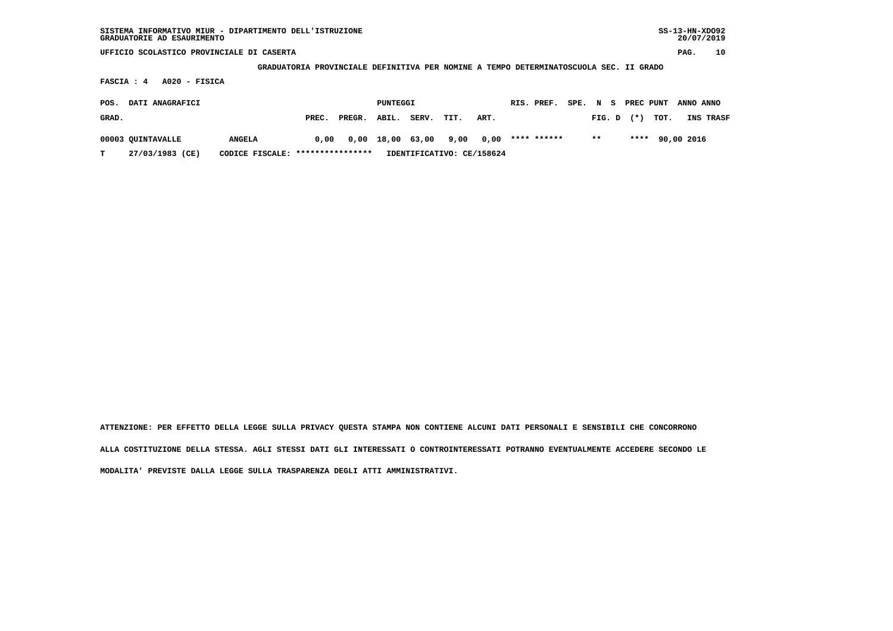| SISTEMA INFORMATIVO MIUR - DIPARTIMENTO DELL'ISTRUZIONE<br>GRADUATORIE AD ESAURIMENTO |                                   |       |        |          |       |      |                           |             |        |        |           |      | $SS-13-HN-XDO92$<br>20/07/2019 |           |
|---------------------------------------------------------------------------------------|-----------------------------------|-------|--------|----------|-------|------|---------------------------|-------------|--------|--------|-----------|------|--------------------------------|-----------|
| UFFICIO SCOLASTICO PROVINCIALE DI CASERTA                                             |                                   |       |        |          |       |      |                           |             |        |        |           |      | PAG.                           | 10        |
| GRADUATORIA PROVINCIALE DEFINITIVA PER NOMINE A TEMPO DETERMINATOSCUOLA SEC. II GRADO |                                   |       |        |          |       |      |                           |             |        |        |           |      |                                |           |
| $A020 - FISICA$<br>FASCIA : 4                                                         |                                   |       |        |          |       |      |                           |             |        |        |           |      |                                |           |
| DATI ANAGRAFICI<br>POS.                                                               |                                   |       |        | PUNTEGGI |       |      |                           | RIS. PREF.  | SPE. N | s      | PREC PUNT |      | ANNO ANNO                      |           |
| GRAD.                                                                                 |                                   | PREC. | PREGR. | ABIL.    | SERV. | TIT. | ART.                      |             |        | FIG. D | $(*)$     | TOT. |                                | INS TRASF |
| 00003 QUINTAVALLE                                                                     | <b>ANGELA</b>                     | 0.00  | 0,00   | 18,00    | 63,00 | 9,00 | 0,00                      | **** ****** |        | $***$  | ****      |      | 90,00 2016                     |           |
| 27/03/1983 (CE)<br>т                                                                  | CODICE FISCALE: ***************** |       |        |          |       |      | IDENTIFICATIVO: CE/158624 |             |        |        |           |      |                                |           |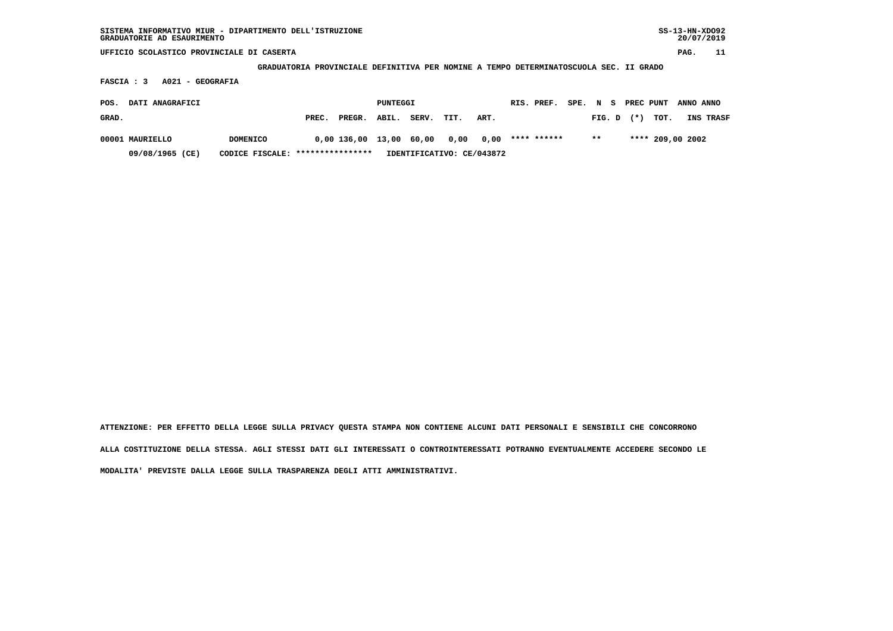| SISTEMA INFORMATIVO MIUR - DIPARTIMENTO DELL'ISTRUZIONE<br>GRADUATORIE AD ESAURIMENTO      |                                   |       |             |       |       |      |                           |             |  |        |       |      | $SS-13-HN-XDO92$<br>20/07/2019 |           |
|--------------------------------------------------------------------------------------------|-----------------------------------|-------|-------------|-------|-------|------|---------------------------|-------------|--|--------|-------|------|--------------------------------|-----------|
| UFFICIO SCOLASTICO PROVINCIALE DI CASERTA                                                  |                                   |       |             |       |       |      |                           |             |  |        |       |      | PAG.                           | 11        |
| GRADUATORIA PROVINCIALE DEFINITIVA PER NOMINE A TEMPO DETERMINATOSCUOLA SEC. II GRADO      |                                   |       |             |       |       |      |                           |             |  |        |       |      |                                |           |
| A021 - GEOGRAFIA<br>FASCIA : 3                                                             |                                   |       |             |       |       |      |                           |             |  |        |       |      |                                |           |
| DATI ANAGRAFICI<br>PUNTEGGI<br>RIS. PREF.<br>PREC PUNT<br>SPE. N<br>ANNO ANNO<br>POS.<br>s |                                   |       |             |       |       |      |                           |             |  |        |       |      |                                |           |
| GRAD.                                                                                      |                                   | PREC. | PREGR.      | ABIL. | SERV. | TIT. | ART.                      |             |  | FIG. D | $(*)$ | TOT. |                                | INS TRASF |
| 00001 MAURIELLO                                                                            | <b>DOMENICO</b>                   |       | 0,00 136,00 | 13,00 | 60,00 | 0,00 | 0,00                      | **** ****** |  | $***$  |       |      | **** 209,00 2002               |           |
| 09/08/1965 (CE)                                                                            | CODICE FISCALE: ***************** |       |             |       |       |      | IDENTIFICATIVO: CE/043872 |             |  |        |       |      |                                |           |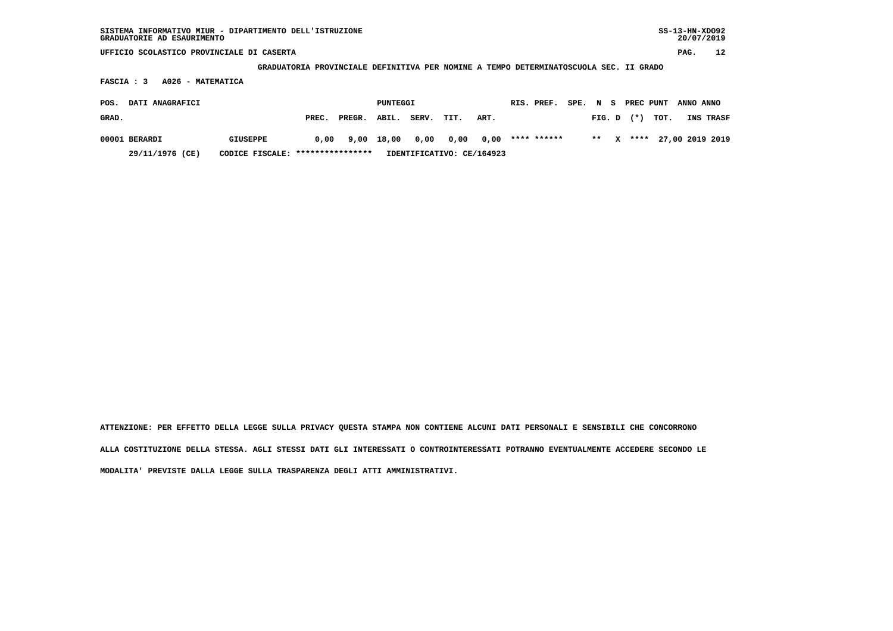| SISTEMA INFORMATIVO MIUR - DIPARTIMENTO DELL'ISTRUZIONE | SS-13-HN-XD092 |
|---------------------------------------------------------|----------------|
| GRADUATORIE AD ESAURIMENTO                              | 20/07/2019     |

 **GRADUATORIA PROVINCIALE DEFINITIVA PER NOMINE A TEMPO DETERMINATOSCUOLA SEC. II GRADO**

 **FASCIA : 3 A026 - MATEMATICA**

| POS.  | DATI ANAGRAFICI |                                  | PUNTEGGI |                                            |  | RIS. PREF.                |      |             | SPE. N S PREC PUNT ANNO ANNO |  |                   |                           |
|-------|-----------------|----------------------------------|----------|--------------------------------------------|--|---------------------------|------|-------------|------------------------------|--|-------------------|---------------------------|
| GRAD. |                 |                                  | PREC.    | PREGR. ABIL. SERV. TIT.                    |  |                           | ART. |             |                              |  | FIG. D $(*)$ TOT. | INS TRASF                 |
|       | 00001 BERARDI   | GIUSEPPE                         |          | $0.00$ $9.00$ $18.00$ $0.00$ $0.00$ $0.00$ |  |                           |      | **** ****** |                              |  |                   | ** X **** 27,00 2019 2019 |
|       | 29/11/1976 (CE) | CODICE FISCALE: **************** |          |                                            |  | IDENTIFICATIVO: CE/164923 |      |             |                              |  |                   |                           |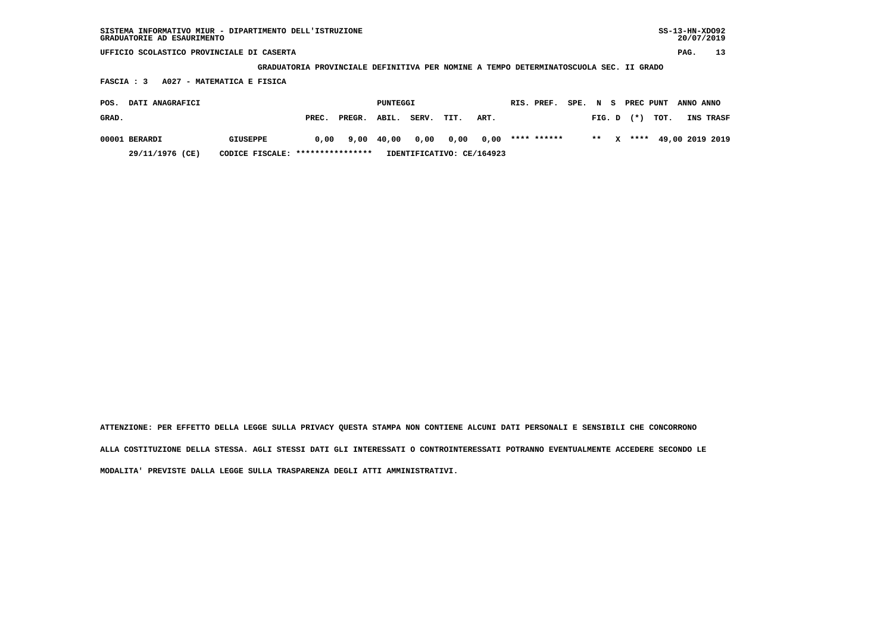| SISTEMA INFORMATIVO MIUR - DIPARTIMENTO DELL'ISTRUZIONE<br>GRADUATORIE AD ESAURIMENTO                                    |                    |       |        |          |       |      |      |  |             |      |             |     |           |      | $SS-13-HN-XDO92$<br>20/07/2019 |                 |
|--------------------------------------------------------------------------------------------------------------------------|--------------------|-------|--------|----------|-------|------|------|--|-------------|------|-------------|-----|-----------|------|--------------------------------|-----------------|
| UFFICIO SCOLASTICO PROVINCIALE DI CASERTA                                                                                |                    |       |        |          |       |      |      |  |             |      |             |     |           |      | PAG.                           | 13              |
|                                                                                                                          | <b>GRADUATORIA</b> |       |        |          |       |      |      |  |             |      |             |     |           |      |                                |                 |
| PROVINCIALE DEFINITIVA PER NOMINE A TEMPO DETERMINATOSCUOLA SEC. II GRADO<br>FASCIA : 3<br>A027<br>- MATEMATICA E FISICA |                    |       |        |          |       |      |      |  |             |      |             |     |           |      |                                |                 |
| DATI ANAGRAFICI<br>POS.                                                                                                  |                    |       |        | PUNTEGGI |       |      |      |  | RIS. PREF.  | SPE. | $\mathbf N$ | - 5 | PREC PUNT |      | ANNO ANNO                      |                 |
| GRAD.                                                                                                                    |                    | PREC. | PREGR. | ABIL.    | SERV. | TIT. | ART. |  |             |      | FIG. D      |     | $(* )$    | TOT. |                                | INS TRASF       |
| 00001 BERARDI                                                                                                            | <b>GIUSEPPE</b>    | 0,00  | 9,00   | 40,00    | 0,00  | 0,00 | 0,00 |  | **** ****** |      | $***$       | x   | ****      |      |                                | 49,00 2019 2019 |

 **29/11/1976 (CE) CODICE FISCALE: \*\*\*\*\*\*\*\*\*\*\*\*\*\*\*\* IDENTIFICATIVO: CE/164923**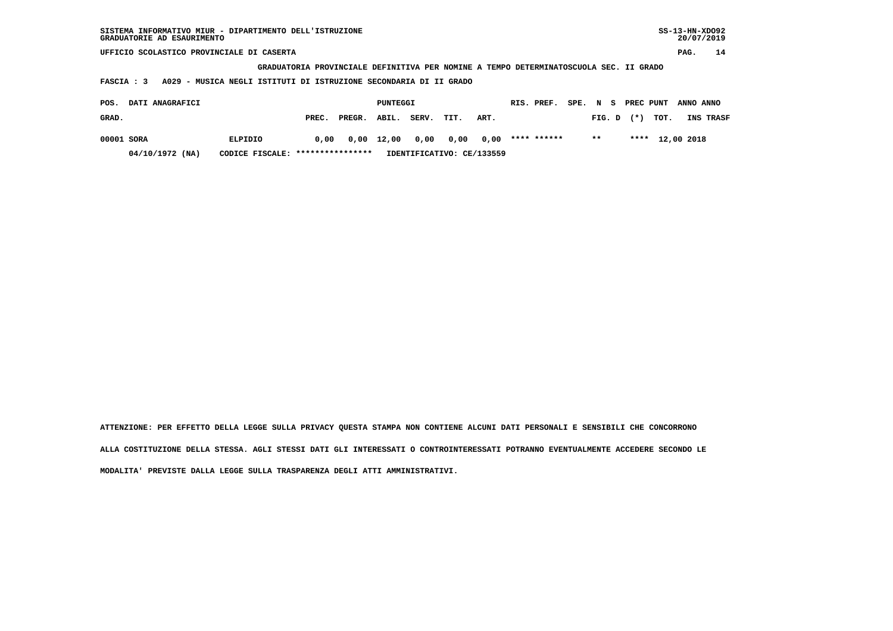| SISTEMA INFORMATIVO MIUR - DIPARTIMENTO DELL'ISTRUZIONE<br>GRADUATORIE AD ESAURIMENTO                                                                 |         |       |        |          |       |      |      |  |             |      |        |           |      | $SS-13-HN-XDO92$<br>20/07/2019 |           |
|-------------------------------------------------------------------------------------------------------------------------------------------------------|---------|-------|--------|----------|-------|------|------|--|-------------|------|--------|-----------|------|--------------------------------|-----------|
| UFFICIO SCOLASTICO PROVINCIALE DI CASERTA                                                                                                             |         |       |        |          |       |      |      |  |             |      |        |           |      | PAG.                           | 14        |
| GRADUATORIA PROVINCIALE DEFINITIVA PER NOMINE A TEMPO DETERMINATOSCUOLA SEC. II GRADO<br>- MUSICA NEGLI ISTITUTI DI ISTRUZIONE SECONDARIA DI II GRADO |         |       |        |          |       |      |      |  |             |      |        |           |      |                                |           |
| A029<br><b>FASCIA: 3</b>                                                                                                                              |         |       |        |          |       |      |      |  |             |      |        |           |      |                                |           |
| DATI ANAGRAFICI<br>POS.                                                                                                                               |         |       |        | PUNTEGGI |       |      |      |  | RIS. PREF.  | SPE. | N<br>s | PREC PUNT |      | ANNO ANNO                      |           |
| GRAD.                                                                                                                                                 |         | PREC. | PREGR. | ABIL.    | SERV. | TIT. | ART. |  |             |      | FIG. D | $(* )$    | TOT. |                                | INS TRASF |
| 00001 SORA                                                                                                                                            | ELPIDIO | 0,00  | 0,00   | 12,00    | 0,00  | 0,00 | 0,00 |  | **** ****** |      | $**$   | ****      |      | 12,00 2018                     |           |

 **04/10/1972 (NA) CODICE FISCALE: \*\*\*\*\*\*\*\*\*\*\*\*\*\*\*\* IDENTIFICATIVO: CE/133559**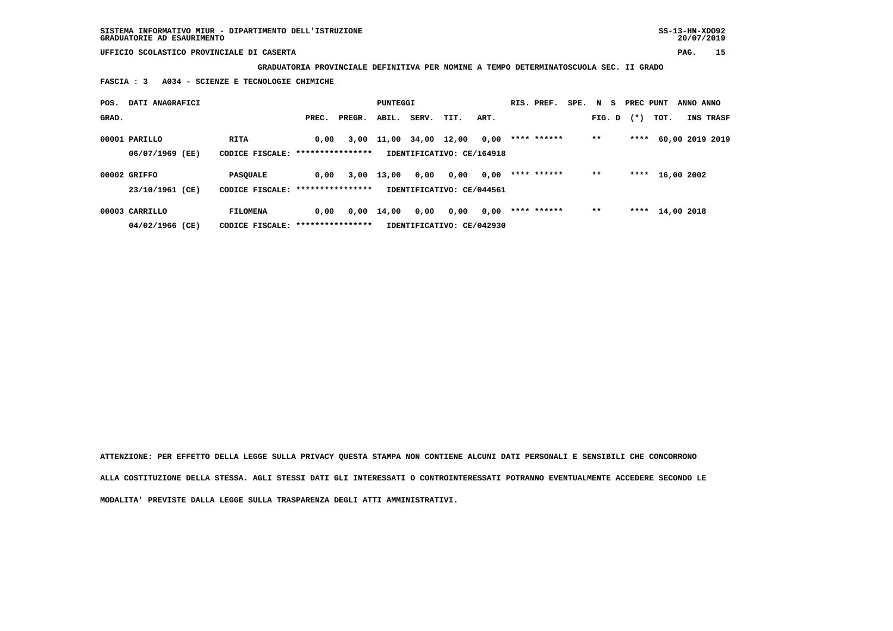**SISTEMA INFORMATIVO MIUR - DIPARTIMENTO DELL'ISTRUZIONE SS-13-HN-XDO92 GRADUATORIE AD ESAURIMENTO 20/07/2019**

 **UFFICIO SCOLASTICO PROVINCIALE DI CASERTA PAG. 15**

 **GRADUATORIA PROVINCIALE DEFINITIVA PER NOMINE A TEMPO DETERMINATOSCUOLA SEC. II GRADO**

 **FASCIA : 3 A034 - SCIENZE E TECNOLOGIE CHIMICHE**

| POS.  | DATI ANAGRAFICI |                                   |       |        | PUNTEGGI   |             |                           |      | RIS. PREF.  | SPE. | N S    | PREC PUNT |            | ANNO ANNO |                 |
|-------|-----------------|-----------------------------------|-------|--------|------------|-------------|---------------------------|------|-------------|------|--------|-----------|------------|-----------|-----------------|
| GRAD. |                 |                                   | PREC. | PREGR. | ABIL.      | SERV.       | TIT.                      | ART. |             |      | FIG. D | $(*)$     | TOT.       |           | INS TRASF       |
|       | 00001 PARILLO   | RITA                              | 0.00  |        | 3,00 11,00 | 34,00 12,00 |                           | 0,00 | **** ****** |      | $***$  | ****      |            |           | 60,00 2019 2019 |
|       | 06/07/1969 (EE) | CODICE FISCALE: ****************  |       |        |            |             | IDENTIFICATIVO: CE/164918 |      |             |      |        |           |            |           |                 |
|       | 00002 GRIFFO    | <b>PASOUALE</b>                   | 0,00  | 3,00   | 13,00      | 0,00        | 0,00                      | 0,00 | **** ****** |      | $* *$  | ****      | 16,00 2002 |           |                 |
|       | 23/10/1961 (CE) | CODICE FISCALE: ***************** |       |        |            |             | IDENTIFICATIVO: CE/044561 |      |             |      |        |           |            |           |                 |
|       | 00003 CARRILLO  | <b>FILOMENA</b>                   | 0,00  | 0,00   | 14,00      | 0,00        | 0,00                      | 0,00 | **** ****** |      | $* *$  | ****      | 14,00 2018 |           |                 |
|       | 04/02/1966 (CE) | CODICE FISCALE: ***************** |       |        |            |             | IDENTIFICATIVO: CE/042930 |      |             |      |        |           |            |           |                 |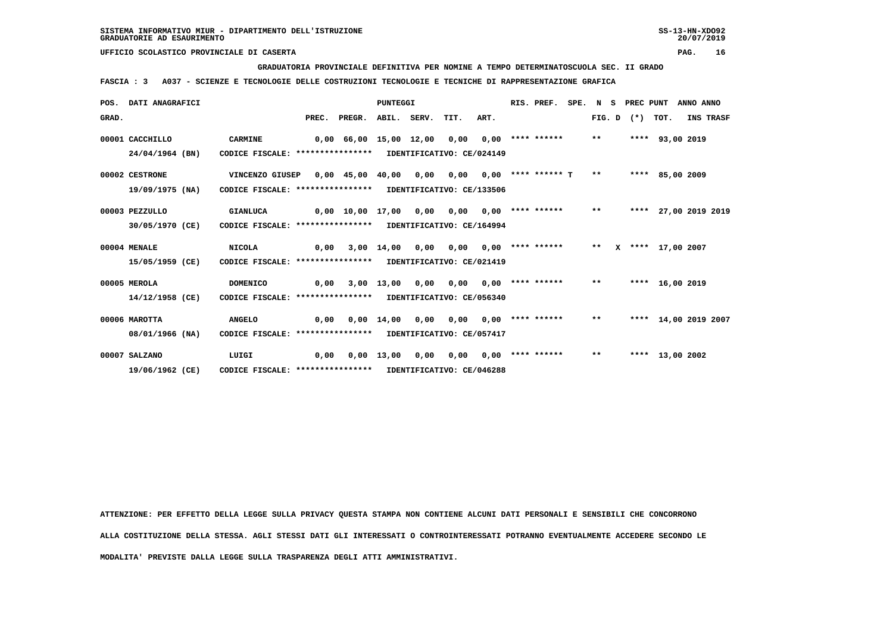**GRADUATORIA PROVINCIALE DEFINITIVA PER NOMINE A TEMPO DETERMINATOSCUOLA SEC. II GRADO**

 **FASCIA : 3 A037 - SCIENZE E TECNOLOGIE DELLE COSTRUZIONI TECNOLOGIE E TECNICHE DI RAPPRESENTAZIONE GRAFICA**

|       | POS. DATI ANAGRAFICI |                                                            |       |                               | <b>PUNTEGGI</b> |      |      |      | RIS. PREF.                   |       | SPE. N S PREC PUNT |                      | ANNO ANNO |           |
|-------|----------------------|------------------------------------------------------------|-------|-------------------------------|-----------------|------|------|------|------------------------------|-------|--------------------|----------------------|-----------|-----------|
| GRAD. |                      |                                                            | PREC. | PREGR.                        | ABIL. SERV.     |      | TIT. | ART. |                              |       | FIG. D $(*)$ TOT.  |                      |           | INS TRASF |
|       | 00001 CACCHILLO      | <b>CARMINE</b>                                             |       | $0,00$ 66,00 15,00 12,00      |                 |      | 0,00 |      | $0,00$ **** ****** **        |       |                    | **** 93,00 2019      |           |           |
|       | 24/04/1964 (BN)      | CODICE FISCALE: **************** IDENTIFICATIVO: CE/024149 |       |                               |                 |      |      |      |                              |       |                    |                      |           |           |
|       | 00002 CESTRONE       | VINCENZO GIUSEP                                            |       | $0,00$ 45,00 40,00            |                 | 0,00 |      |      | $0,00$ $0,00$ **** ****** T  | $***$ |                    | **** 85,00 2009      |           |           |
|       | 19/09/1975 (NA)      | CODICE FISCALE: **************** IDENTIFICATIVO: CE/133506 |       |                               |                 |      |      |      |                              |       |                    |                      |           |           |
|       | 00003 PEZZULLO       | <b>GIANLUCA</b>                                            |       | $0,00$ $10,00$ $17,00$ $0,00$ |                 |      | 0,00 |      | $0,00$ **** ****** **        |       |                    | **** 27,00 2019 2019 |           |           |
|       | 30/05/1970 (CE)      | CODICE FISCALE: **************** IDENTIFICATIVO: CE/164994 |       |                               |                 |      |      |      |                              |       |                    |                      |           |           |
|       | 00004 MENALE         | <b>NICOLA</b>                                              | 0,00  |                               | 3,00 14,00      | 0,00 |      |      | $0,00$ $0,00$ **** ****** ** |       |                    | X **** 17,00 2007    |           |           |
|       | 15/05/1959 (CE)      | CODICE FISCALE: **************** IDENTIFICATIVO: CE/021419 |       |                               |                 |      |      |      |                              |       |                    |                      |           |           |
|       | 00005 MEROLA         | <b>DOMENICO</b>                                            | 0,00  |                               | 3,00 13,00 0,00 |      |      |      | $0,00$ $0,00$ **** ******    | $***$ |                    | **** 16,00 2019      |           |           |
|       | 14/12/1958 (CE)      | CODICE FISCALE: **************** IDENTIFICATIVO: CE/056340 |       |                               |                 |      |      |      |                              |       |                    |                      |           |           |
|       | 00006 MAROTTA        | <b>ANGELO</b>                                              | 0,00  |                               | 0,00 14,00      | 0,00 |      |      | $0,00$ $0,00$ **** ******    | $***$ |                    | **** 14,00 2019 2007 |           |           |
|       | 08/01/1966 (NA)      | CODICE FISCALE: **************** IDENTIFICATIVO: CE/057417 |       |                               |                 |      |      |      |                              |       |                    |                      |           |           |
|       | 00007 SALZANO        | LUIGI                                                      | 0,00  | 0.00                          | 13,00           | 0,00 | 0,00 |      | $0,00$ **** ******           | $***$ |                    | **** 13,00 2002      |           |           |
|       | 19/06/1962 (CE)      | CODICE FISCALE: **************** IDENTIFICATIVO: CE/046288 |       |                               |                 |      |      |      |                              |       |                    |                      |           |           |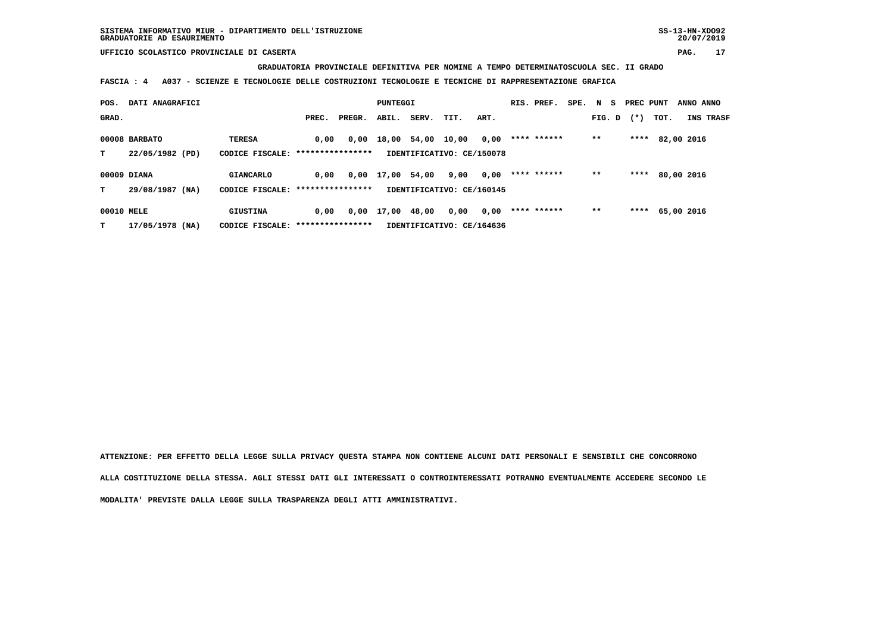**GRADUATORIA PROVINCIALE DEFINITIVA PER NOMINE A TEMPO DETERMINATOSCUOLA SEC. II GRADO**

 **FASCIA : 4 A037 - SCIENZE E TECNOLOGIE DELLE COSTRUZIONI TECNOLOGIE E TECNICHE DI RAPPRESENTAZIONE GRAFICA**

| POS.       | DATI ANAGRAFICI |                                   |                  | PUNTEGGI |       |                   |                           | RIS. PREF. | SPE.        | N S | PREC PUNT |       | ANNO ANNO |            |  |
|------------|-----------------|-----------------------------------|------------------|----------|-------|-------------------|---------------------------|------------|-------------|-----|-----------|-------|-----------|------------|--|
| GRAD.      |                 |                                   | PREC.            | PREGR.   | ABIL. | SERV.             | TIT.                      | ART.       |             |     | FIG. D    | $(*)$ | тот.      | INS TRASF  |  |
|            | 00008 BARBATO   | <b>TERESA</b>                     | 0.00             | 0,00     |       | 18,00 54,00 10,00 |                           | 0,00       | **** ****** |     | $***$     | ****  |           | 82,00 2016 |  |
| т          | 22/05/1982 (PD) | CODICE FISCALE: ****************  |                  |          |       |                   | IDENTIFICATIVO: CE/150078 |            |             |     |           |       |           |            |  |
|            | 00009 DIANA     | <b>GIANCARLO</b>                  | 0.00             | 0,00     | 17,00 | 54,00             | 9,00                      | 0,00       | **** ****** |     | $* *$     | ****  |           | 80,00 2016 |  |
| т          | 29/08/1987 (NA) | CODICE FISCALE: ***************** |                  |          |       |                   | IDENTIFICATIVO: CE/160145 |            |             |     |           |       |           |            |  |
| 00010 MELE |                 | GIUSTINA                          | 0,00             | 0,00     | 17,00 | 48,00             | 0,00                      | 0,00       | **** ****** |     | $* *$     | ****  |           | 65,00 2016 |  |
| т          | 17/05/1978 (NA) | CODICE FISCALE:                   | **************** |          |       |                   | IDENTIFICATIVO: CE/164636 |            |             |     |           |       |           |            |  |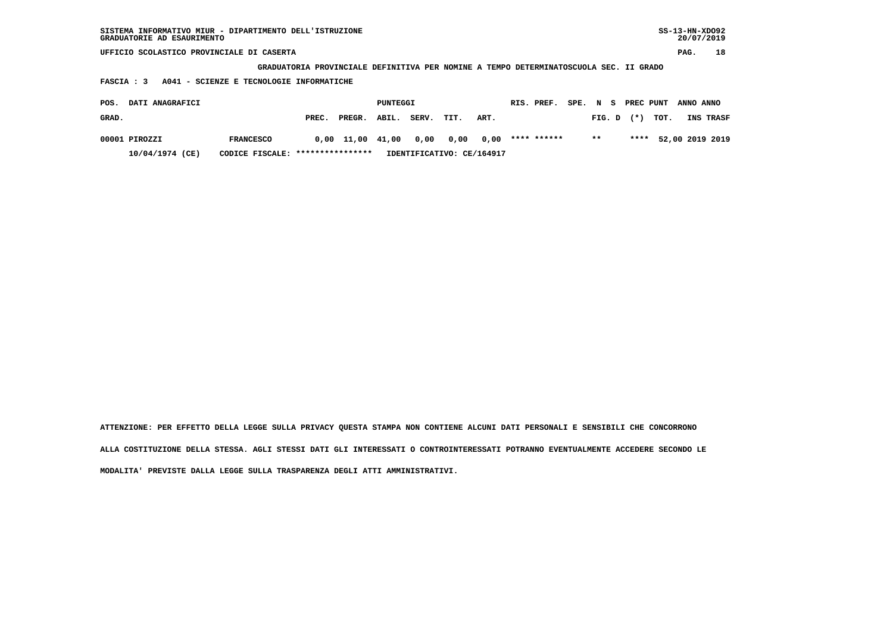| SISTEMA INFORMATIVO MIUR - DIPARTIMENTO DELL'ISTRUZIONE<br>GRADUATORIE AD ESAURIMENTO |                  |       |        |          |       |      |      |             |                           |               | $SS-13-HN-XDO92$<br>20/07/2019 |    |  |
|---------------------------------------------------------------------------------------|------------------|-------|--------|----------|-------|------|------|-------------|---------------------------|---------------|--------------------------------|----|--|
| UFFICIO SCOLASTICO PROVINCIALE DI CASERTA                                             |                  |       |        |          |       |      |      |             |                           |               | PAG.                           | 18 |  |
| GRADUATORIA PROVINCIALE DEFINITIVA PER NOMINE A TEMPO DETERMINATOSCUOLA SEC. II GRADO |                  |       |        |          |       |      |      |             |                           |               |                                |    |  |
| A041 - SCIENZE E TECNOLOGIE INFORMATICHE<br>FASCIA : 3                                |                  |       |        |          |       |      |      |             |                           |               |                                |    |  |
| DATI ANAGRAFICI<br>POS.                                                               |                  |       |        | PUNTEGGI |       |      |      | RIS. PREF.  | SPE.<br>$\mathbf N$<br>S. | PREC PUNT     | ANNO ANNO                      |    |  |
| GRAD.                                                                                 |                  | PREC. | PREGR. | ABIL.    | SERV. | TIT. | ART. |             | FIG. D                    | TOT.<br>$(*)$ | INS TRASF                      |    |  |
| 00001 PIROZZI                                                                         | <b>FRANCESCO</b> | 0,00  | 11,00  | 41,00    | 0,00  | 0,00 | 0.00 | **** ****** | $* *$                     | ****          | 52,00 2019 2019                |    |  |

 **10/04/1974 (CE) CODICE FISCALE: \*\*\*\*\*\*\*\*\*\*\*\*\*\*\*\* IDENTIFICATIVO: CE/164917**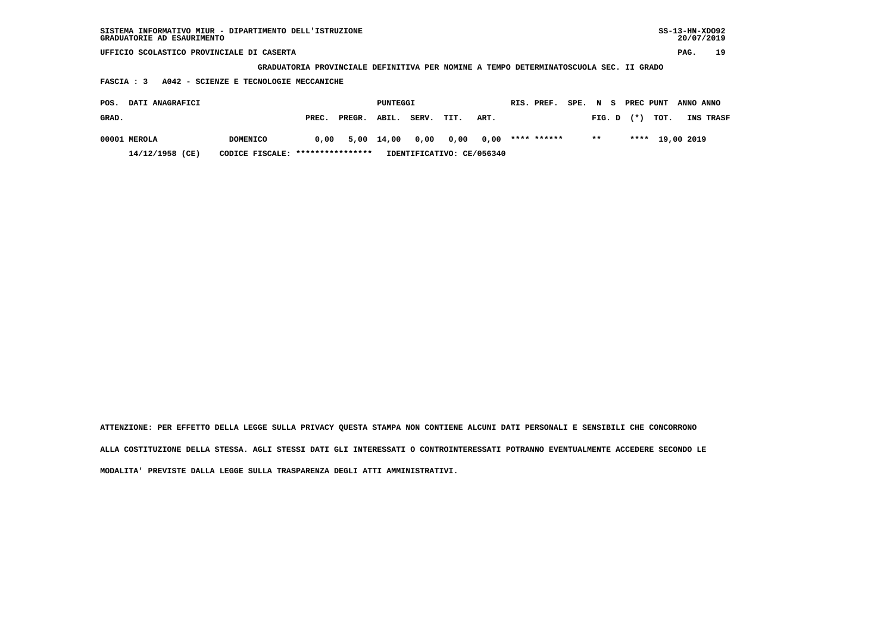| SISTEMA INFORMATIVO MIUR - DIPARTIMENTO DELL'ISTRUZIONE<br>GRADUATORIE AD ESAURIMENTO |                 |       |        |          |       |      |      |  |             |          |        |  |           |      | $SS-13-HN-XDO92$<br>20/07/2019 |           |
|---------------------------------------------------------------------------------------|-----------------|-------|--------|----------|-------|------|------|--|-------------|----------|--------|--|-----------|------|--------------------------------|-----------|
| UFFICIO SCOLASTICO PROVINCIALE DI CASERTA                                             |                 |       |        |          |       |      |      |  |             |          |        |  |           |      | PAG.                           | 19        |
| GRADUATORIA PROVINCIALE DEFINITIVA PER NOMINE A TEMPO DETERMINATOSCUOLA SEC. II GRADO |                 |       |        |          |       |      |      |  |             |          |        |  |           |      |                                |           |
| A042 - SCIENZE E TECNOLOGIE MECCANICHE<br>FASCIA : 3                                  |                 |       |        |          |       |      |      |  |             |          |        |  |           |      |                                |           |
| DATI ANAGRAFICI<br>POS.                                                               |                 |       |        | PUNTEGGI |       |      |      |  | RIS. PREF.  | SPE. N S |        |  | PREC PUNT |      | ANNO ANNO                      |           |
| GRAD.                                                                                 |                 | PREC. | PREGR. | ABIL.    | SERV. | TIT. | ART. |  |             |          | FIG. D |  | $(*)$     | TOT. |                                | INS TRASF |
| 00001 MEROLA                                                                          | <b>DOMENICO</b> | 0.00  | 5,00   | 14,00    | 0,00  | 0,00 | 0,00 |  | **** ****** |          | $***$  |  | ****      |      | 19,00 2019                     |           |

 **14/12/1958 (CE) CODICE FISCALE: \*\*\*\*\*\*\*\*\*\*\*\*\*\*\*\* IDENTIFICATIVO: CE/056340**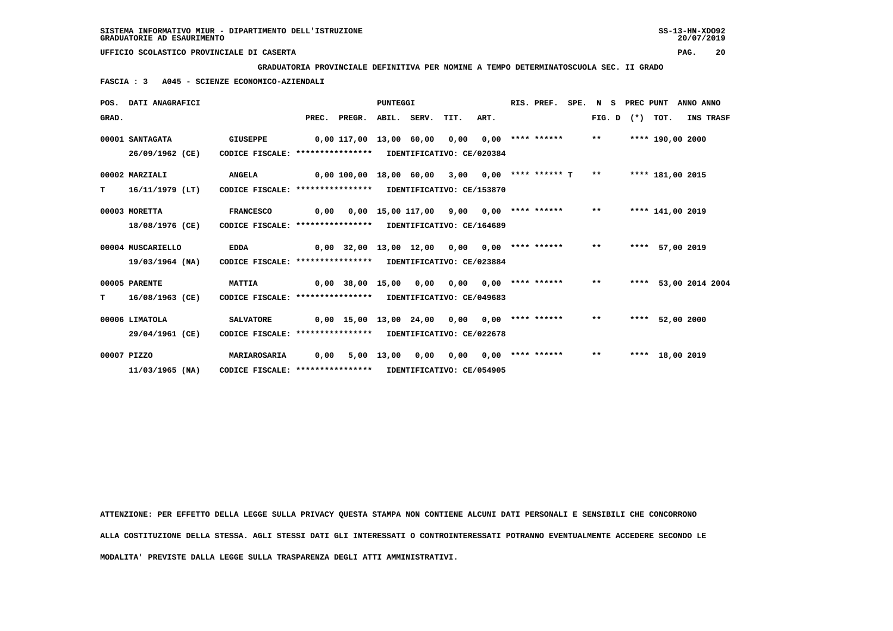**GRADUATORIA PROVINCIALE DEFINITIVA PER NOMINE A TEMPO DETERMINATOSCUOLA SEC. II GRADO**

 **FASCIA : 3 A045 - SCIENZE ECONOMICO-AZIENDALI**

|       | POS. DATI ANAGRAFICI |                                                            |                                                   |                                                   | <b>PUNTEGGI</b> |                 |                                              |      | RIS. PREF.              | SPE. N S |       | PREC PUNT |                      | ANNO ANNO |           |
|-------|----------------------|------------------------------------------------------------|---------------------------------------------------|---------------------------------------------------|-----------------|-----------------|----------------------------------------------|------|-------------------------|----------|-------|-----------|----------------------|-----------|-----------|
| GRAD. |                      |                                                            |                                                   | PREC. PREGR. ABIL. SERV. TIT.                     |                 |                 |                                              | ART. |                         |          |       |           | FIG. D $(*)$ TOT.    |           | INS TRASF |
|       | 00001 SANTAGATA      | <b>GIUSEPPE</b>                                            |                                                   | 0,00 117,00 13,00 60,00 0,00                      |                 |                 |                                              |      | $0,00$ **** ****** **   |          |       |           | **** 190,00 2000     |           |           |
|       | 26/09/1962 (CE)      | CODICE FISCALE: **************** IDENTIFICATIVO: CE/020384 |                                                   |                                                   |                 |                 |                                              |      |                         |          |       |           |                      |           |           |
|       | 00002 MARZIALI       | <b>ANGELA</b>                                              | 0,00 100,00 18,00 60,00 3,00                      |                                                   |                 |                 |                                              |      | $0,00$ **** ****** T ** |          |       |           | **** 181,00 2015     |           |           |
| т     | 16/11/1979 (LT)      | CODICE FISCALE: **************** IDENTIFICATIVO: CE/153870 |                                                   |                                                   |                 |                 |                                              |      |                         |          |       |           |                      |           |           |
|       | 00003 MORETTA        | <b>FRANCESCO</b>                                           | 0,00                                              |                                                   |                 |                 | $0,00$ 15,00 117,00 9,00 0,00 **** ****** ** |      |                         |          |       |           | **** 141,00 2019     |           |           |
|       | 18/08/1976 (CE)      | CODICE FISCALE: **************** IDENTIFICATIVO: CE/164689 |                                                   |                                                   |                 |                 |                                              |      |                         |          |       |           |                      |           |           |
|       | 00004 MUSCARIELLO    | <b>EDDA</b>                                                |                                                   | $0,00$ 32,00 13,00 12,00 0,00 0,00 **** ****** ** |                 |                 |                                              |      |                         |          |       |           | **** 57,00 2019      |           |           |
|       | 19/03/1964 (NA)      | CODICE FISCALE: **************** IDENTIFICATIVO: CE/023884 |                                                   |                                                   |                 |                 |                                              |      |                         |          |       |           |                      |           |           |
|       | 00005 PARENTE        | <b>MATTIA</b>                                              | 0,00 38,00 15,00 0,00 0,00 0,00 **** ****** ** ** |                                                   |                 |                 |                                              |      |                         |          |       |           | **** 53,00 2014 2004 |           |           |
| т     | 16/08/1963 (CE)      | CODICE FISCALE: **************** IDENTIFICATIVO: CE/049683 |                                                   |                                                   |                 |                 |                                              |      |                         |          |       |           |                      |           |           |
|       | 00006 LIMATOLA       | <b>SALVATORE</b>                                           | 0,00 15,00 13,00 24,00 0,00 0,00 **** ****** ***  |                                                   |                 |                 |                                              |      |                         |          |       |           | **** 52,00 2000      |           |           |
|       | 29/04/1961 (CE)      | CODICE FISCALE: **************** IDENTIFICATIVO: CE/022678 |                                                   |                                                   |                 |                 |                                              |      |                         |          |       |           |                      |           |           |
|       | 00007 PIZZO          | MARIAROSARIA                                               | 0,00                                              |                                                   |                 | 5,00 13,00 0,00 | 0,00                                         |      | $0.00$ **** ******      |          | $***$ |           | **** 18,00 2019      |           |           |
|       | $11/03/1965$ (NA)    | CODICE FISCALE: **************** IDENTIFICATIVO: CE/054905 |                                                   |                                                   |                 |                 |                                              |      |                         |          |       |           |                      |           |           |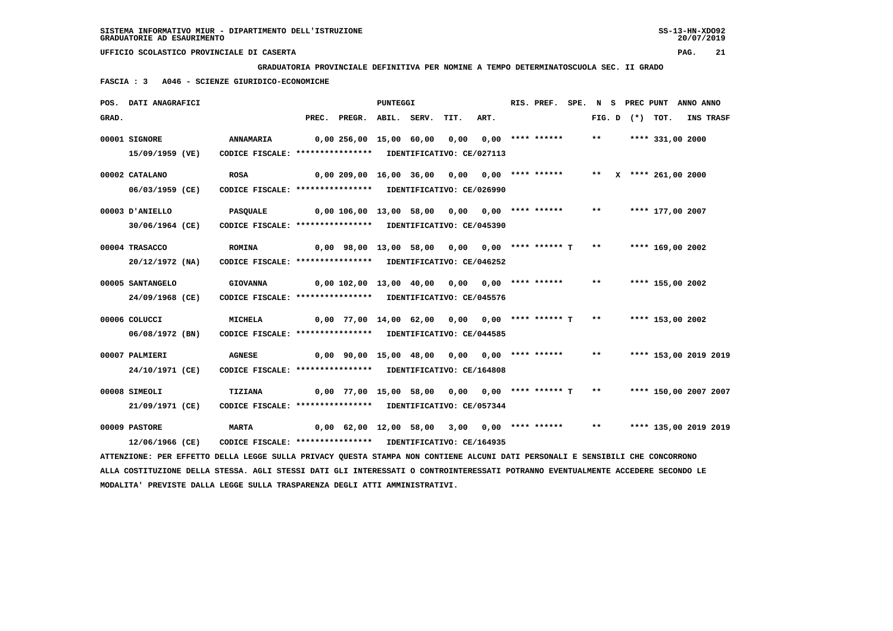**GRADUATORIA PROVINCIALE DEFINITIVA PER NOMINE A TEMPO DETERMINATOSCUOLA SEC. II GRADO**

 **FASCIA : 3 A046 - SCIENZE GIURIDICO-ECONOMICHE**

|       | POS. DATI ANAGRAFICI                                                                                                            |                                                            |                                                                         | <b>PUNTEGGI</b> |      |      | RIS. PREF. |       |  | SPE. N S PREC PUNT ANNO ANNO |           |
|-------|---------------------------------------------------------------------------------------------------------------------------------|------------------------------------------------------------|-------------------------------------------------------------------------|-----------------|------|------|------------|-------|--|------------------------------|-----------|
| GRAD. |                                                                                                                                 |                                                            | PREC. PREGR. ABIL. SERV.                                                |                 | TIT. | ART. |            |       |  | FIG. D $(*)$ TOT.            | INS TRASF |
|       | 00001 SIGNORE                                                                                                                   | <b>ANNAMARIA</b>                                           | 0,00 256,00 15,00 60,00 0,00 0,00 **** ******                           |                 |      |      |            | $***$ |  | **** 331,00 2000             |           |
|       | 15/09/1959 (VE)                                                                                                                 | CODICE FISCALE: **************** IDENTIFICATIVO: CE/027113 |                                                                         |                 |      |      |            |       |  |                              |           |
|       | 00002 CATALANO                                                                                                                  | <b>ROSA</b>                                                | 0,00 209,00 16,00 36,00 0,00 0,00 **** ******                           |                 |      |      |            |       |  | ** $X$ **** 261,00 2000      |           |
|       | 06/03/1959 (CE)                                                                                                                 | CODICE FISCALE: **************** IDENTIFICATIVO: CE/026990 |                                                                         |                 |      |      |            |       |  |                              |           |
|       | 00003 D'ANIELLO                                                                                                                 | <b>PASQUALE</b>                                            | 0,00 106,00 13,00 58,00 0,00 0,00 **** ******                           |                 |      |      |            | $***$ |  | **** 177,00 2007             |           |
|       | 30/06/1964 (CE)                                                                                                                 | CODICE FISCALE: **************** IDENTIFICATIVO: CE/045390 |                                                                         |                 |      |      |            |       |  |                              |           |
|       | 00004 TRASACCO                                                                                                                  | <b>ROMINA</b>                                              | $0,00$ 98,00 13,00 58,00 0,00 0,00 **** ****** T                        |                 |      |      |            | $***$ |  | **** 169,00 2002             |           |
|       | $20/12/1972$ (NA)                                                                                                               | CODICE FISCALE: **************** IDENTIFICATIVO: CE/046252 |                                                                         |                 |      |      |            |       |  |                              |           |
|       | 00005 SANTANGELO                                                                                                                | <b>GIOVANNA</b>                                            | $0,00$ 102,00 13,00 40,00 0,00 0,00 **** ******                         |                 |      |      |            | $***$ |  | **** 155,00 2002             |           |
|       | 24/09/1968 (CE)                                                                                                                 | CODICE FISCALE: **************** IDENTIFICATIVO: CE/045576 |                                                                         |                 |      |      |            |       |  |                              |           |
|       | 00006 COLUCCI                                                                                                                   | <b>MICHELA</b>                                             | $0,00$ 77,00 14,00 62,00 0,00 0,00 **** ****** T                        |                 |      |      |            | $***$ |  | **** 153,00 2002             |           |
|       | 06/08/1972 (BN)                                                                                                                 | CODICE FISCALE: **************** IDENTIFICATIVO: CE/044585 |                                                                         |                 |      |      |            |       |  |                              |           |
|       | 00007 PALMIERI                                                                                                                  | <b>AGNESE</b>                                              | 0,00 90,00 15,00 48,00 0,00 0,00 **** ******                            |                 |      |      |            | $***$ |  | **** 153,00 2019 2019        |           |
|       | 24/10/1971 (CE)                                                                                                                 | CODICE FISCALE: **************** IDENTIFICATIVO: CE/164808 |                                                                         |                 |      |      |            |       |  |                              |           |
|       | 00008 SIMEOLI                                                                                                                   | <b>TIZIANA</b>                                             | 0,00 77,00 15,00 58,00 0,00 0,00 **** ****** T ** **** 150,00 2007 2007 |                 |      |      |            |       |  |                              |           |
|       | 21/09/1971 (CE)                                                                                                                 | CODICE FISCALE: **************** IDENTIFICATIVO: CE/057344 |                                                                         |                 |      |      |            |       |  |                              |           |
|       | 00009 PASTORE                                                                                                                   | <b>MARTA</b>                                               | $0,00$ 62,00 12,00 58,00 3,00 0,00 **** ****** **                       |                 |      |      |            |       |  | **** 135,00 2019 2019        |           |
|       | 12/06/1966 (CE)                                                                                                                 | CODICE FISCALE: **************** IDENTIFICATIVO: CE/164935 |                                                                         |                 |      |      |            |       |  |                              |           |
|       | ATTENZIONE: PER EFFETTO DELLA LEGGE SULLA PRIVACY QUESTA STAMPA NON CONTIENE ALCUNI DATI PERSONALI E SENSIBILI CHE CONCORRONO   |                                                            |                                                                         |                 |      |      |            |       |  |                              |           |
|       | ALLA COSTITUZIONE DELLA STESSA. AGLI STESSI DATI GLI INTERESSATI O CONTROINTERESSATI POTRANNO EVENTUALMENTE ACCEDERE SECONDO LE |                                                            |                                                                         |                 |      |      |            |       |  |                              |           |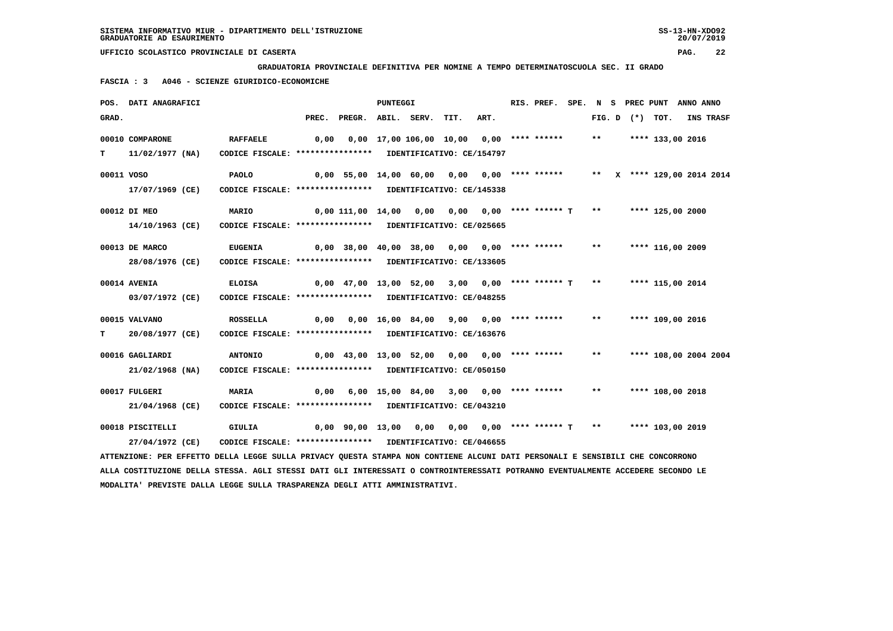**GRADUATORIA PROVINCIALE DEFINITIVA PER NOMINE A TEMPO DETERMINATOSCUOLA SEC. II GRADO**

 **FASCIA : 3 A046 - SCIENZE GIURIDICO-ECONOMICHE**

|            | POS. DATI ANAGRAFICI                                                                                                          |                                                            |                                                                         |                                                                            | PUNTEGGI |                                            |      | RIS. PREF. SPE. N S PREC PUNT ANNO ANNO |       |  |                     |                       |
|------------|-------------------------------------------------------------------------------------------------------------------------------|------------------------------------------------------------|-------------------------------------------------------------------------|----------------------------------------------------------------------------|----------|--------------------------------------------|------|-----------------------------------------|-------|--|---------------------|-----------------------|
| GRAD.      |                                                                                                                               |                                                            |                                                                         | PREC. PREGR. ABIL. SERV.                                                   |          | TIT.                                       | ART. |                                         |       |  | FIG. $D$ $(*)$ TOT. | INS TRASF             |
|            | 00010 COMPARONE                                                                                                               | <b>RAFFAELE</b>                                            | 0,00                                                                    |                                                                            |          | $0,00$ 17,00 106,00 10,00 0,00 **** ****** |      |                                         | $***$ |  | **** 133,00 2016    |                       |
| т          | 11/02/1977 (NA)                                                                                                               | CODICE FISCALE: **************** IDENTIFICATIVO: CE/154797 |                                                                         |                                                                            |          |                                            |      |                                         |       |  |                     |                       |
| 00011 VOSO |                                                                                                                               | PAOLO                                                      |                                                                         | 0,00 55,00 14,00 60,00 0,00 0,00 **** ****** ** ** X **** 129,00 2014 2014 |          |                                            |      |                                         |       |  |                     |                       |
|            | 17/07/1969 (CE)                                                                                                               | CODICE FISCALE: **************** IDENTIFICATIVO: CE/145338 |                                                                         |                                                                            |          |                                            |      |                                         |       |  |                     |                       |
|            | 00012 DI MEO                                                                                                                  | MARIO                                                      |                                                                         | 0,00 111,00 14,00 0,00 0,00 0,00 **** ****** T                             |          |                                            |      |                                         | $***$ |  | **** 125,00 2000    |                       |
|            | 14/10/1963 (CE)                                                                                                               | CODICE FISCALE: **************** IDENTIFICATIVO: CE/025665 |                                                                         |                                                                            |          |                                            |      |                                         |       |  |                     |                       |
|            | 00013 DE MARCO                                                                                                                | <b>EUGENIA</b>                                             |                                                                         | 0,00 38,00 40,00 38,00 0,00 0,00 **** ******                               |          |                                            |      |                                         | $***$ |  | **** 116,00 2009    |                       |
|            | 28/08/1976 (CE)                                                                                                               | CODICE FISCALE: **************** IDENTIFICATIVO: CE/133605 |                                                                         |                                                                            |          |                                            |      |                                         |       |  |                     |                       |
|            | 00014 AVENIA                                                                                                                  | <b>ELOISA</b>                                              | 0,00 47,00 13,00 52,00  3,00  0,00 **** ****** T  **   **** 115,00 2014 |                                                                            |          |                                            |      |                                         |       |  |                     |                       |
|            | 03/07/1972 (CE)                                                                                                               | CODICE FISCALE: **************** IDENTIFICATIVO: CE/048255 |                                                                         |                                                                            |          |                                            |      |                                         |       |  |                     |                       |
|            | 00015 VALVANO                                                                                                                 | <b>ROSSELLA</b>                                            |                                                                         | 0,00  0,00  16,00  84,00  9,00  0,00  ****  ******                         |          |                                            |      |                                         | $***$ |  | **** 109,00 2016    |                       |
| т          | 20/08/1977 (CE)                                                                                                               | CODICE FISCALE: **************** IDENTIFICATIVO: CE/163676 |                                                                         |                                                                            |          |                                            |      |                                         |       |  |                     |                       |
|            | 00016 GAGLIARDI                                                                                                               | <b>ANTONIO</b>                                             |                                                                         | 0,00 43,00 13,00 52,00 0,00 0,00 **** ******                               |          |                                            |      |                                         | $**$  |  |                     | **** 108,00 2004 2004 |
|            | 21/02/1968 (NA)                                                                                                               | CODICE FISCALE: **************** IDENTIFICATIVO: CE/050150 |                                                                         |                                                                            |          |                                            |      |                                         |       |  |                     |                       |
|            | 00017 FULGERI                                                                                                                 | <b>MARIA</b>                                               |                                                                         | 0,00 6,00 15,00 84,00 3,00 0,00 **** ****** ** **                          |          |                                            |      |                                         |       |  | **** 108,00 2018    |                       |
|            | 21/04/1968 (CE)                                                                                                               | CODICE FISCALE: **************** IDENTIFICATIVO: CE/043210 |                                                                         |                                                                            |          |                                            |      |                                         |       |  |                     |                       |
|            | 00018 PISCITELLI                                                                                                              | GIULIA                                                     |                                                                         | 0,00 90,00 13,00 0,00 0,00 0,00 **** ****** T **                           |          |                                            |      |                                         |       |  | **** 103,00 2019    |                       |
|            | 27/04/1972 (CE)                                                                                                               | CODICE FISCALE: **************** IDENTIFICATIVO: CE/046655 |                                                                         |                                                                            |          |                                            |      |                                         |       |  |                     |                       |
|            | ATTENZIONE: PER EFFETTO DELLA LEGGE SULLA PRIVACY QUESTA STAMPA NON CONTIENE ALCUNI DATI PERSONALI E SENSIBILI CHE CONCORRONO |                                                            |                                                                         |                                                                            |          |                                            |      |                                         |       |  |                     |                       |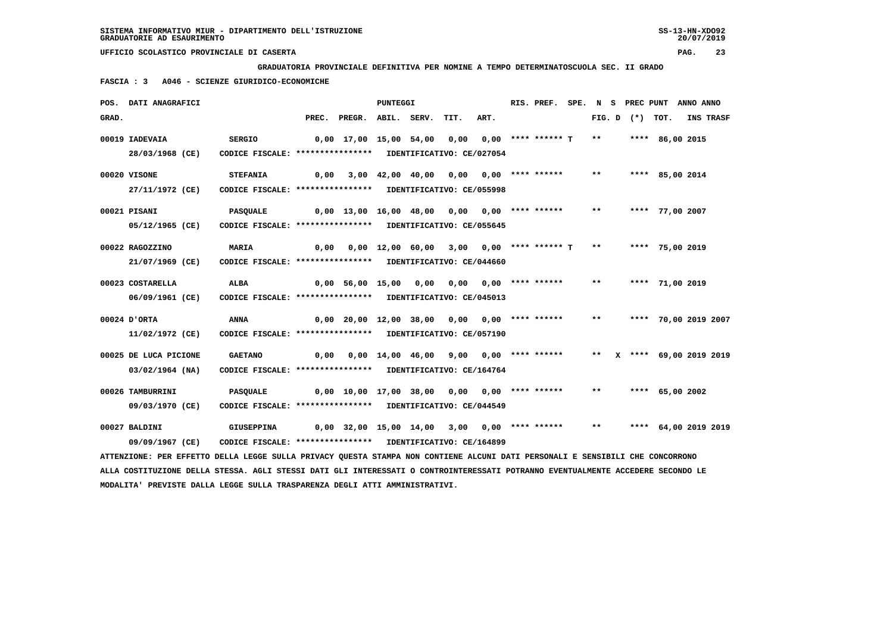**GRADUATORIA PROVINCIALE DEFINITIVA PER NOMINE A TEMPO DETERMINATOSCUOLA SEC. II GRADO**

 **FASCIA : 3 A046 - SCIENZE GIURIDICO-ECONOMICHE**

|       | POS. DATI ANAGRAFICI                                                                                                            |                                                            |       |                                                           | <b>PUNTEGGI</b> |                                          |                                 | RIS. PREF.           |       |  |                   | SPE. N S PREC PUNT ANNO ANNO |  |
|-------|---------------------------------------------------------------------------------------------------------------------------------|------------------------------------------------------------|-------|-----------------------------------------------------------|-----------------|------------------------------------------|---------------------------------|----------------------|-------|--|-------------------|------------------------------|--|
| GRAD. |                                                                                                                                 |                                                            | PREC. | PREGR. ABIL. SERV.                                        |                 | TIT.                                     | ART.                            |                      |       |  | FIG. D $(*)$ TOT. | INS TRASF                    |  |
|       | 00019 IADEVAIA                                                                                                                  | <b>SERGIO</b>                                              |       | 0,00 17,00 15,00 54,00                                    |                 | 0,00                                     |                                 | $0.00$ **** ****** T | $***$ |  | **** 86,00 2015   |                              |  |
|       | 28/03/1968 (CE)                                                                                                                 | CODICE FISCALE: **************** IDENTIFICATIVO: CE/027054 |       |                                                           |                 |                                          |                                 |                      |       |  |                   |                              |  |
|       | 00020 VISONE                                                                                                                    | <b>STEFANIA</b>                                            | 0,00  |                                                           |                 | $3,00$ 42,00 40,00 0,00 0,00 **** ****** |                                 |                      | $* *$ |  | **** 85,00 2014   |                              |  |
|       | 27/11/1972 (CE)                                                                                                                 | CODICE FISCALE: **************** IDENTIFICATIVO: CE/055998 |       |                                                           |                 |                                          |                                 |                      |       |  |                   |                              |  |
|       |                                                                                                                                 |                                                            |       |                                                           |                 |                                          |                                 |                      |       |  |                   |                              |  |
|       | 00021 PISANI                                                                                                                    | <b>PASQUALE</b>                                            |       | 0,00 13,00 16,00 48,00 0,00                               |                 |                                          |                                 | $0.00$ **** ******   | $***$ |  | **** 77,00 2007   |                              |  |
|       | 05/12/1965 (CE)                                                                                                                 | CODICE FISCALE: **************** IDENTIFICATIVO: CE/055645 |       |                                                           |                 |                                          |                                 |                      |       |  |                   |                              |  |
|       | 00022 RAGOZZINO                                                                                                                 | <b>MARIA</b>                                               |       | $0,00$ $0,00$ $12,00$ $60,00$ $3,00$ $0,00$ **** ****** T |                 |                                          |                                 |                      | $* *$ |  | **** 75,00 2019   |                              |  |
|       | 21/07/1969 (CE)                                                                                                                 | CODICE FISCALE: **************** IDENTIFICATIVO: CE/044660 |       |                                                           |                 |                                          |                                 |                      |       |  |                   |                              |  |
|       |                                                                                                                                 |                                                            |       |                                                           |                 |                                          |                                 |                      |       |  |                   |                              |  |
|       | 00023 COSTARELLA                                                                                                                | ALBA                                                       |       | $0,00$ 56,00 15,00 0,00                                   |                 |                                          | $0,00$ $0,00$ $***$ **** ****** |                      | $***$ |  | **** 71,00 2019   |                              |  |
|       | 06/09/1961 (CE)                                                                                                                 | CODICE FISCALE: **************** IDENTIFICATIVO: CE/045013 |       |                                                           |                 |                                          |                                 |                      |       |  |                   |                              |  |
|       | 00024 D'ORTA                                                                                                                    | <b>ANNA</b>                                                |       | $0,00$ 20,00 12,00 38,00 0,00 0,00 **** ******            |                 |                                          |                                 |                      | $***$ |  |                   | **** 70,00 2019 2007         |  |
|       | 11/02/1972 (CE)                                                                                                                 | CODICE FISCALE: **************** IDENTIFICATIVO: CE/057190 |       |                                                           |                 |                                          |                                 |                      |       |  |                   |                              |  |
|       |                                                                                                                                 |                                                            |       |                                                           |                 |                                          |                                 |                      |       |  |                   |                              |  |
|       | 00025 DE LUCA PICIONE                                                                                                           | <b>GAETANO</b>                                             | 0.00  |                                                           |                 | $0.00$ 14,00 46,00 9,00 0,00 **** ****** |                                 |                      | $***$ |  |                   | X **** 69,00 2019 2019       |  |
|       | $03/02/1964$ (NA)                                                                                                               | CODICE FISCALE: **************** IDENTIFICATIVO: CE/164764 |       |                                                           |                 |                                          |                                 |                      |       |  |                   |                              |  |
|       | 00026 TAMBURRINI                                                                                                                | <b>PASOUALE</b>                                            |       | $0,00$ 10,00 17,00 38,00 0,00 0,00 **** ******            |                 |                                          |                                 |                      | $* *$ |  | **** 65,00 2002   |                              |  |
|       | 09/03/1970 (CE)                                                                                                                 | CODICE FISCALE: **************** IDENTIFICATIVO: CE/044549 |       |                                                           |                 |                                          |                                 |                      |       |  |                   |                              |  |
|       |                                                                                                                                 |                                                            |       |                                                           |                 |                                          |                                 |                      |       |  |                   |                              |  |
|       | 00027 BALDINI                                                                                                                   | <b>GIUSEPPINA</b>                                          |       | $0,00$ 32,00 15,00 14,00 3,00 0,00 **** ******            |                 |                                          |                                 |                      | $***$ |  |                   | **** 64,00 2019 2019         |  |
|       | 09/09/1967 (CE)                                                                                                                 | CODICE FISCALE: **************** IDENTIFICATIVO: CE/164899 |       |                                                           |                 |                                          |                                 |                      |       |  |                   |                              |  |
|       | ATTENZIONE: PER EFFETTO DELLA LEGGE SULLA PRIVACY QUESTA STAMPA NON CONTIENE ALCUNI DATI PERSONALI E SENSIBILI CHE CONCORRONO   |                                                            |       |                                                           |                 |                                          |                                 |                      |       |  |                   |                              |  |
|       | ALLA COSTITUZIONE DELLA STESSA. AGLI STESSI DATI GLI INTERESSATI O CONTROINTERESSATI POTRANNO EVENTUALMENTE ACCEDERE SECONDO LE |                                                            |       |                                                           |                 |                                          |                                 |                      |       |  |                   |                              |  |
|       | MODALITA' PREVISTE DALLA LEGGE SULLA TRASPARENZA DEGLI ATTI AMMINISTRATIVI.                                                     |                                                            |       |                                                           |                 |                                          |                                 |                      |       |  |                   |                              |  |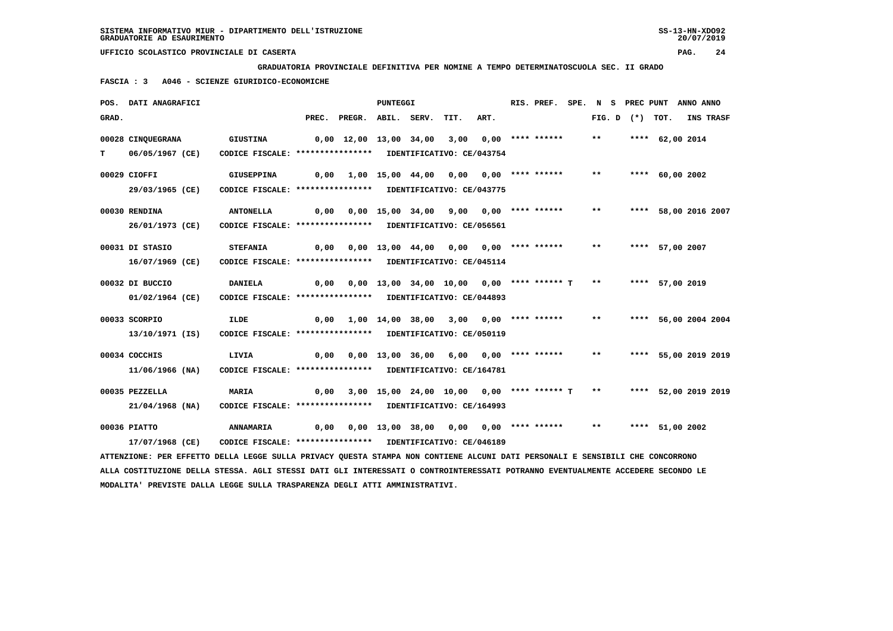**GRADUATORIA PROVINCIALE DEFINITIVA PER NOMINE A TEMPO DETERMINATOSCUOLA SEC. II GRADO**

 **FASCIA : 3 A046 - SCIENZE GIURIDICO-ECONOMICHE**

|       | POS. DATI ANAGRAFICI                                                                                                            |                                                            |       |                                                    | <b>PUNTEGGI</b> |                                                |      | RIS. PREF.         | SPE. N S | PREC PUNT           |                      | ANNO ANNO |           |
|-------|---------------------------------------------------------------------------------------------------------------------------------|------------------------------------------------------------|-------|----------------------------------------------------|-----------------|------------------------------------------------|------|--------------------|----------|---------------------|----------------------|-----------|-----------|
| GRAD. |                                                                                                                                 |                                                            | PREC. | PREGR. ABIL. SERV.                                 |                 | TIT.                                           | ART. |                    |          | FIG. $D$ $(*)$ TOT. |                      |           | INS TRASF |
|       | 00028 CINQUEGRANA                                                                                                               | <b>GIUSTINA</b>                                            |       | 0,00 12,00 13,00 34,00                             |                 | 3,00                                           |      | $0.00$ **** ****** | $***$    |                     | **** 62,00 2014      |           |           |
| т     | 06/05/1967 (CE)                                                                                                                 | CODICE FISCALE: **************** IDENTIFICATIVO: CE/043754 |       |                                                    |                 |                                                |      |                    |          |                     |                      |           |           |
|       |                                                                                                                                 |                                                            |       |                                                    |                 |                                                |      |                    |          |                     |                      |           |           |
|       | 00029 CIOFFI                                                                                                                    | GIUSEPPINA                                                 |       | 0,00 1,00 15,00 44,00                              |                 | 0,00                                           |      | $0.00$ **** ****** | $* *$    |                     | **** 60,00 2002      |           |           |
|       | 29/03/1965 (CE)                                                                                                                 | CODICE FISCALE: **************** IDENTIFICATIVO: CE/043775 |       |                                                    |                 |                                                |      |                    |          |                     |                      |           |           |
|       | 00030 RENDINA                                                                                                                   | <b>ANTONELLA</b>                                           |       | 0,00 0,00 15,00 34,00 9,00 0,00 **** ******        |                 |                                                |      |                    | $***$    |                     | **** 58,00 2016 2007 |           |           |
|       | 26/01/1973 (CE)                                                                                                                 | CODICE FISCALE: **************** IDENTIFICATIVO: CE/056561 |       |                                                    |                 |                                                |      |                    |          |                     |                      |           |           |
|       |                                                                                                                                 |                                                            |       |                                                    |                 |                                                |      |                    |          |                     |                      |           |           |
|       | 00031 DI STASIO                                                                                                                 | <b>STEFANIA</b>                                            |       | 0,00  0,00  13,00  44,00  0,00  0,00  ****  ****** |                 |                                                |      |                    | $* *$    |                     | **** 57,00 2007      |           |           |
|       | 16/07/1969 (CE)                                                                                                                 | CODICE FISCALE: **************** IDENTIFICATIVO: CE/045114 |       |                                                    |                 |                                                |      |                    |          |                     |                      |           |           |
|       | 00032 DI BUCCIO                                                                                                                 | <b>DANIELA</b>                                             | 0,00  |                                                    |                 | $0,00$ 13,00 34,00 10,00 0,00 **** ****** T ** |      |                    |          |                     | **** 57,00 2019      |           |           |
|       | 01/02/1964 (CE)                                                                                                                 | CODICE FISCALE: **************** IDENTIFICATIVO: CE/044893 |       |                                                    |                 |                                                |      |                    |          |                     |                      |           |           |
|       | 00033 SCORPIO                                                                                                                   |                                                            |       |                                                    |                 |                                                |      | $0.00$ **** ****** | $***$    |                     |                      |           |           |
|       |                                                                                                                                 | <b>ILDE</b>                                                | 0,00  |                                                    |                 | 1,00 14,00 38,00 3,00                          |      |                    |          |                     | **** 56,00 2004 2004 |           |           |
|       | 13/10/1971 (IS)                                                                                                                 | CODICE FISCALE: **************** IDENTIFICATIVO: CE/050119 |       |                                                    |                 |                                                |      |                    |          |                     |                      |           |           |
|       | 00034 COCCHIS                                                                                                                   | LIVIA                                                      | 0,00  |                                                    |                 | $0,00$ 13,00 36,00 6,00 0,00 **** ******       |      |                    | $***$    |                     | **** 55,00 2019 2019 |           |           |
|       | 11/06/1966 (NA)                                                                                                                 | CODICE FISCALE: **************** IDENTIFICATIVO: CE/164781 |       |                                                    |                 |                                                |      |                    |          |                     |                      |           |           |
|       |                                                                                                                                 |                                                            |       |                                                    |                 |                                                |      |                    |          |                     |                      |           |           |
|       | 00035 PEZZELLA                                                                                                                  | MARIA                                                      | 0,00  |                                                    |                 | 3,00 15,00 24,00 10,00 0,00 **** ****** T **   |      |                    |          |                     | **** 52,00 2019 2019 |           |           |
|       | 21/04/1968 (NA)                                                                                                                 | CODICE FISCALE: **************** IDENTIFICATIVO: CE/164993 |       |                                                    |                 |                                                |      |                    |          |                     |                      |           |           |
|       | 00036 PIATTO                                                                                                                    | <b>ANNAMARIA</b>                                           | 0,00  |                                                    |                 | 0,00 13,00 38,00 0,00 0,00 **** ******         |      |                    | $***$    |                     | **** 51,00 2002      |           |           |
|       | 17/07/1968 (CE)                                                                                                                 | CODICE FISCALE: **************** IDENTIFICATIVO: CE/046189 |       |                                                    |                 |                                                |      |                    |          |                     |                      |           |           |
|       | ATTENZIONE: PER EFFETTO DELLA LEGGE SULLA PRIVACY QUESTA STAMPA NON CONTIENE ALCUNI DATI PERSONALI E SENSIBILI CHE CONCORRONO   |                                                            |       |                                                    |                 |                                                |      |                    |          |                     |                      |           |           |
|       | ALLA COSTITUZIONE DELLA STESSA. AGLI STESSI DATI GLI INTERESSATI O CONTROINTERESSATI POTRANNO EVENTUALMENTE ACCEDERE SECONDO LE |                                                            |       |                                                    |                 |                                                |      |                    |          |                     |                      |           |           |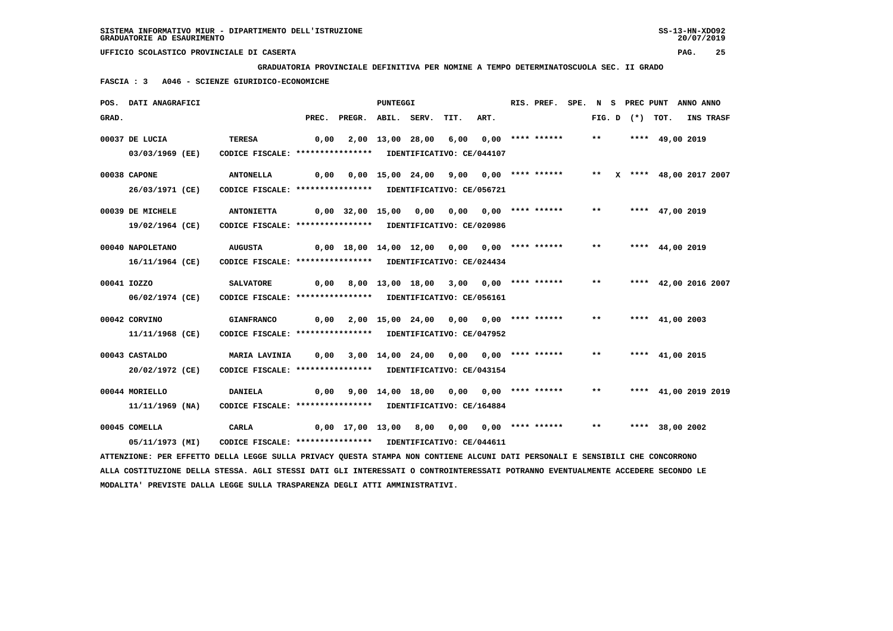**GRADUATORIA PROVINCIALE DEFINITIVA PER NOMINE A TEMPO DETERMINATOSCUOLA SEC. II GRADO**

 **FASCIA : 3 A046 - SCIENZE GIURIDICO-ECONOMICHE**

|       | POS. DATI ANAGRAFICI                                                                                                            |                                                            |                                              |                                               | <b>PUNTEGGI</b> |                       |                                          |                       | RIS. PREF. SPE. N S PREC PUNT ANNO ANNO |       |                   |                           |           |  |
|-------|---------------------------------------------------------------------------------------------------------------------------------|------------------------------------------------------------|----------------------------------------------|-----------------------------------------------|-----------------|-----------------------|------------------------------------------|-----------------------|-----------------------------------------|-------|-------------------|---------------------------|-----------|--|
| GRAD. |                                                                                                                                 |                                                            |                                              | PREC. PREGR. ABIL. SERV.                      |                 |                       | TIT.                                     | ART.                  |                                         |       | FIG. D $(*)$ TOT. |                           | INS TRASF |  |
|       | 00037 DE LUCIA                                                                                                                  | <b>TERESA</b>                                              | 0,00                                         |                                               |                 | 2,00 13,00 28,00 6,00 |                                          |                       | 0,00 **** ******                        | $***$ |                   | **** 49,00 2019           |           |  |
|       | 03/03/1969 (EE)                                                                                                                 | CODICE FISCALE: **************** IDENTIFICATIVO: CE/044107 |                                              |                                               |                 |                       |                                          |                       |                                         |       |                   |                           |           |  |
|       | 00038 CAPONE                                                                                                                    | <b>ANTONELLA</b>                                           | 0,00                                         |                                               |                 |                       | 0,00 15,00 24,00 9,00 0,00 **** ******   |                       |                                         |       |                   | ** X **** 48,00 2017 2007 |           |  |
|       | 26/03/1971 (CE)                                                                                                                 | CODICE FISCALE: **************** IDENTIFICATIVO: CE/056721 |                                              |                                               |                 |                       |                                          |                       |                                         |       |                   |                           |           |  |
|       | 00039 DE MICHELE                                                                                                                | <b>ANTONIETTA</b>                                          |                                              | 0,00 32,00 15,00 0,00 0,00 0,00 **** ******   |                 |                       |                                          |                       |                                         | $***$ |                   | **** 47,00 2019           |           |  |
|       | 19/02/1964 (CE)                                                                                                                 | CODICE FISCALE: **************** IDENTIFICATIVO: CE/020986 |                                              |                                               |                 |                       |                                          |                       |                                         |       |                   |                           |           |  |
|       | 00040 NAPOLETANO                                                                                                                | <b>AUGUSTA</b>                                             | 0,00 18,00 14,00 12,00 0,00 0,00 **** ****** |                                               |                 |                       |                                          |                       |                                         | $***$ |                   | **** $44,00$ 2019         |           |  |
|       | 16/11/1964 (CE)                                                                                                                 | CODICE FISCALE: **************** IDENTIFICATIVO: CE/024434 |                                              |                                               |                 |                       |                                          |                       |                                         |       |                   |                           |           |  |
|       | 00041 IOZZO                                                                                                                     | <b>SALVATORE</b>                                           | 0,00                                         |                                               |                 |                       | 8,00 13,00 18,00 3,00 0,00 **** ******   |                       |                                         | **    |                   | **** 42,00 2016 2007      |           |  |
|       | 06/02/1974 (CE)                                                                                                                 | CODICE FISCALE: **************** IDENTIFICATIVO: CE/056161 |                                              |                                               |                 |                       |                                          |                       |                                         |       |                   |                           |           |  |
|       | 00042 CORVINO                                                                                                                   | <b>GIANFRANCO</b>                                          | 0,00                                         |                                               |                 |                       | $2,00$ 15,00 24,00 0,00 0,00 **** ****** |                       |                                         | $***$ |                   | **** $41,00$ 2003         |           |  |
|       | 11/11/1968 (CE)                                                                                                                 | CODICE FISCALE: **************** IDENTIFICATIVO: CE/047952 |                                              |                                               |                 |                       |                                          |                       |                                         |       |                   |                           |           |  |
|       | 00043 CASTALDO                                                                                                                  | MARIA LAVINIA                                              |                                              | $0,00$ 3,00 14,00 24,00 0,00 0,00 **** ****** |                 |                       |                                          |                       |                                         | $* *$ |                   | **** 41,00 2015           |           |  |
|       | 20/02/1972 (CE)                                                                                                                 | CODICE FISCALE: **************** IDENTIFICATIVO: CE/043154 |                                              |                                               |                 |                       |                                          |                       |                                         |       |                   |                           |           |  |
|       | 00044 MORIELLO                                                                                                                  | <b>DANIELA</b>                                             | 0,00                                         |                                               |                 |                       | 9,00 14,00 18,00 0,00 0,00 **** ******   |                       |                                         | $***$ |                   | **** 41,00 2019 2019      |           |  |
|       | 11/11/1969 (NA)                                                                                                                 | CODICE FISCALE: **************** IDENTIFICATIVO: CE/164884 |                                              |                                               |                 |                       |                                          |                       |                                         |       |                   |                           |           |  |
|       | 00045 COMELLA                                                                                                                   | CARLA                                                      |                                              | 0,00 17,00 13,00                              |                 | 8,00                  |                                          | 0,00 0,00 **** ****** |                                         | $***$ |                   | **** 38,00 2002           |           |  |
|       | 05/11/1973 (MI)                                                                                                                 | CODICE FISCALE: **************** IDENTIFICATIVO: CE/044611 |                                              |                                               |                 |                       |                                          |                       |                                         |       |                   |                           |           |  |
|       | ATTENZIONE: PER EFFETTO DELLA LEGGE SULLA PRIVACY QUESTA STAMPA NON CONTIENE ALCUNI DATI PERSONALI E SENSIBILI CHE CONCORRONO   |                                                            |                                              |                                               |                 |                       |                                          |                       |                                         |       |                   |                           |           |  |
|       | ALLA COSTITUZIONE DELLA STESSA. AGLI STESSI DATI GLI INTERESSATI O CONTROINTERESSATI POTRANNO EVENTUALMENTE ACCEDERE SECONDO LE |                                                            |                                              |                                               |                 |                       |                                          |                       |                                         |       |                   |                           |           |  |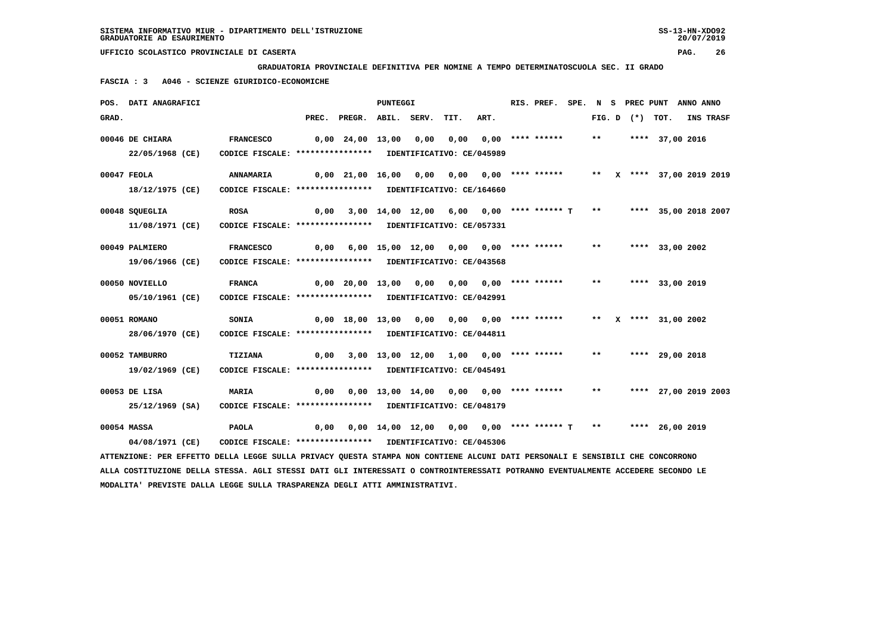**GRADUATORIA PROVINCIALE DEFINITIVA PER NOMINE A TEMPO DETERMINATOSCUOLA SEC. II GRADO**

 **FASCIA : 3 A046 - SCIENZE GIURIDICO-ECONOMICHE**

|       | POS. DATI ANAGRAFICI                                                                                                            |                                                            |      |                                             | <b>PUNTEGGI</b> |      |                                               |      | RIS. PREF.         |       |                   | SPE. N S PREC PUNT ANNO ANNO |           |
|-------|---------------------------------------------------------------------------------------------------------------------------------|------------------------------------------------------------|------|---------------------------------------------|-----------------|------|-----------------------------------------------|------|--------------------|-------|-------------------|------------------------------|-----------|
| GRAD. |                                                                                                                                 |                                                            |      | PREC. PREGR. ABIL. SERV.                    |                 |      | TIT.                                          | ART. |                    |       | FIG. D $(*)$ TOT. |                              | INS TRASF |
|       | 00046 DE CHIARA                                                                                                                 | <b>FRANCESCO</b>                                           |      | 0,00 24,00 13,00                            |                 | 0,00 | 0,00                                          |      | $0.00$ **** ****** | $***$ |                   | **** 37,00 2016              |           |
|       | 22/05/1968 (CE)                                                                                                                 | CODICE FISCALE: **************** IDENTIFICATIVO: CE/045989 |      |                                             |                 |      |                                               |      |                    |       |                   |                              |           |
|       | $00047$ FEOLA                                                                                                                   | ANNAMARIA                                                  |      | 0,00 21,00 16,00 0,00 0,00 0,00 **** ****** |                 |      |                                               |      |                    |       |                   | ** X **** 37,00 2019 2019    |           |
|       | 18/12/1975 (CE)                                                                                                                 | CODICE FISCALE: **************** IDENTIFICATIVO: CE/164660 |      |                                             |                 |      |                                               |      |                    |       |                   |                              |           |
|       | 00048 SQUEGLIA                                                                                                                  | <b>ROSA</b>                                                | 0,00 |                                             |                 |      | 3,00 14,00 12,00 6,00 0,00 **** ****** T      |      |                    | $***$ |                   | **** 35,00 2018 2007         |           |
|       | 11/08/1971 (CE)                                                                                                                 | CODICE FISCALE: **************** IDENTIFICATIVO: CE/057331 |      |                                             |                 |      |                                               |      |                    |       |                   |                              |           |
|       | 00049 PALMIERO                                                                                                                  | <b>FRANCESCO</b>                                           | 0,00 |                                             |                 |      | 6,00 15,00 12,00 0,00                         |      | $0.00$ **** ****** | $***$ |                   | **** 33,00 2002              |           |
|       | 19/06/1966 (CE)                                                                                                                 | CODICE FISCALE: **************** IDENTIFICATIVO: CE/043568 |      |                                             |                 |      |                                               |      |                    |       |                   |                              |           |
|       | 00050 NOVIELLO                                                                                                                  | <b>FRANCA</b>                                              |      | $0,00$ $20,00$ $13,00$ $0,00$               |                 |      | 0,00 0,00 **** ******                         |      |                    | $***$ |                   | **** 33,00 2019              |           |
|       | 05/10/1961 (CE)                                                                                                                 | CODICE FISCALE: **************** IDENTIFICATIVO: CE/042991 |      |                                             |                 |      |                                               |      |                    |       |                   |                              |           |
|       | 00051 ROMANO                                                                                                                    | <b>SONIA</b>                                               |      | 0,00 18,00 13,00 0,00 0,00 0,00 **** ****** |                 |      |                                               |      |                    | $***$ |                   | X **** 31,00 2002            |           |
|       | 28/06/1970 (CE)                                                                                                                 | CODICE FISCALE: **************** IDENTIFICATIVO: CE/044811 |      |                                             |                 |      |                                               |      |                    |       |                   |                              |           |
|       | 00052 TAMBURRO                                                                                                                  | <b>TIZIANA</b>                                             | 0,00 |                                             |                 |      | 3,00 13,00 12,00 1,00 0,00 **** ******        |      |                    | $***$ |                   | **** 29,00 2018              |           |
|       | 19/02/1969 (CE)                                                                                                                 | CODICE FISCALE: **************** IDENTIFICATIVO: CE/045491 |      |                                             |                 |      |                                               |      |                    |       |                   |                              |           |
|       | 00053 DE LISA                                                                                                                   | <b>MARIA</b>                                               | 0,00 |                                             |                 |      | 0,00 13,00 14,00 0,00 0,00 **** ******        |      |                    | $***$ |                   | **** 27,00 2019 2003         |           |
|       | 25/12/1969 (SA)                                                                                                                 | CODICE FISCALE: **************** IDENTIFICATIVO: CE/048179 |      |                                             |                 |      |                                               |      |                    |       |                   |                              |           |
|       | 00054 MASSA                                                                                                                     | <b>PAOLA</b>                                               | 0,00 |                                             |                 |      | $0,00$ 14,00 12,00 0,00 0,00 **** ****** T ** |      |                    |       |                   | **** 26,00 2019              |           |
|       | 04/08/1971 (CE)                                                                                                                 | CODICE FISCALE: **************** IDENTIFICATIVO: CE/045306 |      |                                             |                 |      |                                               |      |                    |       |                   |                              |           |
|       | ATTENZIONE: PER EFFETTO DELLA LEGGE SULLA PRIVACY QUESTA STAMPA NON CONTIENE ALCUNI DATI PERSONALI E SENSIBILI CHE CONCORRONO   |                                                            |      |                                             |                 |      |                                               |      |                    |       |                   |                              |           |
|       | ALLA COSTITUZIONE DELLA STESSA. AGLI STESSI DATI GLI INTERESSATI O CONTROINTERESSATI POTRANNO EVENTUALMENTE ACCEDERE SECONDO LE |                                                            |      |                                             |                 |      |                                               |      |                    |       |                   |                              |           |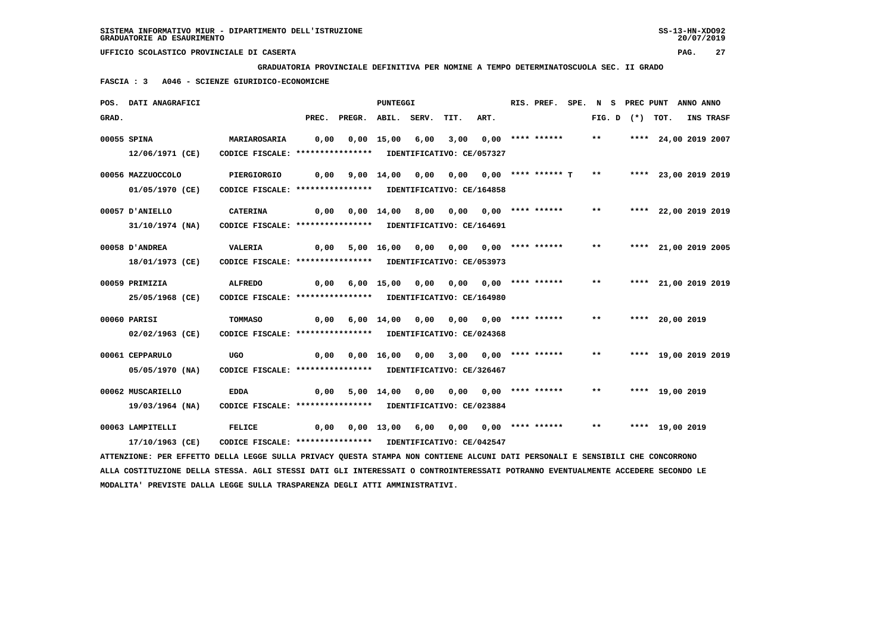**GRADUATORIA PROVINCIALE DEFINITIVA PER NOMINE A TEMPO DETERMINATOSCUOLA SEC. II GRADO**

 **FASCIA : 3 A046 - SCIENZE GIURIDICO-ECONOMICHE**

|       | POS. DATI ANAGRAFICI                                                                                                          |                                                            |      |                                                   | PUNTEGGI          |                       |                                           |                       | RIS. PREF. SPE. N S PREC PUNT ANNO ANNO |              |  |                      |           |
|-------|-------------------------------------------------------------------------------------------------------------------------------|------------------------------------------------------------|------|---------------------------------------------------|-------------------|-----------------------|-------------------------------------------|-----------------------|-----------------------------------------|--------------|--|----------------------|-----------|
| GRAD. |                                                                                                                               |                                                            |      | PREC. PREGR. ABIL. SERV.                          |                   |                       | TIT.                                      | ART.                  |                                         |              |  | FIG. D $(*)$ TOT.    | INS TRASF |
|       | 00055 SPINA                                                                                                                   | MARIAROSARIA                                               | 0,00 |                                                   | $0,00$ 15,00 6,00 |                       | 3,00                                      |                       | $0.00$ **** ******                      | $***$        |  | **** 24,00 2019 2007 |           |
|       | 12/06/1971 (CE)                                                                                                               | CODICE FISCALE: **************** IDENTIFICATIVO: CE/057327 |      |                                                   |                   |                       |                                           |                       |                                         |              |  |                      |           |
|       | 00056 MAZZUOCCOLO                                                                                                             | PIERGIORGIO                                                | 0,00 |                                                   |                   |                       | $9,00$ 14,00 0,00 0,00 0,00 **** ****** T |                       |                                         | $\star\star$ |  | **** 23,00 2019 2019 |           |
|       | 01/05/1970 (CE)                                                                                                               | CODICE FISCALE: **************** IDENTIFICATIVO: CE/164858 |      |                                                   |                   |                       |                                           |                       |                                         |              |  |                      |           |
|       | 00057 D'ANIELLO                                                                                                               | <b>CATERINA</b>                                            | 0,00 |                                                   |                   |                       | 0,00 14,00 8,00 0,00 0,00 **** ******     |                       |                                         | $***$        |  | **** 22,00 2019 2019 |           |
|       | 31/10/1974 (NA)                                                                                                               | CODICE FISCALE: **************** IDENTIFICATIVO: CE/164691 |      |                                                   |                   |                       |                                           |                       |                                         |              |  |                      |           |
|       | 00058 D'ANDREA                                                                                                                | VALERIA                                                    |      | $0,00$ 5,00 16,00 0,00 0,00 0,00 **** ******      |                   |                       |                                           |                       |                                         | $**$         |  | **** 21,00 2019 2005 |           |
|       | 18/01/1973 (CE)                                                                                                               | CODICE FISCALE: **************** IDENTIFICATIVO: CE/053973 |      |                                                   |                   |                       |                                           |                       |                                         |              |  |                      |           |
|       | 00059 PRIMIZIA                                                                                                                | <b>ALFREDO</b>                                             | 0,00 |                                                   | 6,00 15,00        |                       | 0,00 0,00                                 |                       | $0,00$ **** ******                      | $***$        |  | **** 21,00 2019 2019 |           |
|       | 25/05/1968 (CE)                                                                                                               | CODICE FISCALE: **************** IDENTIFICATIVO: CE/164980 |      |                                                   |                   |                       |                                           |                       |                                         |              |  |                      |           |
|       | 00060 PARISI                                                                                                                  | TOMMASO                                                    | 0,00 |                                                   |                   | $6,00$ $14,00$ $0,00$ | 0,00                                      |                       | 0,00 **** ******                        | $***$        |  | **** 20,00 2019      |           |
|       | 02/02/1963 (CE)                                                                                                               | CODICE FISCALE: **************** IDENTIFICATIVO: CE/024368 |      |                                                   |                   |                       |                                           |                       |                                         |              |  |                      |           |
|       | 00061 CEPPARULO                                                                                                               | <b>UGO</b>                                                 |      | 0,00  0,00  16,00  0,00  3,00  0,00  ****  ****** |                   |                       |                                           |                       |                                         | $***$        |  | **** 19,00 2019 2019 |           |
|       | 05/05/1970 (NA)                                                                                                               | CODICE FISCALE: **************** IDENTIFICATIVO: CE/326467 |      |                                                   |                   |                       |                                           |                       |                                         |              |  |                      |           |
|       | 00062 MUSCARIELLO                                                                                                             | <b>EDDA</b>                                                | 0,00 |                                                   | 5,00 14,00        | 0,00                  | 0,00                                      |                       | $0.00$ **** ******                      | $***$        |  | **** 19,00 2019      |           |
|       | 19/03/1964 (NA)                                                                                                               | CODICE FISCALE: **************** IDENTIFICATIVO: CE/023884 |      |                                                   |                   |                       |                                           |                       |                                         |              |  |                      |           |
|       | 00063 LAMPITELLI                                                                                                              | FELICE                                                     | 0,00 |                                                   |                   | 0,00 13,00 6,00       |                                           | 0,00 0,00 **** ****** |                                         | $***$        |  | **** 19,00 2019      |           |
|       | 17/10/1963 (CE)                                                                                                               | CODICE FISCALE: **************** IDENTIFICATIVO: CE/042547 |      |                                                   |                   |                       |                                           |                       |                                         |              |  |                      |           |
|       | ATTENZIONE: PER EFFETTO DELLA LEGGE SULLA PRIVACY QUESTA STAMPA NON CONTIENE ALCUNI DATI PERSONALI E SENSIBILI CHE CONCORRONO |                                                            |      |                                                   |                   |                       |                                           |                       |                                         |              |  |                      |           |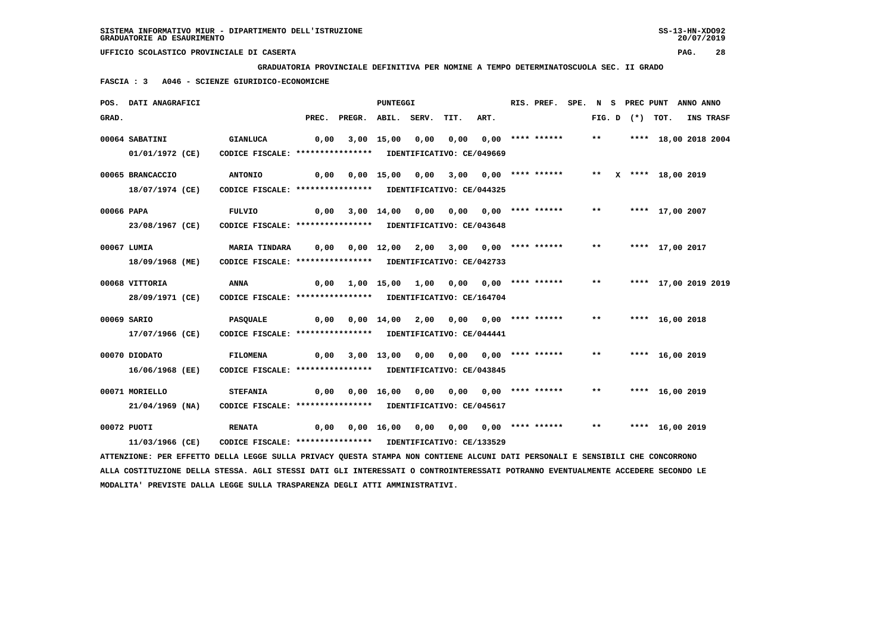**GRADUATORIA PROVINCIALE DEFINITIVA PER NOMINE A TEMPO DETERMINATOSCUOLA SEC. II GRADO**

 **FASCIA : 3 A046 - SCIENZE GIURIDICO-ECONOMICHE**

|            | POS. DATI ANAGRAFICI                                                                                                          |                                                                               |                                                                   |                                                               | PUNTEGGI |                                       |      | RIS. PREF. SPE. N S PREC PUNT ANNO ANNO |              |  |                         |           |
|------------|-------------------------------------------------------------------------------------------------------------------------------|-------------------------------------------------------------------------------|-------------------------------------------------------------------|---------------------------------------------------------------|----------|---------------------------------------|------|-----------------------------------------|--------------|--|-------------------------|-----------|
| GRAD.      |                                                                                                                               |                                                                               |                                                                   | PREC. PREGR. ABIL. SERV. TIT.                                 |          |                                       | ART. |                                         |              |  | FIG. D $(*)$ TOT.       | INS TRASF |
|            | 00064 SABATINI<br>01/01/1972 (CE)                                                                                             | <b>GIANLUCA</b><br>CODICE FISCALE: **************** IDENTIFICATIVO: CE/049669 | 0,00                                                              |                                                               |          | 3,00 15,00 0,00 0,00 0,00 **** ****** |      |                                         |              |  | ** **** 18,00 2018 2004 |           |
|            |                                                                                                                               |                                                                               |                                                                   |                                                               |          |                                       |      |                                         |              |  |                         |           |
|            | 00065 BRANCACCIO                                                                                                              | <b>ANTONIO</b>                                                                | 0,00 0,00 15,00 0,00 3,00 0,00 **** *****   **  x **** 18,00 2019 |                                                               |          |                                       |      |                                         |              |  |                         |           |
|            | 18/07/1974 (CE)                                                                                                               | CODICE FISCALE: **************** IDENTIFICATIVO: CE/044325                    |                                                                   |                                                               |          |                                       |      |                                         |              |  |                         |           |
| 00066 PAPA |                                                                                                                               | FULVIO                                                                        |                                                                   | $0,00$ 3,00 14,00 0,00 0,00 0,00 **** ******                  |          |                                       |      |                                         | $***$        |  | **** 17,00 2007         |           |
|            | 23/08/1967 (CE)                                                                                                               | CODICE FISCALE: **************** IDENTIFICATIVO: CE/043648                    |                                                                   |                                                               |          |                                       |      |                                         |              |  |                         |           |
|            | 00067 LUMIA                                                                                                                   | <b>MARIA TINDARA</b>                                                          |                                                                   | 0,00 0,00 12,00 2,00 3,00 0,00 **** ****** ** **** 17,00 2017 |          |                                       |      |                                         |              |  |                         |           |
|            | 18/09/1968 (ME)                                                                                                               | CODICE FISCALE: **************** IDENTIFICATIVO: CE/042733                    |                                                                   |                                                               |          |                                       |      |                                         |              |  |                         |           |
|            | 00068 VITTORIA                                                                                                                | ANNA                                                                          |                                                                   |                                                               |          |                                       |      |                                         | $\star\star$ |  | **** 17,00 2019 2019    |           |
|            | 28/09/1971 (CE)                                                                                                               | CODICE FISCALE: **************** IDENTIFICATIVO: CE/164704                    |                                                                   |                                                               |          |                                       |      |                                         |              |  |                         |           |
|            | 00069 SARIO                                                                                                                   | PASQUALE                                                                      |                                                                   | $0,00$ $0,00$ $14,00$ $2,00$ $0,00$ $0,00$ $***$ **** ******  |          |                                       |      |                                         | $***$        |  | **** 16,00 2018         |           |
|            | 17/07/1966 (CE)                                                                                                               | CODICE FISCALE: **************** IDENTIFICATIVO: CE/044441                    |                                                                   |                                                               |          |                                       |      |                                         |              |  |                         |           |
|            | 00070 DIODATO                                                                                                                 | <b>FILOMENA</b>                                                               |                                                                   | $0,00$ $3,00$ $13,00$ $0,00$ $0,00$ $0,00$ $***$              |          |                                       |      |                                         | $***$        |  | **** 16,00 2019         |           |
|            | 16/06/1968 (EE)                                                                                                               | CODICE FISCALE: **************** IDENTIFICATIVO: CE/043845                    |                                                                   |                                                               |          |                                       |      |                                         |              |  |                         |           |
|            | 00071 MORIELLO                                                                                                                | <b>STEFANIA</b>                                                               |                                                                   |                                                               |          |                                       |      |                                         |              |  | ** **** 16,00 2019      |           |
|            | 21/04/1969 (NA)                                                                                                               | CODICE FISCALE: **************** IDENTIFICATIVO: CE/045617                    |                                                                   |                                                               |          |                                       |      |                                         |              |  |                         |           |
|            | 00072 PUOTI                                                                                                                   | <b>RENATA</b>                                                                 |                                                                   | 0,00 0,00 16,00 0,00 0,00 0,00 **** ****** ** **** 16,00 2019 |          |                                       |      |                                         |              |  |                         |           |
|            | 11/03/1966 (CE)                                                                                                               | CODICE FISCALE: **************** IDENTIFICATIVO: CE/133529                    |                                                                   |                                                               |          |                                       |      |                                         |              |  |                         |           |
|            | ATTENZIONE: PER EFFETTO DELLA LEGGE SULLA PRIVACY QUESTA STAMPA NON CONTIENE ALCUNI DATI PERSONALI E SENSIBILI CHE CONCORRONO |                                                                               |                                                                   |                                                               |          |                                       |      |                                         |              |  |                         |           |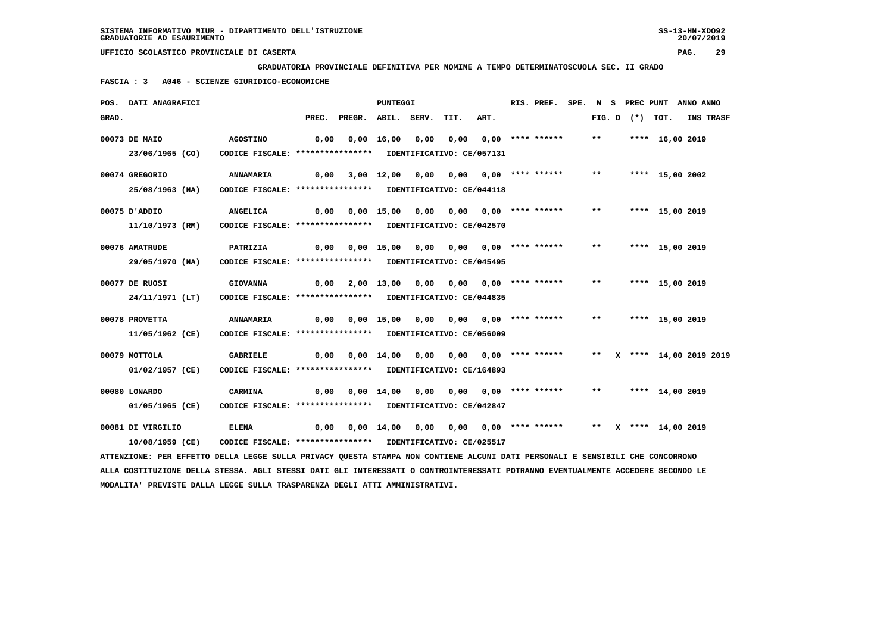**GRADUATORIA PROVINCIALE DEFINITIVA PER NOMINE A TEMPO DETERMINATOSCUOLA SEC. II GRADO**

 **FASCIA : 3 A046 - SCIENZE GIURIDICO-ECONOMICHE**

|       | POS. DATI ANAGRAFICI                                                                                                          |                                                            |      |                                                   | PUNTEGGI |      |                                                           |      | RIS. PREF.                |       |  |                    | SPE. N S PREC PUNT ANNO ANNO                                               |  |
|-------|-------------------------------------------------------------------------------------------------------------------------------|------------------------------------------------------------|------|---------------------------------------------------|----------|------|-----------------------------------------------------------|------|---------------------------|-------|--|--------------------|----------------------------------------------------------------------------|--|
| GRAD. |                                                                                                                               |                                                            |      | PREC. PREGR. ABIL. SERV.                          |          |      | TIT.                                                      | ART. |                           |       |  | FIG. D $(*)$ TOT.  | <b>INS TRASF</b>                                                           |  |
|       | 00073 DE MAIO                                                                                                                 | <b>AGOSTINO</b>                                            | 0,00 |                                                   |          |      | 0,00 16,00 0,00 0,00 0,00 **** ****** ** **               |      |                           |       |  | **** 16,00 2019    |                                                                            |  |
|       | 23/06/1965 (CO)                                                                                                               | CODICE FISCALE: **************** IDENTIFICATIVO: CE/057131 |      |                                                   |          |      |                                                           |      |                           |       |  |                    |                                                                            |  |
|       | 00074 GREGORIO                                                                                                                | ANNAMARIA                                                  |      | 0,00 3,00 12,00                                   |          | 0,00 |                                                           |      | $0,00$ $0,00$ **** ****** | $***$ |  | **** 15,00 2002    |                                                                            |  |
|       | 25/08/1963 (NA)                                                                                                               | CODICE FISCALE: **************** IDENTIFICATIVO: CE/044118 |      |                                                   |          |      |                                                           |      |                           |       |  |                    |                                                                            |  |
|       | 00075 D'ADDIO                                                                                                                 | ANGELICA                                                   |      | 0,00  0,00  15,00  0,00  0,00  0,00  ****  ****** |          |      |                                                           |      |                           |       |  | ** **** 15,00 2019 |                                                                            |  |
|       | 11/10/1973 (RM)                                                                                                               | CODICE FISCALE: **************** IDENTIFICATIVO: CE/042570 |      |                                                   |          |      |                                                           |      |                           |       |  |                    |                                                                            |  |
|       | 00076 AMATRUDE                                                                                                                | PATRIZIA                                                   |      |                                                   |          |      |                                                           |      |                           |       |  | **** 15,00 2019    |                                                                            |  |
|       | 29/05/1970 (NA)                                                                                                               | CODICE FISCALE: **************** IDENTIFICATIVO: CE/045495 |      |                                                   |          |      |                                                           |      |                           |       |  |                    |                                                                            |  |
|       | 00077 DE RUOSI                                                                                                                | <b>GIOVANNA</b>                                            |      | 0,00 2,00 13,00                                   |          |      | 0,00 0,00 0,00 **** ******                                |      |                           | $***$ |  | **** 15,00 2019    |                                                                            |  |
|       | 24/11/1971 (LT)                                                                                                               | CODICE FISCALE: **************** IDENTIFICATIVO: CE/044835 |      |                                                   |          |      |                                                           |      |                           |       |  |                    |                                                                            |  |
|       | 00078 PROVETTA                                                                                                                | ANNAMARIA                                                  |      |                                                   |          |      |                                                           |      |                           | $***$ |  | **** 15,00 2019    |                                                                            |  |
|       | 11/05/1962 (CE)                                                                                                               | CODICE FISCALE: **************** IDENTIFICATIVO: CE/056009 |      |                                                   |          |      |                                                           |      |                           |       |  |                    |                                                                            |  |
|       | 00079 MOTTOLA                                                                                                                 | GABRIELE                                                   |      |                                                   |          |      |                                                           |      |                           |       |  |                    | 0,00 0,00 14,00 0,00 0,00 0,00 **** ******     **   X **** 14,00 2019 2019 |  |
|       | 01/02/1957 (CE)                                                                                                               | CODICE FISCALE: **************** IDENTIFICATIVO: CE/164893 |      |                                                   |          |      |                                                           |      |                           |       |  |                    |                                                                            |  |
|       | 00080 LONARDO                                                                                                                 | <b>CARMINA</b>                                             |      | 0,00 0,00 14,00                                   |          | 0,00 |                                                           |      | $0,00$ $0,00$ **** ****** | $***$ |  | **** 14,00 2019    |                                                                            |  |
|       | 01/05/1965 (CE)                                                                                                               | CODICE FISCALE: **************** IDENTIFICATIVO: CE/042847 |      |                                                   |          |      |                                                           |      |                           |       |  |                    |                                                                            |  |
|       | 00081 DI VIRGILIO                                                                                                             | <b>ELENA</b>                                               | 0,00 |                                                   |          |      | 0,00 14,00 0,00 0,00 0,00 **** ****** ** ** ** 14,00 2019 |      |                           |       |  |                    |                                                                            |  |
|       | 10/08/1959 (CE)                                                                                                               | CODICE FISCALE: **************** IDENTIFICATIVO: CE/025517 |      |                                                   |          |      |                                                           |      |                           |       |  |                    |                                                                            |  |
|       | ATTENZIONE: PER EFFETTO DELLA LEGGE SULLA PRIVACY QUESTA STAMPA NON CONTIENE ALCUNI DATI PERSONALI E SENSIBILI CHE CONCORRONO |                                                            |      |                                                   |          |      |                                                           |      |                           |       |  |                    |                                                                            |  |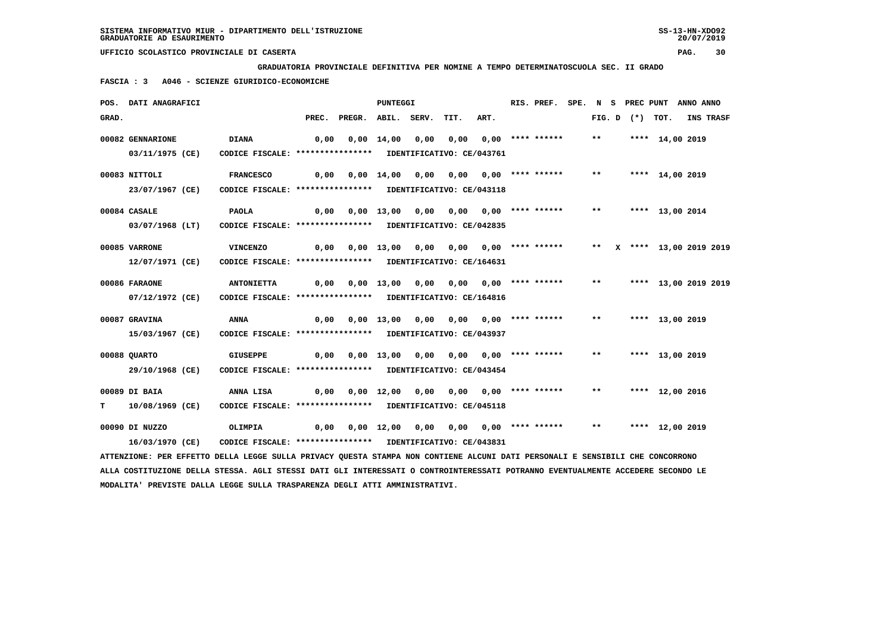**GRADUATORIA PROVINCIALE DEFINITIVA PER NOMINE A TEMPO DETERMINATOSCUOLA SEC. II GRADO**

 **FASCIA : 3 A046 - SCIENZE GIURIDICO-ECONOMICHE**

|       | POS. DATI ANAGRAFICI                                                                                                          |                                                            |      |                                                   | <b>PUNTEGGI</b> |                                         |      | RIS. PREF. |              |  | SPE. N S PREC PUNT ANNO ANNO |           |  |
|-------|-------------------------------------------------------------------------------------------------------------------------------|------------------------------------------------------------|------|---------------------------------------------------|-----------------|-----------------------------------------|------|------------|--------------|--|------------------------------|-----------|--|
| GRAD. |                                                                                                                               |                                                            |      | PREC. PREGR. ABIL. SERV.                          |                 | TIT.                                    | ART. |            |              |  | FIG. D $(*)$ TOT.            | INS TRASF |  |
|       | 00082 GENNARIONE                                                                                                              | <b>DIANA</b>                                               | 0,00 |                                                   |                 | $0,00$ 14,00 0,00 0,00 0,00 **** ****** |      |            | $***$        |  | **** 14,00 2019              |           |  |
|       | 03/11/1975 (CE)                                                                                                               | CODICE FISCALE: **************** IDENTIFICATIVO: CE/043761 |      |                                                   |                 |                                         |      |            |              |  |                              |           |  |
|       | 00083 NITTOLI                                                                                                                 | <b>FRANCESCO</b>                                           | 0,00 |                                                   |                 | 0,00 14,00 0,00 0,00 0,00 **** ******   |      |            |              |  | ** **** 14,00 2019           |           |  |
|       | 23/07/1967 (CE)                                                                                                               | CODICE FISCALE: **************** IDENTIFICATIVO: CE/043118 |      |                                                   |                 |                                         |      |            |              |  |                              |           |  |
|       | 00084 CASALE                                                                                                                  | <b>PAOLA</b>                                               | 0,00 |                                                   |                 | 0,00 13,00 0,00 0,00 0,00 **** ******   |      |            | $***$        |  | **** 13,00 2014              |           |  |
|       | 03/07/1968 (LT)                                                                                                               | CODICE FISCALE: **************** IDENTIFICATIVO: CE/042835 |      |                                                   |                 |                                         |      |            |              |  |                              |           |  |
|       | 00085 VARRONE                                                                                                                 | VINCENZO                                                   |      |                                                   |                 |                                         |      |            |              |  | ** X **** 13,00 2019 2019    |           |  |
|       | 12/07/1971 (CE)                                                                                                               | CODICE FISCALE: **************** IDENTIFICATIVO: CE/164631 |      |                                                   |                 |                                         |      |            |              |  |                              |           |  |
|       | 00086 FARAONE                                                                                                                 | <b>ANTONIETTA</b>                                          |      | 0,00  0,00  13,00  0,00  0,00  0,00  ****  ****** |                 |                                         |      |            | $\star\star$ |  | **** 13,00 2019 2019         |           |  |
|       | 07/12/1972 (CE)                                                                                                               | CODICE FISCALE: **************** IDENTIFICATIVO: CE/164816 |      |                                                   |                 |                                         |      |            |              |  |                              |           |  |
|       | 00087 GRAVINA                                                                                                                 | ANNA                                                       |      | 0,00  0,00  13,00  0,00  0,00  0,00  ****  ****** |                 |                                         |      |            | $***$        |  | **** 13,00 2019              |           |  |
|       | 15/03/1967 (CE)                                                                                                               | CODICE FISCALE: **************** IDENTIFICATIVO: CE/043937 |      |                                                   |                 |                                         |      |            |              |  |                              |           |  |
|       | 00088 OUARTO                                                                                                                  | <b>GIUSEPPE</b>                                            |      | 0,00  0,00  13,00  0,00  0,00  0,00  ****  ****** |                 |                                         |      |            | $***$        |  | **** 13,00 2019              |           |  |
|       | 29/10/1968 (CE)                                                                                                               | CODICE FISCALE: **************** IDENTIFICATIVO: CE/043454 |      |                                                   |                 |                                         |      |            |              |  |                              |           |  |
|       | 00089 DI BAIA                                                                                                                 | ANNA LISA                                                  |      |                                                   |                 |                                         |      |            | $***$        |  | **** 12,00 2016              |           |  |
| т     | 10/08/1969 (CE)                                                                                                               | CODICE FISCALE: **************** IDENTIFICATIVO: CE/045118 |      |                                                   |                 |                                         |      |            |              |  |                              |           |  |
|       | 00090 DI NUZZO                                                                                                                | OLIMPIA                                                    |      |                                                   |                 |                                         |      |            | $***$        |  | **** 12,00 2019              |           |  |
|       | 16/03/1970 (CE)                                                                                                               | CODICE FISCALE: **************** IDENTIFICATIVO: CE/043831 |      |                                                   |                 |                                         |      |            |              |  |                              |           |  |
|       | ATTENZIONE: PER EFFETTO DELLA LEGGE SULLA PRIVACY QUESTA STAMPA NON CONTIENE ALCUNI DATI PERSONALI E SENSIBILI CHE CONCORRONO |                                                            |      |                                                   |                 |                                         |      |            |              |  |                              |           |  |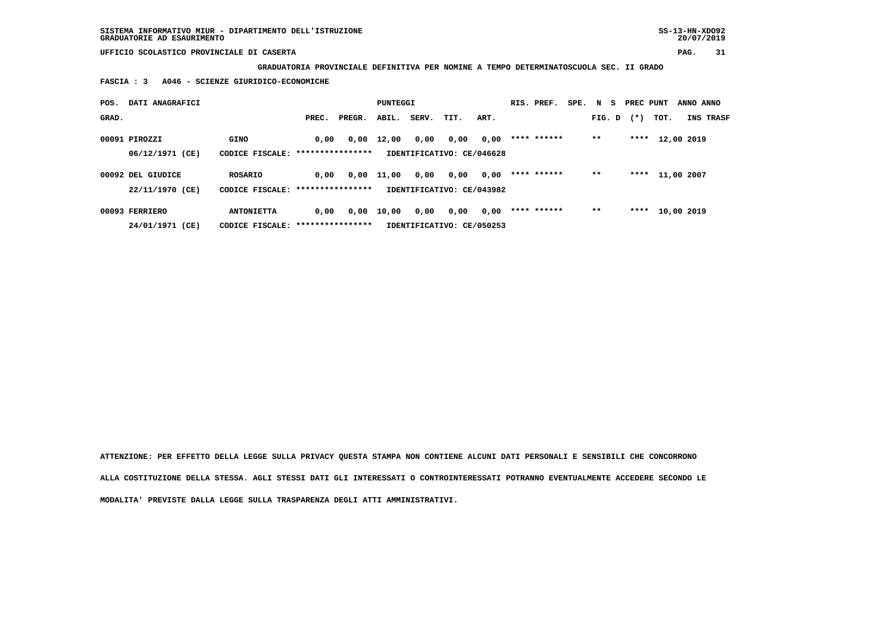**GRADUATORIA PROVINCIALE DEFINITIVA PER NOMINE A TEMPO DETERMINATOSCUOLA SEC. II GRADO**

 **FASCIA : 3 A046 - SCIENZE GIURIDICO-ECONOMICHE**

| POS.  | DATI ANAGRAFICI   |                                   |       |        | PUNTEGGI |       |                           |      | RIS. PREF.  | SPE. N S |        | PREC PUNT |            | ANNO ANNO |           |
|-------|-------------------|-----------------------------------|-------|--------|----------|-------|---------------------------|------|-------------|----------|--------|-----------|------------|-----------|-----------|
| GRAD. |                   |                                   | PREC. | PREGR. | ABIL.    | SERV. | TIT.                      | ART. |             |          | FIG. D | $(*)$     | TOT.       |           | INS TRASF |
|       | 00091 PIROZZI     | GINO                              | 0,00  | 0,00   | 12,00    | 0,00  | 0,00                      | 0,00 | **** ****** |          | $***$  | ****      | 12,00 2019 |           |           |
|       | 06/12/1971 (CE)   | CODICE FISCALE: ***************** |       |        |          |       | IDENTIFICATIVO: CE/046628 |      |             |          |        |           |            |           |           |
|       | 00092 DEL GIUDICE | ROSARIO                           | 0.00  | 0,00   | 11,00    | 0,00  | 0,00                      | 0,00 | **** ****** |          | $* *$  | ****      | 11,00 2007 |           |           |
|       | 22/11/1970 (CE)   | CODICE FISCALE: ***************** |       |        |          |       | IDENTIFICATIVO: CE/043982 |      |             |          |        |           |            |           |           |
|       | 00093 FERRIERO    | <b>ANTONIETTA</b>                 | 0,00  | 0,00   | 10,00    | 0,00  | 0,00                      | 0,00 | **** ****** |          | $* *$  | ****      | 10,00 2019 |           |           |
|       | 24/01/1971 (CE)   | CODICE FISCALE: ****************  |       |        |          |       | IDENTIFICATIVO: CE/050253 |      |             |          |        |           |            |           |           |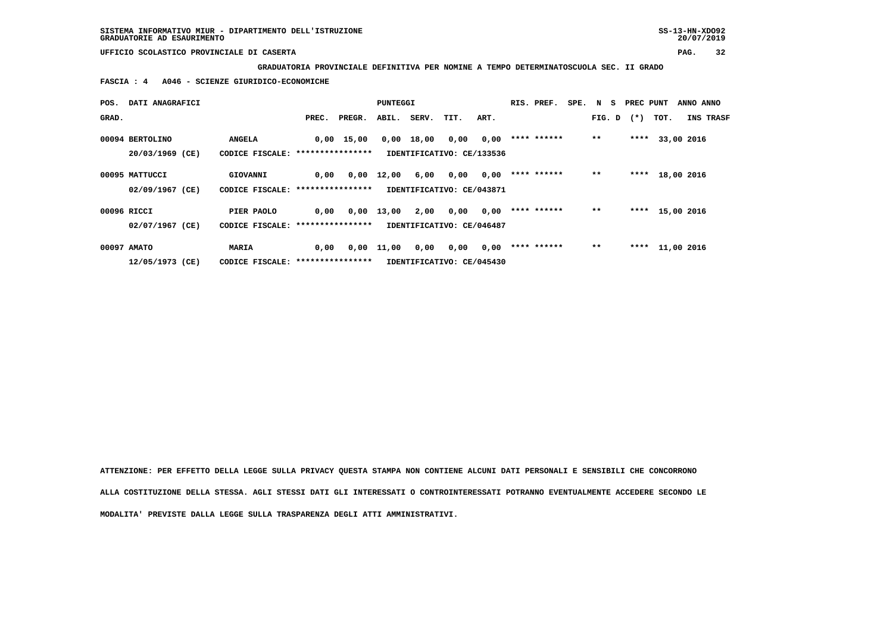**GRADUATORIA PROVINCIALE DEFINITIVA PER NOMINE A TEMPO DETERMINATOSCUOLA SEC. II GRADO**

 **FASCIA : 4 A046 - SCIENZE GIURIDICO-ECONOMICHE**

| POS.  | DATI ANAGRAFICI                    |                                                   |       |              | PUNTEGGI |             |                                   |      | RIS. PREF.  | SPE. N S |        | PREC PUNT |      | ANNO ANNO        |
|-------|------------------------------------|---------------------------------------------------|-------|--------------|----------|-------------|-----------------------------------|------|-------------|----------|--------|-----------|------|------------------|
| GRAD. |                                    |                                                   | PREC. | PREGR.       |          | ABIL. SERV. | TIT.                              | ART. |             |          | FIG. D | $(*)$     | TOT. | <b>INS TRASF</b> |
|       | 00094 BERTOLINO<br>20/03/1969 (CE) | <b>ANGELA</b><br>CODICE FISCALE: **************** |       | $0,00$ 15,00 | 0,00     | 18,00       | 0,00<br>IDENTIFICATIVO: CE/133536 | 0,00 | **** ****** |          | $* *$  | ****      |      | 33,00 2016       |
|       | 00095 MATTUCCI                     | GIOVANNI                                          | 0,00  | 0,00         | 12,00    | 6,00        | 0,00                              | 0,00 | **** ****** |          | $* *$  | ****      |      | 18,00 2016       |
|       | 02/09/1967 (CE)<br>00096 RICCI     | CODICE FISCALE: *****************<br>PIER PAOLO   | 0.00  | 0,00         | 13,00    | 2,00        | IDENTIFICATIVO: CE/043871<br>0,00 | 0,00 | **** ****** |          | $* *$  | ****      |      | 15,00 2016       |
|       | 02/07/1967 (CE)                    | CODICE FISCALE: *****************                 |       |              |          |             | IDENTIFICATIVO: CE/046487         |      |             |          |        |           |      |                  |
|       | 00097 AMATO                        | <b>MARIA</b>                                      | 0,00  | 0,00         | 11,00    | 0,00        | 0,00                              | 0,00 | **** ****** |          | $* *$  | ****      |      | 11,00 2016       |
|       | 12/05/1973 (CE)                    | CODICE FISCALE: *****************                 |       |              |          |             | IDENTIFICATIVO: CE/045430         |      |             |          |        |           |      |                  |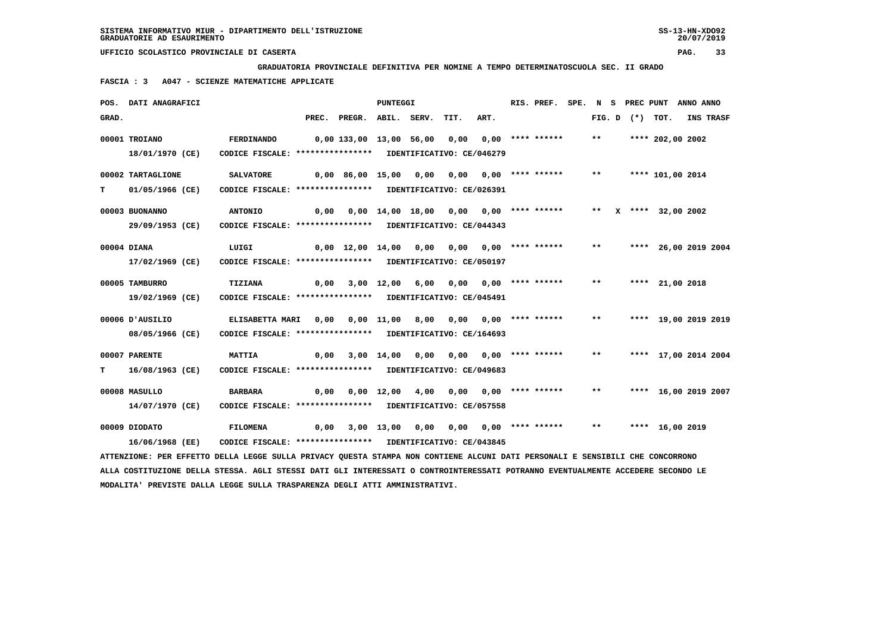**GRADUATORIA PROVINCIALE DEFINITIVA PER NOMINE A TEMPO DETERMINATOSCUOLA SEC. II GRADO**

 **FASCIA : 3 A047 - SCIENZE MATEMATICHE APPLICATE**

|       | POS. DATI ANAGRAFICI                                                                                                          |                                                            |       |                                                   | PUNTEGGI    |      |                                       |                                     | RIS. PREF. | SPE. N S | PREC PUNT |                      | ANNO ANNO |  |
|-------|-------------------------------------------------------------------------------------------------------------------------------|------------------------------------------------------------|-------|---------------------------------------------------|-------------|------|---------------------------------------|-------------------------------------|------------|----------|-----------|----------------------|-----------|--|
| GRAD. |                                                                                                                               |                                                            | PREC. | PREGR.                                            | ABIL. SERV. |      | TIT.                                  | ART.                                |            | FIG. D   | (*) TOT.  |                      | INS TRASF |  |
|       | 00001 TROIANO                                                                                                                 | FERDINANDO                                                 |       | 0,00 133,00 13,00 56,00                           |             |      | 0,00                                  | 0,00 **** ******                    |            | $***$    |           | **** 202,00 2002     |           |  |
|       | 18/01/1970 (CE)                                                                                                               | CODICE FISCALE: **************** IDENTIFICATIVO: CE/046279 |       |                                                   |             |      |                                       |                                     |            |          |           |                      |           |  |
|       | 00002 TARTAGLIONE                                                                                                             | <b>SALVATORE</b>                                           |       | $0,00$ 86,00 15,00                                |             | 0,00 |                                       | $0.00$ $0.00$ $***$ $***$ $***$ $*$ |            | $***$    |           | **** 101,00 2014     |           |  |
| т     | 01/05/1966 (CE)                                                                                                               | CODICE FISCALE: **************** IDENTIFICATIVO: CE/026391 |       |                                                   |             |      |                                       |                                     |            |          |           |                      |           |  |
|       | 00003 BUONANNO                                                                                                                | <b>ANTONIO</b>                                             |       | $0,00$ $0,00$ $14,00$ $18,00$ $0,00$ $0,00$ $***$ |             |      |                                       |                                     |            | $***$    |           | X **** 32,00 2002    |           |  |
|       | 29/09/1953 (CE)                                                                                                               | CODICE FISCALE: **************** IDENTIFICATIVO: CE/044343 |       |                                                   |             |      |                                       |                                     |            |          |           |                      |           |  |
|       | 00004 DIANA                                                                                                                   | LUIGI                                                      |       | 0,00 12,00 14,00                                  |             | 0,00 |                                       | $0,00$ $0,00$ **** ******           |            | $***$    |           | **** 26,00 2019 2004 |           |  |
|       | 17/02/1969 (CE)                                                                                                               | CODICE FISCALE: **************** IDENTIFICATIVO: CE/050197 |       |                                                   |             |      |                                       |                                     |            |          |           |                      |           |  |
|       | 00005 TAMBURRO                                                                                                                | TIZIANA                                                    | 0,00  |                                                   | 3,00 12,00  | 6,00 |                                       | $0,00$ $0,00$ **** ******           |            | $***$    |           | **** 21,00 2018      |           |  |
|       | 19/02/1969 (CE)                                                                                                               | CODICE FISCALE: **************** IDENTIFICATIVO: CE/045491 |       |                                                   |             |      |                                       |                                     |            |          |           |                      |           |  |
|       | 00006 JAUSILIO                                                                                                                | ELISABETTA MARI                                            |       | $0,00$ $0,00$ $11,00$ $8,00$ $0,00$ $0,00$ $***$  |             |      |                                       |                                     |            | $***$    |           | **** 19,00 2019 2019 |           |  |
|       | 08/05/1966 (CE)                                                                                                               | CODICE FISCALE: **************** IDENTIFICATIVO: CE/164693 |       |                                                   |             |      |                                       |                                     |            |          |           |                      |           |  |
|       | 00007 PARENTE                                                                                                                 | <b>MATTIA</b>                                              | 0,00  |                                                   | 3,00 14,00  | 0,00 |                                       | $0.00$ $0.00$ **** ******           |            | $* *$    |           | **** 17,00 2014 2004 |           |  |
| т     | 16/08/1963 (CE)                                                                                                               | CODICE FISCALE: **************** IDENTIFICATIVO: CE/049683 |       |                                                   |             |      |                                       |                                     |            |          |           |                      |           |  |
|       | 00008 MASULLO                                                                                                                 | <b>BARBARA</b>                                             |       | $0,00$ $0,00$ $12,00$                             |             | 4,00 |                                       | $0.00$ $0.00$ $***$ **** ******     |            | $***$    |           | **** 16,00 2019 2007 |           |  |
|       | 14/07/1970 (CE)                                                                                                               | CODICE FISCALE: **************** IDENTIFICATIVO: CE/057558 |       |                                                   |             |      |                                       |                                     |            |          |           |                      |           |  |
|       | 00009 DIODATO                                                                                                                 | <b>FILOMENA</b>                                            | 0,00  |                                                   |             |      | 3,00 13,00 0,00 0,00 0,00 **** ****** |                                     |            | $* *$    |           | **** 16,00 2019      |           |  |
|       | 16/06/1968 (EE)                                                                                                               | CODICE FISCALE: **************** IDENTIFICATIVO: CE/043845 |       |                                                   |             |      |                                       |                                     |            |          |           |                      |           |  |
|       | ATTENZIONE: PER EFFETTO DELLA LEGGE SULLA PRIVACY QUESTA STAMPA NON CONTIENE ALCUNI DATI PERSONALI E SENSIBILI CHE CONCORRONO |                                                            |       |                                                   |             |      |                                       |                                     |            |          |           |                      |           |  |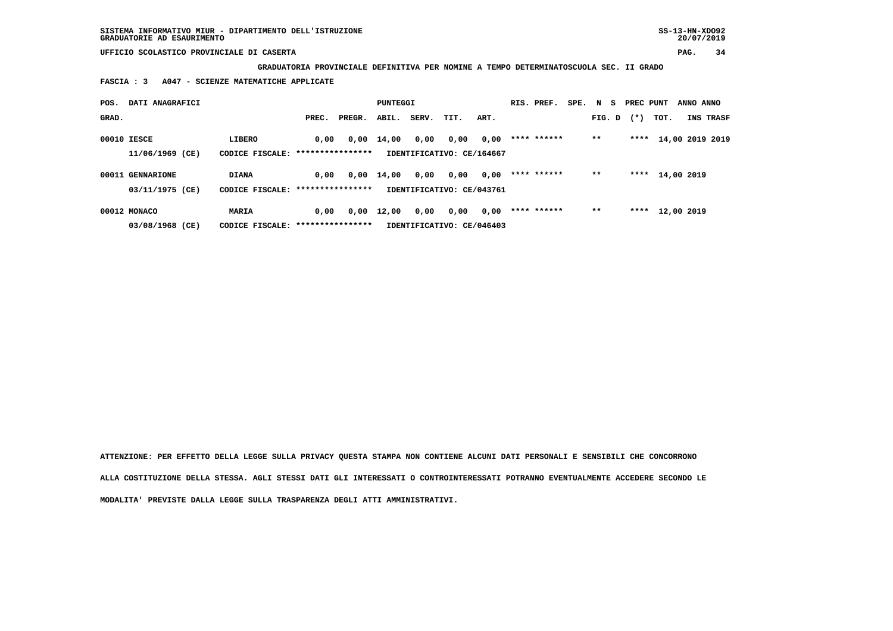**GRADUATORIA PROVINCIALE DEFINITIVA PER NOMINE A TEMPO DETERMINATOSCUOLA SEC. II GRADO**

 **FASCIA : 3 A047 - SCIENZE MATEMATICHE APPLICATE**

| POS.  | DATI ANAGRAFICI  |                                   |       |        | PUNTEGGI |       |                           |      | RIS. PREF.  | SPE. N S |        | PREC PUNT |            | ANNO ANNO |                 |
|-------|------------------|-----------------------------------|-------|--------|----------|-------|---------------------------|------|-------------|----------|--------|-----------|------------|-----------|-----------------|
| GRAD. |                  |                                   | PREC. | PREGR. | ABIL.    | SERV. | TIT.                      | ART. |             |          | FIG. D | $(*)$     | TOT.       |           | INS TRASF       |
|       | 00010 IESCE      | LIBERO                            | 0,00  | 0,00   | 14,00    | 0,00  | 0,00                      | 0,00 | **** ****** |          | $* *$  | ****      |            |           | 14,00 2019 2019 |
|       | 11/06/1969 (CE)  | CODICE FISCALE: ***************** |       |        |          |       | IDENTIFICATIVO: CE/164667 |      |             |          |        |           |            |           |                 |
|       | 00011 GENNARIONE | <b>DIANA</b>                      | 0.00  | 0,00   | 14,00    | 0,00  | 0,00                      | 0,00 | **** ****** |          | $* *$  | ****      | 14,00 2019 |           |                 |
|       | 03/11/1975 (CE)  | CODICE FISCALE: ***************** |       |        |          |       | IDENTIFICATIVO: CE/043761 |      |             |          |        |           |            |           |                 |
|       | 00012 MONACO     | MARIA                             | 0.00  | 0,00   | 12,00    | 0,00  | 0,00                      | 0,00 | **** ****** |          | $* *$  | ****      | 12,00 2019 |           |                 |
|       | 03/08/1968 (CE)  | CODICE FISCALE: ***************** |       |        |          |       | IDENTIFICATIVO: CE/046403 |      |             |          |        |           |            |           |                 |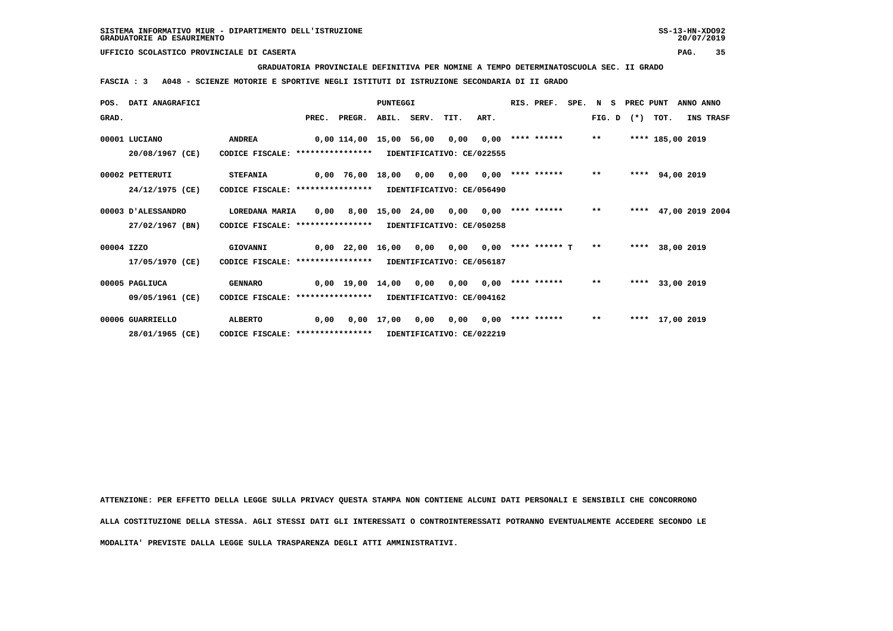**GRADUATORIA PROVINCIALE DEFINITIVA PER NOMINE A TEMPO DETERMINATOSCUOLA SEC. II GRADO**

 **FASCIA : 3 A048 - SCIENZE MOTORIE E SPORTIVE NEGLI ISTITUTI DI ISTRUZIONE SECONDARIA DI II GRADO**

|            | POS. DATI ANAGRAFICI |                                   |      |                         | PUNTEGGI     |                  |                           |      | RIS. PREF.           |       | SPE. N S PREC PUNT |                  | ANNO ANNO       |  |
|------------|----------------------|-----------------------------------|------|-------------------------|--------------|------------------|---------------------------|------|----------------------|-------|--------------------|------------------|-----------------|--|
| GRAD.      |                      |                                   |      | PREC. PREGR.            |              | ABIL. SERV.      | TIT.                      | ART. |                      |       | $FIG. D$ $(*)$     | TOT.             | INS TRASF       |  |
|            | 00001 LUCIANO        | <b>ANDREA</b>                     |      | 0,00 114,00 15,00 56,00 |              |                  | 0,00                      | 0,00 | **** ******          | $* *$ |                    | **** 185,00 2019 |                 |  |
|            | 20/08/1967 (CE)      | CODICE FISCALE: ****************  |      |                         |              |                  | IDENTIFICATIVO: CE/022555 |      |                      |       |                    |                  |                 |  |
|            | 00002 PETTERUTI      | <b>STEFANIA</b>                   |      | 0,00 76,00 18,00        |              | 0,00             | 0,00                      |      | $0.00$ **** ******   | $***$ |                    | **** 94,00 2019  |                 |  |
|            | 24/12/1975 (CE)      | CODICE FISCALE: ***************** |      |                         |              |                  | IDENTIFICATIVO: CE/056490 |      |                      |       |                    |                  |                 |  |
|            | 00003 D'ALESSANDRO   | LOREDANA MARIA                    | 0.00 |                         |              | 8,00 15,00 24,00 | 0,00                      |      | $0,00$ **** ******   | $***$ | ****               |                  | 47,00 2019 2004 |  |
|            | 27/02/1967 (BN)      | CODICE FISCALE: ***************** |      |                         |              |                  | IDENTIFICATIVO: CE/050258 |      |                      |       |                    |                  |                 |  |
| 00004 IZZO |                      | GIOVANNI                          |      | $0,00$ 22,00 16,00      |              | 0,00             | 0.00                      |      | $0.00$ **** ****** T | $***$ |                    | **** 38,00 2019  |                 |  |
|            | 17/05/1970 (CE)      | CODICE FISCALE: ****************  |      |                         |              |                  | IDENTIFICATIVO: CE/056187 |      |                      |       |                    |                  |                 |  |
|            | 00005 PAGLIUCA       | <b>GENNARO</b>                    |      | 0,00 19,00 14,00        |              | 0,00             | 0,00                      |      | $0,00$ **** ******   | $***$ |                    | **** 33,00 2019  |                 |  |
|            | 09/05/1961 (CE)      | CODICE FISCALE: ***************** |      |                         |              |                  | IDENTIFICATIVO: CE/004162 |      |                      |       |                    |                  |                 |  |
|            | 00006 GUARRIELLO     | <b>ALBERTO</b>                    | 0.00 |                         | $0,00$ 17,00 | 0,00             | 0.00                      | 0.00 | **** ******          | $***$ |                    | **** 17,00 2019  |                 |  |
|            | 28/01/1965 (CE)      | CODICE FISCALE: ****************  |      |                         |              |                  | IDENTIFICATIVO: CE/022219 |      |                      |       |                    |                  |                 |  |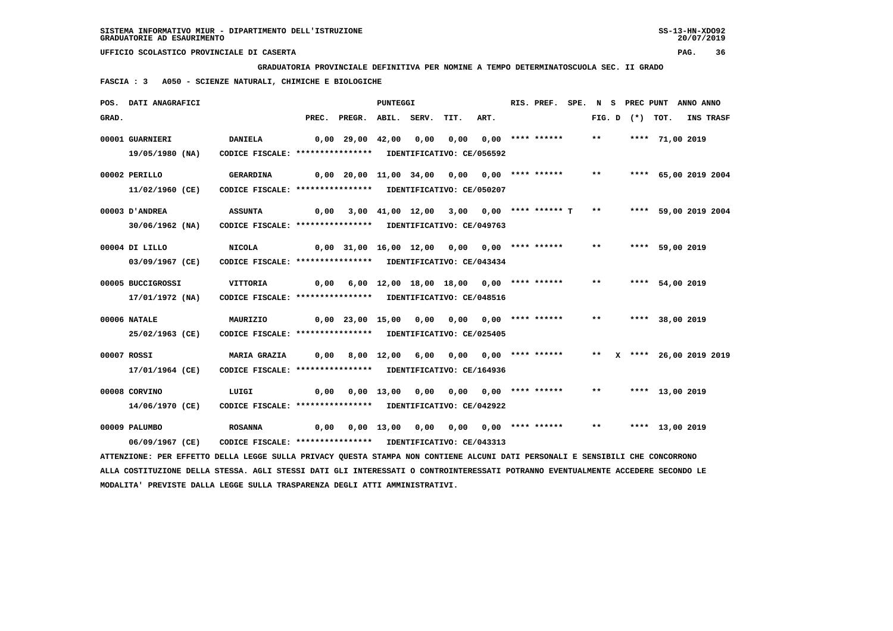**GRADUATORIA PROVINCIALE DEFINITIVA PER NOMINE A TEMPO DETERMINATOSCUOLA SEC. II GRADO**

 **FASCIA : 3 A050 - SCIENZE NATURALI, CHIMICHE E BIOLOGICHE**

|       | POS. DATI ANAGRAFICI                                                                                                          |                                                            |                                                  |                                                  | <b>PUNTEGGI</b> |                                             |                  | RIS. PREF. SPE. N S PREC PUNT ANNO ANNO |       |  |                      |           |
|-------|-------------------------------------------------------------------------------------------------------------------------------|------------------------------------------------------------|--------------------------------------------------|--------------------------------------------------|-----------------|---------------------------------------------|------------------|-----------------------------------------|-------|--|----------------------|-----------|
| GRAD. |                                                                                                                               |                                                            |                                                  | PREC. PREGR. ABIL. SERV.                         |                 | TIT.                                        | ART.             |                                         |       |  | FIG. D $(*)$ TOT.    | INS TRASF |
|       | 00001 GUARNIERI                                                                                                               | <b>DANIELA</b>                                             | 0,00 29,00 42,00 0,00                            |                                                  |                 | 0,00                                        | 0,00 **** ****** |                                         | $***$ |  | **** 71,00 2019      |           |
|       | 19/05/1980 (NA)                                                                                                               | CODICE FISCALE: **************** IDENTIFICATIVO: CE/056592 |                                                  |                                                  |                 |                                             |                  |                                         |       |  |                      |           |
|       | 00002 PERILLO                                                                                                                 | <b>GERARDINA</b>                                           | 0,00 20,00 11,00 34,00 0,00 0,00 **** ******     |                                                  |                 |                                             |                  |                                         | $***$ |  | **** 65,00 2019 2004 |           |
|       | 11/02/1960 (CE)                                                                                                               | CODICE FISCALE: **************** IDENTIFICATIVO: CE/050207 |                                                  |                                                  |                 |                                             |                  |                                         |       |  |                      |           |
|       | 00003 D'ANDREA                                                                                                                | <b>ASSUNTA</b>                                             | 0,00                                             |                                                  |                 | 3,00 41,00 12,00 3,00 0,00 **** ****** T ** |                  |                                         |       |  | **** 59,00 2019 2004 |           |
|       | 30/06/1962 (NA)                                                                                                               | CODICE FISCALE: **************** IDENTIFICATIVO: CE/049763 |                                                  |                                                  |                 |                                             |                  |                                         |       |  |                      |           |
|       | 00004 DI LILLO                                                                                                                | <b>NICOLA</b>                                              | 0,00 31,00 16,00 12,00 0,00 0,00 **** ****** *** |                                                  |                 |                                             |                  |                                         |       |  | **** 59,00 2019      |           |
|       | 03/09/1967 (CE)                                                                                                               | CODICE FISCALE: **************** IDENTIFICATIVO: CE/043434 |                                                  |                                                  |                 |                                             |                  |                                         |       |  |                      |           |
|       | 00005 BUCCIGROSSI                                                                                                             | <b>VITTORIA</b>                                            |                                                  | 0,00 6,00 12,00 18,00 18,00 0,00 **** ******     |                 |                                             |                  |                                         | $***$ |  | **** 54,00 2019      |           |
|       | 17/01/1972 (NA)                                                                                                               | CODICE FISCALE: **************** IDENTIFICATIVO: CE/048516 |                                                  |                                                  |                 |                                             |                  |                                         |       |  |                      |           |
|       | 00006 NATALE                                                                                                                  | MAURIZIO                                                   |                                                  | 0,00 23,00 15,00 0,00 0,00 0,00 **** ******      |                 |                                             |                  |                                         | $***$ |  | **** 38,00 2019      |           |
|       | 25/02/1963 (CE)                                                                                                               | CODICE FISCALE: **************** IDENTIFICATIVO: CE/025405 |                                                  |                                                  |                 |                                             |                  |                                         |       |  |                      |           |
|       | 00007 ROSSI                                                                                                                   | MARIA GRAZIA 0,00                                          |                                                  |                                                  | 8,00 12,00 6,00 |                                             |                  |                                         |       |  |                      |           |
|       | 17/01/1964 (CE)                                                                                                               | CODICE FISCALE: **************** IDENTIFICATIVO: CE/164936 |                                                  |                                                  |                 |                                             |                  |                                         |       |  |                      |           |
|       | 00008 CORVINO                                                                                                                 | LUIGI                                                      |                                                  | 0,00 0,00 13,00 0,00                             |                 | 0,00 0,00 **** ******                       |                  |                                         | $***$ |  | **** 13,00 2019      |           |
|       | 14/06/1970 (CE)                                                                                                               | CODICE FISCALE: **************** IDENTIFICATIVO: CE/042922 |                                                  |                                                  |                 |                                             |                  |                                         |       |  |                      |           |
|       | 00009 PALUMBO                                                                                                                 | <b>ROSANNA</b>                                             |                                                  | 0,00 0,00 13,00 0,00 0,00 0,00 **** ****** ** ** |                 |                                             |                  |                                         |       |  | **** 13,00 2019      |           |
|       | 06/09/1967 (CE)                                                                                                               | CODICE FISCALE: **************** IDENTIFICATIVO: CE/043313 |                                                  |                                                  |                 |                                             |                  |                                         |       |  |                      |           |
|       | ATTENZIONE: PER EFFETTO DELLA LEGGE SULLA PRIVACY QUESTA STAMPA NON CONTIENE ALCUNI DATI PERSONALI E SENSIBILI CHE CONCORRONO |                                                            |                                                  |                                                  |                 |                                             |                  |                                         |       |  |                      |           |
|       | AAARFRUSTANG BOILL ARGAAL. LALT ARGAAL BLRT ALT TURGBOALDET A AANUBATURGBOALDE BARBLUSA BURURULLUSUR LAABBOBB                 |                                                            |                                                  |                                                  |                 |                                             |                  |                                         |       |  |                      |           |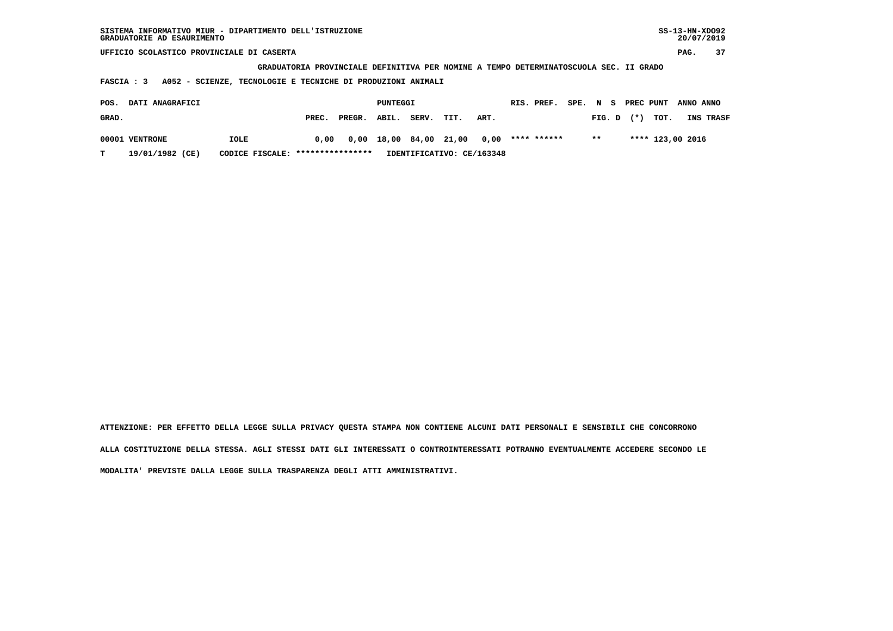| SISTEMA INFORMATIVO MIUR - DIPARTIMENTO DELL'ISTRUZIONE<br>GRADUATORIE AD ESAURIMENTO |                                                                                       |       |        |          |       |       |      |            |             |          |        |  |           |                  |           | $SS-13-HN-XDO92$<br>20/07/2019 |
|---------------------------------------------------------------------------------------|---------------------------------------------------------------------------------------|-------|--------|----------|-------|-------|------|------------|-------------|----------|--------|--|-----------|------------------|-----------|--------------------------------|
| UFFICIO SCOLASTICO PROVINCIALE DI CASERTA                                             |                                                                                       |       |        |          |       |       |      |            |             |          |        |  |           |                  | PAG.      | 37                             |
|                                                                                       | GRADUATORIA PROVINCIALE DEFINITIVA PER NOMINE A TEMPO DETERMINATOSCUOLA SEC. II GRADO |       |        |          |       |       |      |            |             |          |        |  |           |                  |           |                                |
| A052 - SCIENZE, TECNOLOGIE E TECNICHE DI PRODUZIONI ANIMALI<br>FASCIA : 3             |                                                                                       |       |        |          |       |       |      |            |             |          |        |  |           |                  |           |                                |
| DATI ANAGRAFICI<br>POS.                                                               |                                                                                       |       |        | PUNTEGGI |       |       |      | RIS. PREF. |             | SPE. N S |        |  | PREC PUNT |                  | ANNO ANNO |                                |
| GRAD.                                                                                 |                                                                                       | PREC. | PREGR. | ABIL.    | SERV. | TIT.  | ART. |            |             |          | FIG. D |  | (*)       | TOT.             |           | INS TRASF                      |
| 00001 VENTRONE                                                                        | IOLE                                                                                  | 0.00  | 0,00   | 18,00    | 84,00 | 21,00 | 0.00 |            | **** ****** |          | $* *$  |  |           | **** 123,00 2016 |           |                                |

 **T 19/01/1982 (CE) CODICE FISCALE: \*\*\*\*\*\*\*\*\*\*\*\*\*\*\*\* IDENTIFICATIVO: CE/163348**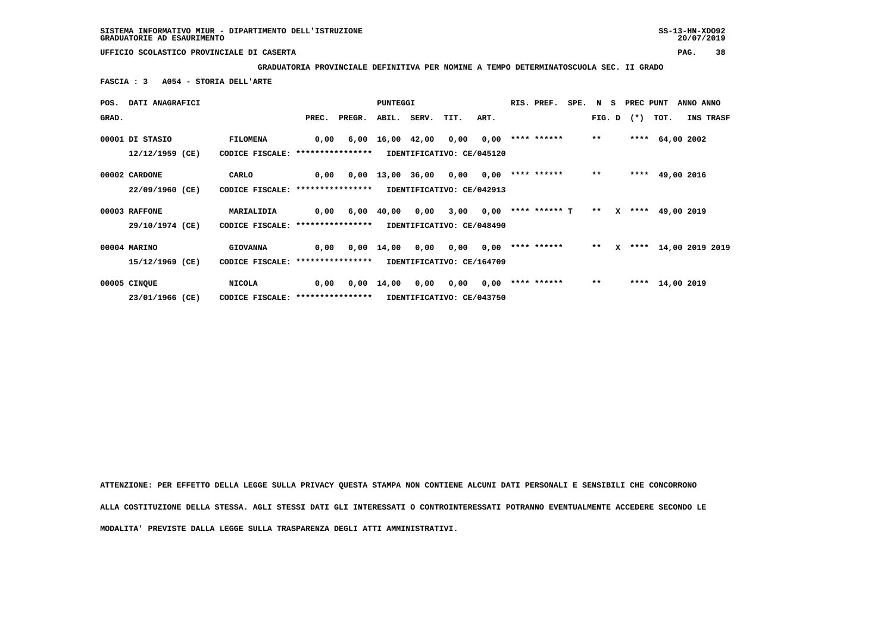**GRADUATORIA PROVINCIALE DEFINITIVA PER NOMINE A TEMPO DETERMINATOSCUOLA SEC. II GRADO**

 **FASCIA : 3 A054 - STORIA DELL'ARTE**

|       | POS. DATI ANAGRAFICI |                                  |       |        | PUNTEGGI           |                                |                           |      | RIS. PREF.           | SPE. N S |       |              | PREC PUNT    |                 | ANNO ANNO            |
|-------|----------------------|----------------------------------|-------|--------|--------------------|--------------------------------|---------------------------|------|----------------------|----------|-------|--------------|--------------|-----------------|----------------------|
| GRAD. |                      |                                  | PREC. | PREGR. |                    | ABIL. SERV.                    | TIT.                      | ART. |                      |          |       |              | FIG. D $(*)$ | TOT.            | INS TRASF            |
|       | 00001 DI STASIO      | <b>FILOMENA</b>                  | 0,00  |        |                    | $6,00 \quad 16,00 \quad 42,00$ | 0,00                      | 0,00 | **** ******          |          | $**$  |              | ****         | 64,00 2002      |                      |
|       | 12/12/1959 (CE)      | CODICE FISCALE: **************** |       |        |                    |                                | IDENTIFICATIVO: CE/045120 |      |                      |          |       |              |              |                 |                      |
|       | 00002 CARDONE        | CARLO                            | 0,00  |        | $0,00$ 13,00 36,00 |                                | 0,00                      | 0,00 | **** ******          |          | $***$ |              |              | **** 49,00 2016 |                      |
|       | 22/09/1960 (CE)      | CODICE FISCALE: **************** |       |        |                    |                                | IDENTIFICATIVO: CE/042913 |      |                      |          |       |              |              |                 |                      |
|       | 00003 RAFFONE        | MARIALIDIA                       | 0,00  |        | 6,00 40,00         | 0,00                           | 3,00                      |      | $0,00$ **** ****** T |          | $* *$ | x            |              | **** 49,00 2019 |                      |
|       | 29/10/1974 (CE)      | CODICE FISCALE: **************** |       |        |                    |                                | IDENTIFICATIVO: CE/048490 |      |                      |          |       |              |              |                 |                      |
|       | 00004 MARINO         | <b>GIOVANNA</b>                  | 0,00  | 0,00   | 14,00              | 0,00                           | 0,00                      |      | $0,00$ **** ******   |          | $* *$ | $\mathbf{x}$ |              |                 | **** 14,00 2019 2019 |
|       | 15/12/1969 (CE)      | CODICE FISCALE: **************** |       |        |                    |                                | IDENTIFICATIVO: CE/164709 |      |                      |          |       |              |              |                 |                      |
|       | 00005 CINQUE         | <b>NICOLA</b>                    | 0,00  |        | $0,00 \quad 14,00$ | 0,00                           | 0,00                      |      | $0,00$ **** ******   |          | $* *$ |              |              | **** 14,00 2019 |                      |
|       | 23/01/1966 (CE)      | CODICE FISCALE: **************** |       |        |                    |                                | IDENTIFICATIVO: CE/043750 |      |                      |          |       |              |              |                 |                      |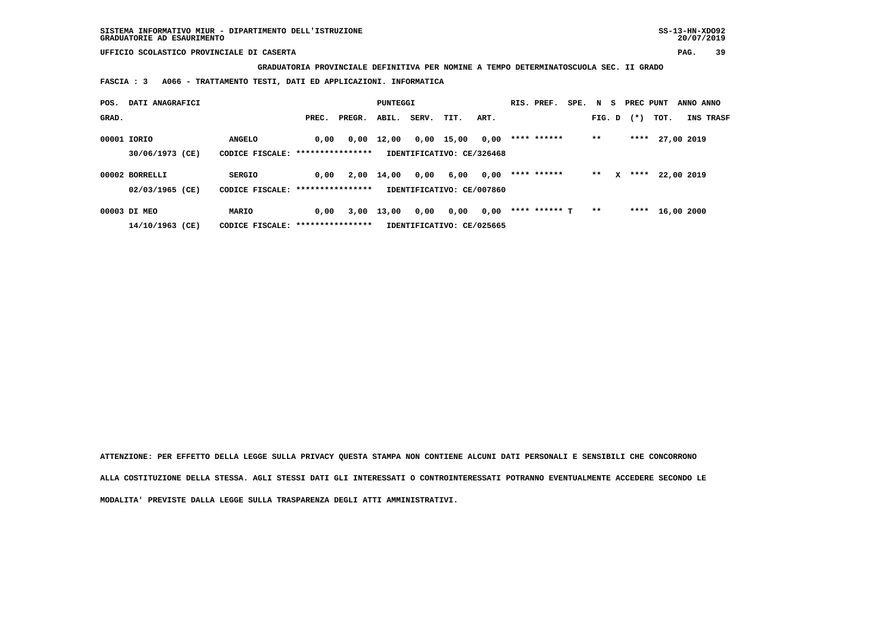**GRADUATORIA PROVINCIALE DEFINITIVA PER NOMINE A TEMPO DETERMINATOSCUOLA SEC. II GRADO**

 **FASCIA : 3 A066 - TRATTAMENTO TESTI, DATI ED APPLICAZIONI. INFORMATICA**

| POS.  | DATI ANAGRAFICI |                                   |       |        | PUNTEGGI |       |                           |      | RIS. PREF.    | SPE. N S |        |   | PREC PUNT |                  | ANNO ANNO  |           |
|-------|-----------------|-----------------------------------|-------|--------|----------|-------|---------------------------|------|---------------|----------|--------|---|-----------|------------------|------------|-----------|
| GRAD. |                 |                                   | PREC. | PREGR. | ABIL.    | SERV. | TIT.                      | ART. |               |          | FIG. D |   | $(*)$     | TOT.             |            | INS TRASF |
|       | 00001 IORIO     | <b>ANGELO</b>                     | 0.00  | 0,00   | 12,00    |       | $0,00$ 15,00              | 0,00 | **** ******   |          | $***$  |   | ****      |                  | 27,00 2019 |           |
|       | 30/06/1973 (CE) | CODICE FISCALE: ****************  |       |        |          |       | IDENTIFICATIVO: CE/326468 |      |               |          |        |   |           |                  |            |           |
|       | 00002 BORRELLI  | <b>SERGIO</b>                     | 0,00  | 2,00   | 14,00    | 0,00  | 6,00                      | 0,00 | **** ******   |          | $***$  | x | ****      |                  | 22,00 2019 |           |
|       | 02/03/1965 (CE) | CODICE FISCALE: ***************** |       |        |          |       | IDENTIFICATIVO: CE/007860 |      |               |          |        |   |           |                  |            |           |
|       | 00003 DI MEO    | MARIO                             | 0,00  | 3,00   | 13,00    | 0,00  | 0,00                      | 0,00 | **** ****** T |          | $* *$  |   |           | **** $16,002000$ |            |           |
|       | 14/10/1963 (CE) | CODICE FISCALE: ****************  |       |        |          |       | IDENTIFICATIVO: CE/025665 |      |               |          |        |   |           |                  |            |           |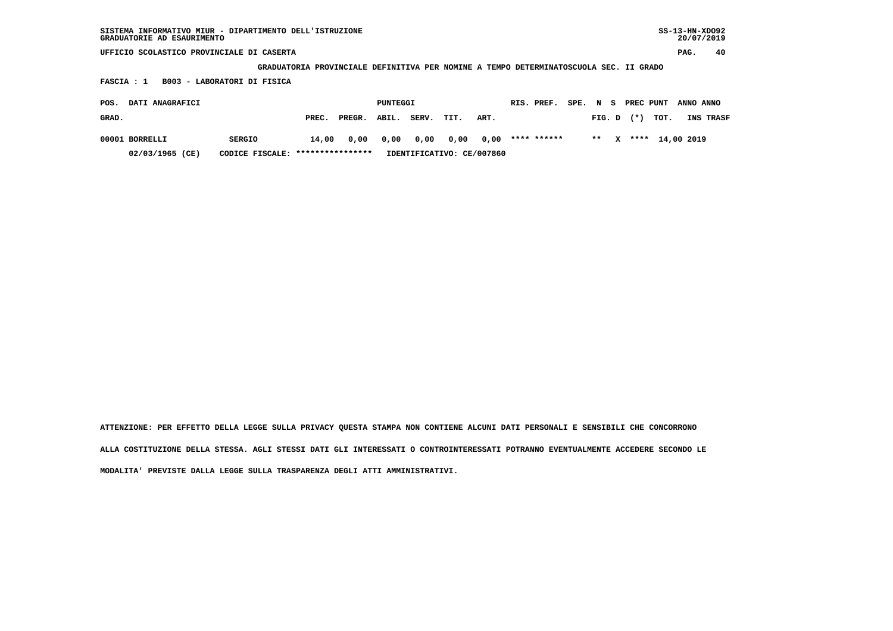| SISTEMA INFORMATIVO MIUR - DIPARTIMENTO DELL'ISTRUZIONE<br>GRADUATORIE AD ESAURIMENTO                                |               |       |        |          |       |      |      |  |             |      |        |    |               |      | $SS-13-HN-XDO92$<br>20/07/2019 |           |
|----------------------------------------------------------------------------------------------------------------------|---------------|-------|--------|----------|-------|------|------|--|-------------|------|--------|----|---------------|------|--------------------------------|-----------|
| UFFICIO SCOLASTICO PROVINCIALE DI CASERTA                                                                            |               |       |        |          |       |      |      |  |             |      |        |    |               |      | PAG.                           | 40        |
|                                                                                                                      |               |       |        |          |       |      |      |  |             |      |        |    | SEC. II GRADO |      |                                |           |
| GRADUATORIA PROVINCIALE DEFINITIVA PER NOMINE A TEMPO DETERMINATOSCUOLA<br>FASCIA : 1<br>B003 - LABORATORI DI FISICA |               |       |        |          |       |      |      |  |             |      |        |    |               |      |                                |           |
| DATI ANAGRAFICI<br>POS.                                                                                              |               |       |        | PUNTEGGI |       |      |      |  | RIS. PREF.  | SPE. | N      | -S | PREC PUNT     |      | ANNO ANNO                      |           |
| GRAD.                                                                                                                |               | PREC. | PREGR. | ABIL.    | SERV. | TIT. | ART. |  |             |      | FIG. D |    | $^{(*)}$      | TOT. |                                | INS TRASF |
| 00001 BORRELLI                                                                                                       | <b>SERGIO</b> | 14,00 | 0,00   | 0,00     | 0,00  | 0,00 | 0,00 |  | **** ****** |      | $* *$  |    | ****          |      | 14,00 2019                     |           |

 **02/03/1965 (CE) CODICE FISCALE: \*\*\*\*\*\*\*\*\*\*\*\*\*\*\*\* IDENTIFICATIVO: CE/007860**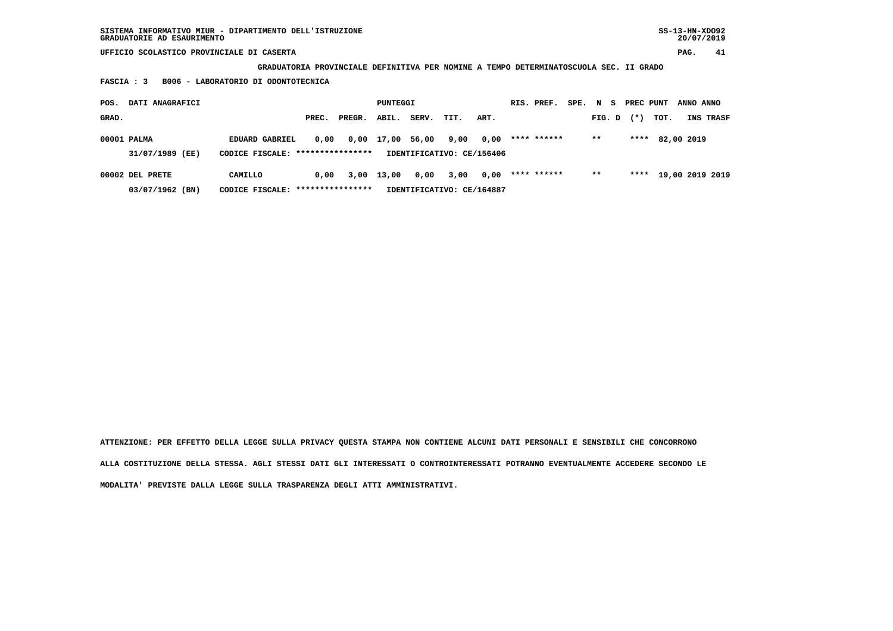**GRADUATORIA PROVINCIALE DEFINITIVA PER NOMINE A TEMPO DETERMINATOSCUOLA SEC. II GRADO**

 **FASCIA : 3 B006 - LABORATORIO DI ODONTOTECNICA**

| POS.  | DATI ANAGRAFICI |                                  |       |                  | PUNTEGGI |       |                           |      | RIS. PREF.  | SPE. | N S    | PREC PUNT |      | ANNO ANNO  |                 |
|-------|-----------------|----------------------------------|-------|------------------|----------|-------|---------------------------|------|-------------|------|--------|-----------|------|------------|-----------------|
| GRAD. |                 |                                  | PREC. | PREGR.           | ABIL.    | SERV. | TIT.                      | ART. |             |      | FIG. D | $(*)$     | TOT. |            | INS TRASF       |
|       | 00001 PALMA     | EDUARD GABRIEL                   | 0.00  | 0,00             | 17,00    | 56,00 | 9,00                      | 0,00 | **** ****** |      | $***$  | ****      |      | 82,00 2019 |                 |
|       | 31/07/1989 (EE) | CODICE FISCALE: **************** |       |                  |          |       | IDENTIFICATIVO: CE/156406 |      |             |      |        |           |      |            |                 |
|       | 00002 DEL PRETE | CAMILLO                          | 0.00  | 3,00             | 13,00    | 0,00  | 3,00                      | 0,00 | **** ****** |      | $* *$  | ****      |      |            | 19,00 2019 2019 |
|       | 03/07/1962 (BN) | CODICE FISCALE:                  |       | **************** |          |       | IDENTIFICATIVO: CE/164887 |      |             |      |        |           |      |            |                 |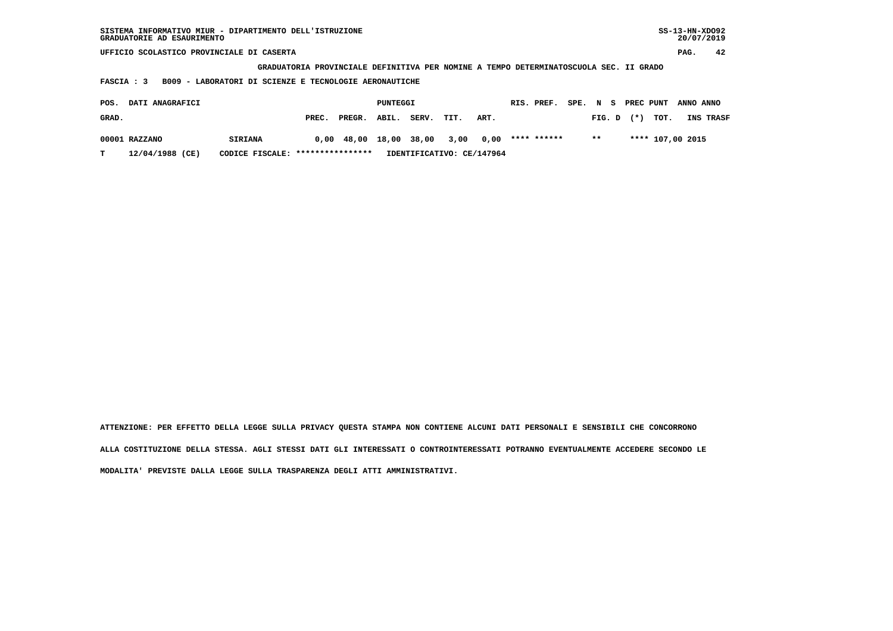| SISTEMA INFORMATIVO MIUR - DIPARTIMENTO DELL'ISTRUZIONE<br>GRADUATORIE AD ESAURIMENTO |                                                                                       |                 |                           |      |      |             |      |        |           |      | $SS-13-HN-XDO92$<br>20/07/2019 |  |  |  |
|---------------------------------------------------------------------------------------|---------------------------------------------------------------------------------------|-----------------|---------------------------|------|------|-------------|------|--------|-----------|------|--------------------------------|--|--|--|
| UFFICIO SCOLASTICO PROVINCIALE DI CASERTA                                             |                                                                                       |                 |                           |      |      |             |      |        |           |      | 42<br>PAG.                     |  |  |  |
|                                                                                       | GRADUATORIA PROVINCIALE DEFINITIVA PER NOMINE A TEMPO DETERMINATOSCUOLA SEC. II GRADO |                 |                           |      |      |             |      |        |           |      |                                |  |  |  |
| B009 - LABORATORI DI SCIENZE E TECNOLOGIE AERONAUTICHE<br><b>FASCIA : 3</b>           |                                                                                       |                 |                           |      |      |             |      |        |           |      |                                |  |  |  |
|                                                                                       |                                                                                       |                 |                           |      |      |             |      |        |           |      |                                |  |  |  |
| DATI ANAGRAFICI<br>POS.                                                               |                                                                                       |                 | PUNTEGGI                  |      |      | RIS. PREF.  | SPE. | N S    | PREC PUNT |      | ANNO ANNO                      |  |  |  |
| GRAD.                                                                                 | PREC.                                                                                 | ABIL.<br>PREGR. | SERV.                     | TIT. | ART. |             |      | FIG. D | $(* )$    | TOT. | INS TRASF                      |  |  |  |
| 00001 RAZZANO<br><b>SIRIANA</b>                                                       | 0,00                                                                                  | 18,00<br>48,00  | 38,00                     | 3,00 | 0,00 | **** ****** |      | $* *$  |           |      | **** 107,00 2015               |  |  |  |
| 12/04/1988 (CE)<br>т<br>CODICE FISCALE:                                               | ****************                                                                      |                 | IDENTIFICATIVO: CE/147964 |      |      |             |      |        |           |      |                                |  |  |  |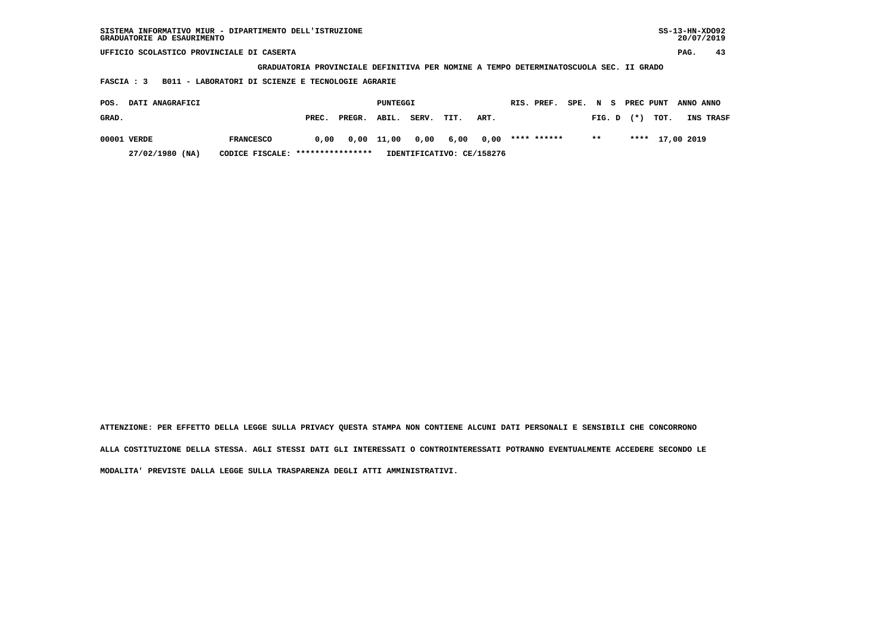| SISTEMA INFORMATIVO MIUR - DIPARTIMENTO DELL'ISTRUZIONE<br>GRADUATORIE AD ESAURIMENTO |                                                                                       |       |        |          |       |      |      |  |             |      |        |  |           |      |            | $SS-13-HN-XDO92$<br>20/07/2019 |
|---------------------------------------------------------------------------------------|---------------------------------------------------------------------------------------|-------|--------|----------|-------|------|------|--|-------------|------|--------|--|-----------|------|------------|--------------------------------|
| UFFICIO SCOLASTICO PROVINCIALE DI CASERTA                                             |                                                                                       |       |        |          |       |      |      |  |             |      |        |  |           |      | PAG.       | 43                             |
|                                                                                       | GRADUATORIA PROVINCIALE DEFINITIVA PER NOMINE A TEMPO DETERMINATOSCUOLA SEC. II GRADO |       |        |          |       |      |      |  |             |      |        |  |           |      |            |                                |
| B011 - LABORATORI DI SCIENZE E TECNOLOGIE AGRARIE<br>FASCIA : 3                       |                                                                                       |       |        |          |       |      |      |  |             |      |        |  |           |      |            |                                |
| DATI ANAGRAFICI<br>POS.                                                               |                                                                                       |       |        | PUNTEGGI |       |      |      |  | RIS. PREF.  | SPE. | N S    |  | PREC PUNT |      | ANNO ANNO  |                                |
| GRAD.                                                                                 |                                                                                       | PREC. | PREGR. | ABIL.    | SERV. | TIT. | ART. |  |             |      | FIG. D |  | $(* )$    | TOT. |            | INS TRASF                      |
| 00001 VERDE                                                                           | <b>FRANCESCO</b>                                                                      | 0.00  | 0,00   | 11,00    | 0,00  | 6,00 | 0,00 |  | **** ****** |      | $* *$  |  | ****      |      | 17,00 2019 |                                |

 **27/02/1980 (NA) CODICE FISCALE: \*\*\*\*\*\*\*\*\*\*\*\*\*\*\*\* IDENTIFICATIVO: CE/158276**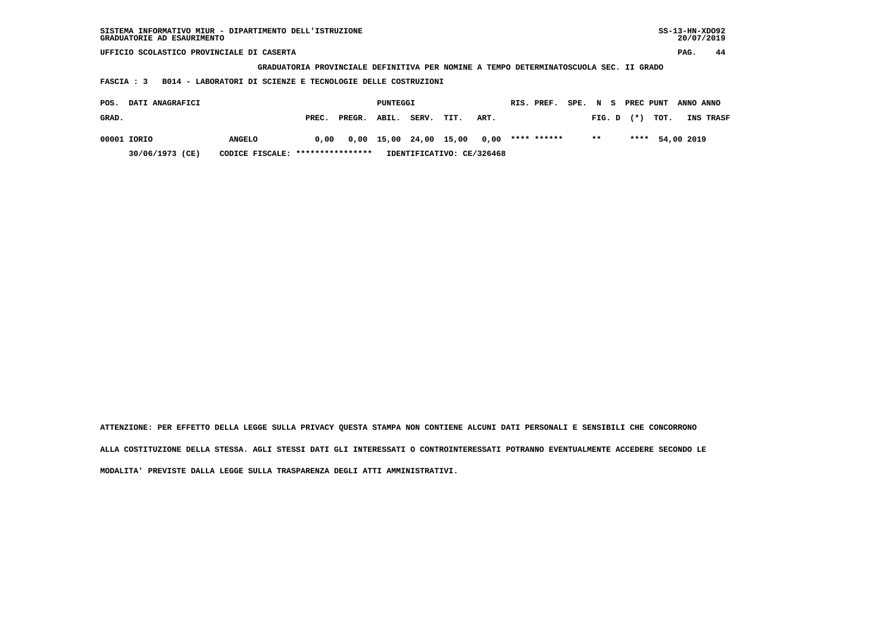| SISTEMA INFORMATIVO MIUR - DIPARTIMENTO DELL'ISTRUZIONE<br>GRADUATORIE AD ESAURIMENTO |               |       |        |          |                        |      |      |            |             |        |        |           |                 | $SS-13-HN-XDO92$<br>20/07/2019 |           |
|---------------------------------------------------------------------------------------|---------------|-------|--------|----------|------------------------|------|------|------------|-------------|--------|--------|-----------|-----------------|--------------------------------|-----------|
| UFFICIO SCOLASTICO PROVINCIALE DI CASERTA                                             |               |       |        |          |                        |      |      |            |             |        |        |           |                 | PAG.                           | 44        |
| GRADUATORIA PROVINCIALE DEFINITIVA PER NOMINE A TEMPO DETERMINATOSCUOLA SEC. II GRADO |               |       |        |          |                        |      |      |            |             |        |        |           |                 |                                |           |
| B014 - LABORATORI DI SCIENZE E TECNOLOGIE DELLE COSTRUZIONI<br>FASCIA : 3             |               |       |        |          |                        |      |      |            |             |        |        |           |                 |                                |           |
| DATI ANAGRAFICI<br>POS.                                                               |               |       |        | PUNTEGGI |                        |      |      | RIS. PREF. |             | SPE. N | s.     | PREC PUNT |                 | ANNO ANNO                      |           |
|                                                                                       |               |       |        |          |                        |      |      |            |             |        |        |           |                 |                                |           |
| GRAD.                                                                                 |               | PREC. | PREGR. | ABIL.    | SERV.                  | TIT. | ART. |            |             |        | FIG. D | $(*)$     | TOT.            |                                | INS TRASF |
| 00001 IORIO                                                                           | <b>ANGELO</b> | 0.00  |        |          | 0,00 15,00 24,00 15,00 |      | 0,00 |            | **** ****** |        | $***$  |           | **** 54,00 2019 |                                |           |

 **30/06/1973 (CE) CODICE FISCALE: \*\*\*\*\*\*\*\*\*\*\*\*\*\*\*\* IDENTIFICATIVO: CE/326468**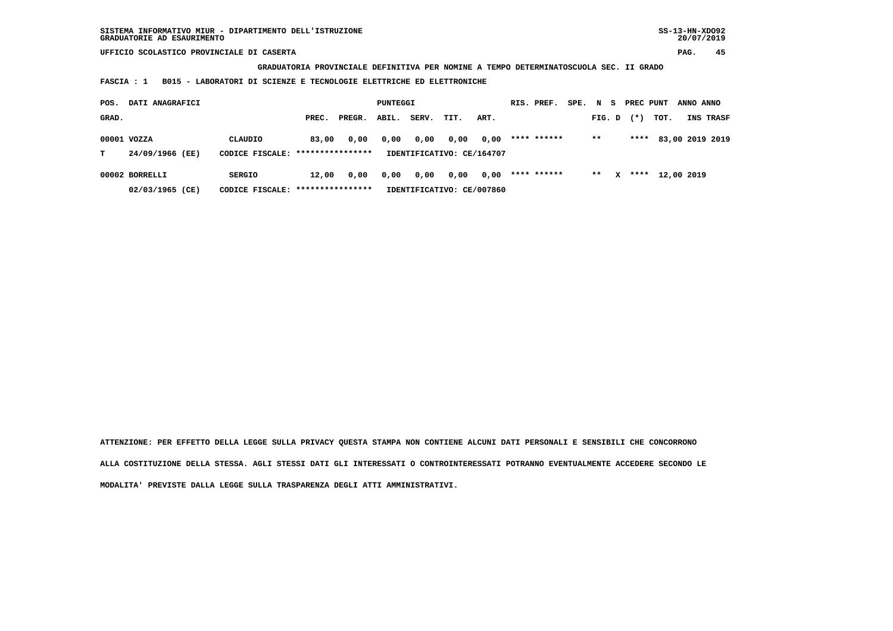**GRADUATORIA PROVINCIALE DEFINITIVA PER NOMINE A TEMPO DETERMINATOSCUOLA SEC. II GRADO**

 **FASCIA : 1 B015 - LABORATORI DI SCIENZE E TECNOLOGIE ELETTRICHE ED ELETTRONICHE**

| POS.  | <b>DATI ANAGRAFICI</b>                                                                                                                |         |       |        | PUNTEGGI |                                   |      |      | RIS. PREF.  | SPE. N S |              | PREC PUNT |      | ANNO ANNO  |                 |
|-------|---------------------------------------------------------------------------------------------------------------------------------------|---------|-------|--------|----------|-----------------------------------|------|------|-------------|----------|--------------|-----------|------|------------|-----------------|
| GRAD. |                                                                                                                                       |         | PREC. | PREGR. | ABIL.    | SERV.                             | TIT. | ART. |             | FIG. D   |              | $(*)$     | тот. |            | INS TRASF       |
| т     | 00001 VOZZA<br>24/09/1966 (EE)                                                                                                        | CLAUDIO | 83,00 | 0,00   | 0,00     | 0,00<br>IDENTIFICATIVO: CE/164707 | 0,00 | 0,00 | **** ****** | $***$    |              | ****      |      |            | 83,00 2019 2019 |
|       | CODICE FISCALE: ****************<br>00002 BORRELLI<br>12,00<br>0,00<br>SERGIO<br>CODICE FISCALE: *****************<br>02/03/1965 (CE) |         |       |        | 0,00     | 0,00<br>IDENTIFICATIVO: CE/007860 | 0,00 | 0,00 | **** ****** | $***$    | $\mathbf{x}$ | ****      |      | 12,00 2019 |                 |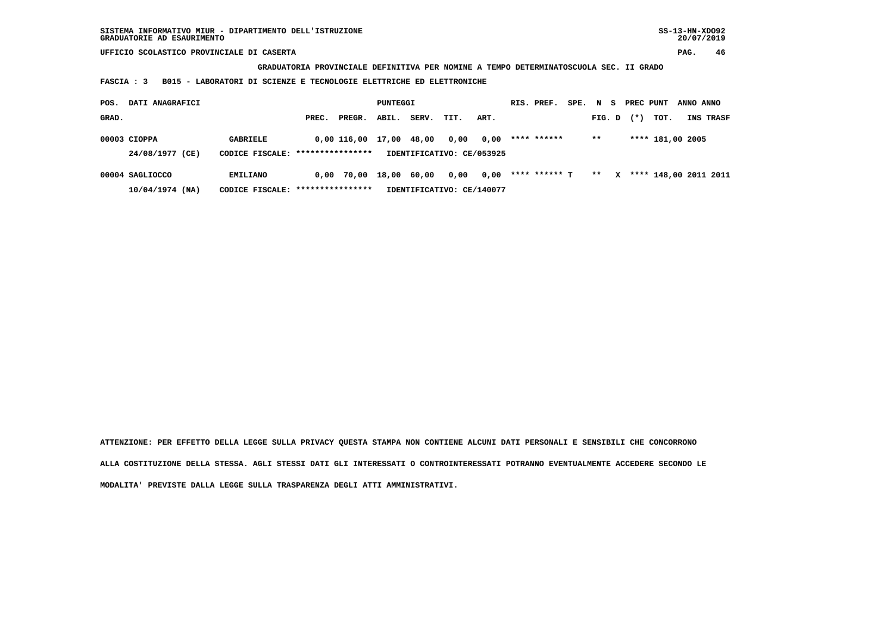**GRADUATORIA PROVINCIALE DEFINITIVA PER NOMINE A TEMPO DETERMINATOSCUOLA SEC. II GRADO**

 **FASCIA : 3 B015 - LABORATORI DI SCIENZE E TECNOLOGIE ELETTRICHE ED ELETTRONICHE**

| POS.  | DATI ANAGRAFICI   |                                  |                  |              | PUNTEGGI |       |                           |      | RIS. PREF.    | SPE. |        |   | N S PRECPUNT |                  | ANNO ANNO |                       |
|-------|-------------------|----------------------------------|------------------|--------------|----------|-------|---------------------------|------|---------------|------|--------|---|--------------|------------------|-----------|-----------------------|
| GRAD. |                   |                                  | PREC.            | PREGR.       | ABIL.    | SERV. | TIT.                      | ART. |               |      | FIG. D |   | $(*)$        | TOT.             |           | INS TRASF             |
|       | $00003$ CIOPPA    | <b>GABRIELE</b>                  |                  | 0.00 116.00  | 17,00    | 48,00 | 0,00                      | 0,00 | **** ******   |      | $***$  |   |              | **** 181,00 2005 |           |                       |
|       | 24/08/1977 (CE)   | CODICE FISCALE: **************** |                  |              |          |       | IDENTIFICATIVO: CE/053925 |      |               |      |        |   |              |                  |           |                       |
|       | 00004 SAGLIOCCO   | <b>EMILIANO</b>                  |                  | $0.00$ 70.00 | 18,00    | 60,00 | 0,00                      | 0,00 | **** ****** T |      | $**$   | x |              |                  |           | **** 148,00 2011 2011 |
|       | $10/04/1974$ (NA) | CODICE FISCALE:                  | **************** |              |          |       | IDENTIFICATIVO: CE/140077 |      |               |      |        |   |              |                  |           |                       |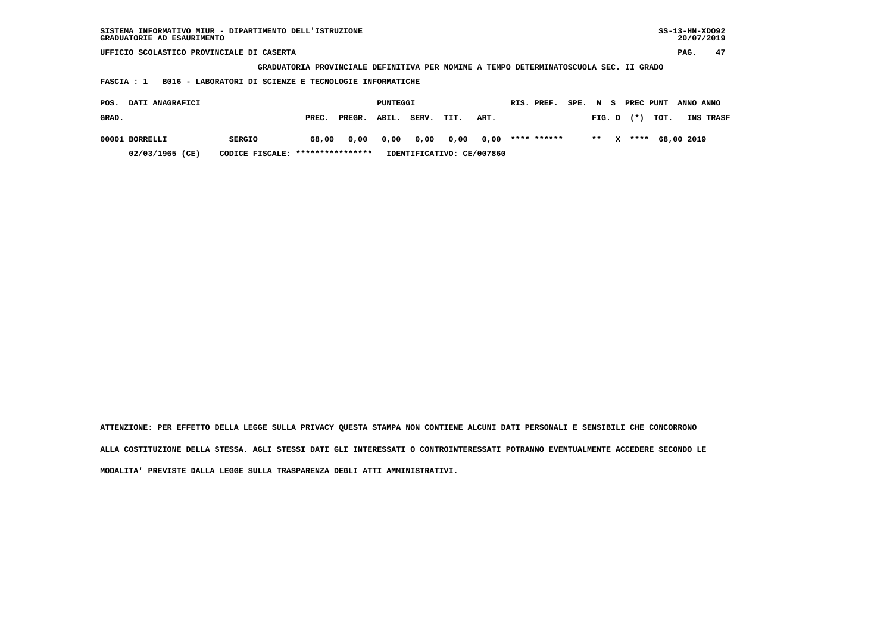| SISTEMA INFORMATIVO MIUR - DIPARTIMENTO DELL'ISTRUZIONE<br>GRADUATORIE AD ESAURIMENTO |       |                                               |       |       |      |      |  |             |      |        |   |           | $SS-13-HN-XDO92$<br>20/07/2019 |            |           |
|---------------------------------------------------------------------------------------|-------|-----------------------------------------------|-------|-------|------|------|--|-------------|------|--------|---|-----------|--------------------------------|------------|-----------|
| UFFICIO SCOLASTICO PROVINCIALE DI CASERTA                                             |       |                                               |       |       |      |      |  |             |      |        |   | PAG.      | 47                             |            |           |
| GRADUATORIA PROVINCIALE DEFINITIVA PER NOMINE A TEMPO DETERMINATOSCUOLA SEC. II GRADO |       |                                               |       |       |      |      |  |             |      |        |   |           |                                |            |           |
| B016 - LABORATORI DI SCIENZE E TECNOLOGIE INFORMATICHE<br>FASCIA : 1                  |       |                                               |       |       |      |      |  |             |      |        |   |           |                                |            |           |
| DATI ANAGRAFICI<br>POS.                                                               |       | PUNTEGGI                                      |       |       |      |      |  | RIS. PREF.  | SPE. | N S    |   | PREC PUNT |                                | ANNO ANNO  |           |
| GRAD.                                                                                 | PREC. | PREGR.                                        | ABIL. | SERV. | TIT. | ART. |  |             |      | FIG. D |   | $(*)$     | TOT.                           |            | INS TRASF |
| 00001 BORRELLI<br><b>SERGIO</b>                                                       | 68,00 | 0,00                                          | 0,00  | 0,00  | 0,00 | 0,00 |  | **** ****** |      | $* *$  | x | ****      |                                | 68,00 2019 |           |
| 02/03/1965 (CE)<br>CODICE FISCALE:                                                    |       | ****************<br>IDENTIFICATIVO: CE/007860 |       |       |      |      |  |             |      |        |   |           |                                |            |           |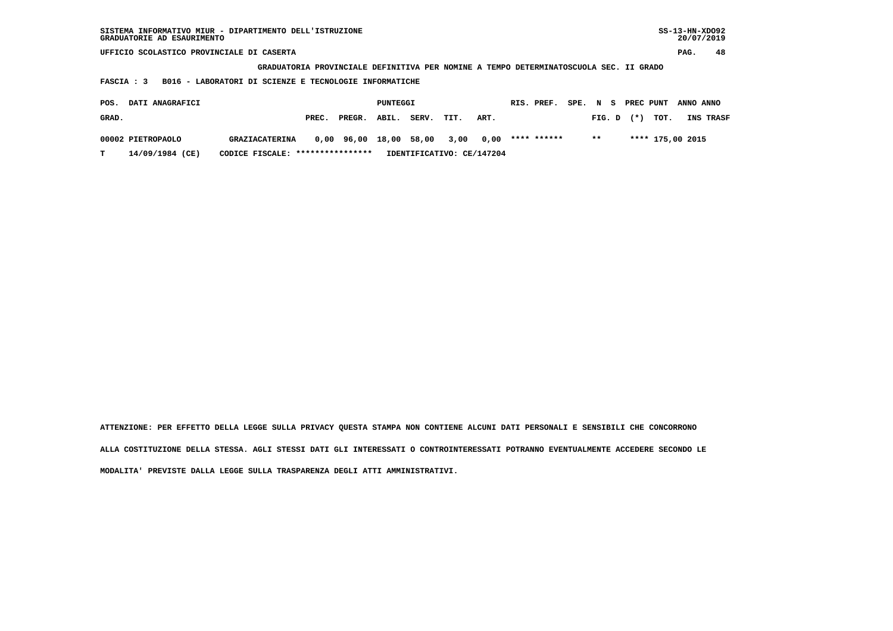| SISTEMA INFORMATIVO MIUR - DIPARTIMENTO DELL'ISTRUZIONE<br>GRADUATORIE AD ESAURIMENTO |       |                  |       |       |      |                           |  |             |  |           |  |        | $SS-13-HN-XDO92$<br>20/07/2019 |  |           |  |
|---------------------------------------------------------------------------------------|-------|------------------|-------|-------|------|---------------------------|--|-------------|--|-----------|--|--------|--------------------------------|--|-----------|--|
| UFFICIO SCOLASTICO PROVINCIALE DI CASERTA                                             |       |                  |       |       |      |                           |  |             |  |           |  | PAG.   | 48                             |  |           |  |
| GRADUATORIA PROVINCIALE DEFINITIVA PER NOMINE A TEMPO DETERMINATOSCUOLA SEC. II GRADO |       |                  |       |       |      |                           |  |             |  |           |  |        |                                |  |           |  |
| B016 - LABORATORI DI SCIENZE E TECNOLOGIE INFORMATICHE<br>FASCIA : 3                  |       |                  |       |       |      |                           |  |             |  |           |  |        |                                |  |           |  |
| DATI ANAGRAFICI<br>PUNTEGGI<br>PREC PUNT<br>POS.<br>RIS. PREF.<br>SPE.<br>N S         |       |                  |       |       |      |                           |  |             |  | ANNO ANNO |  |        |                                |  |           |  |
|                                                                                       |       |                  |       |       |      |                           |  |             |  |           |  |        |                                |  |           |  |
| GRAD.                                                                                 | PREC. | PREGR.           | ABIL. | SERV. | TIT. | ART.                      |  |             |  | FIG. D    |  | $(* )$ | TOT.                           |  | INS TRASF |  |
| 00002 PIETROPAOLO<br><b>GRAZIACATERINA</b>                                            | 0,00  | 96,00            | 18,00 | 58,00 | 3,00 | 0.00                      |  | **** ****** |  | $***$     |  |        | **** 175,00 2015               |  |           |  |
|                                                                                       |       |                  |       |       |      |                           |  |             |  |           |  |        |                                |  |           |  |
| 14/09/1984 (CE)<br>т<br>CODICE FISCALE:                                               |       | **************** |       |       |      | IDENTIFICATIVO: CE/147204 |  |             |  |           |  |        |                                |  |           |  |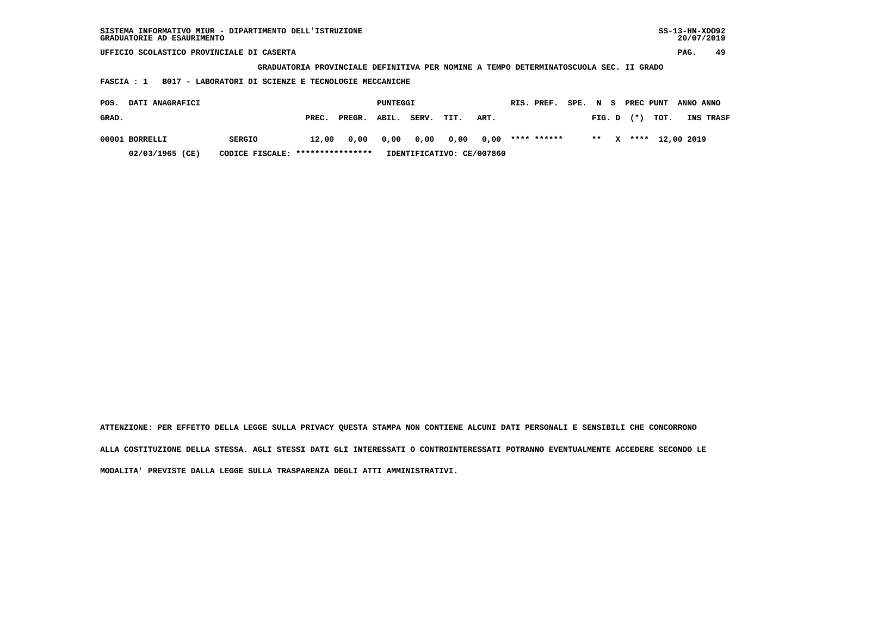| SISTEMA INFORMATIVO MIUR - DIPARTIMENTO DELL'ISTRUZIONE<br>GRADUATORIE AD ESAURIMENTO |       |                                               |       |       |      |      |  |             |      |        |   |           | $SS-13-HN-XDO92$<br>20/07/2019 |            |           |
|---------------------------------------------------------------------------------------|-------|-----------------------------------------------|-------|-------|------|------|--|-------------|------|--------|---|-----------|--------------------------------|------------|-----------|
| UFFICIO SCOLASTICO PROVINCIALE DI CASERTA                                             |       |                                               |       |       |      |      |  |             |      |        |   | PAG.      | 49                             |            |           |
| GRADUATORIA PROVINCIALE DEFINITIVA PER NOMINE A TEMPO DETERMINATOSCUOLA SEC. II GRADO |       |                                               |       |       |      |      |  |             |      |        |   |           |                                |            |           |
| B017 - LABORATORI DI SCIENZE E TECNOLOGIE MECCANICHE<br>FASCIA : 1                    |       |                                               |       |       |      |      |  |             |      |        |   |           |                                |            |           |
| DATI ANAGRAFICI<br>POS.                                                               |       | PUNTEGGI                                      |       |       |      |      |  | RIS. PREF.  | SPE. | N S    |   | PREC PUNT |                                | ANNO ANNO  |           |
| GRAD.                                                                                 | PREC. | PREGR.                                        | ABIL. | SERV. | TIT. | ART. |  |             |      | FIG. D |   | $(*)$     | TOT.                           |            | INS TRASF |
| 00001 BORRELLI<br><b>SERGIO</b>                                                       | 12,00 | 0,00                                          | 0,00  | 0,00  | 0,00 | 0,00 |  | **** ****** |      | $* *$  | x | ****      |                                | 12,00 2019 |           |
| 02/03/1965 (CE)<br>CODICE FISCALE:                                                    |       | ****************<br>IDENTIFICATIVO: CE/007860 |       |       |      |      |  |             |      |        |   |           |                                |            |           |